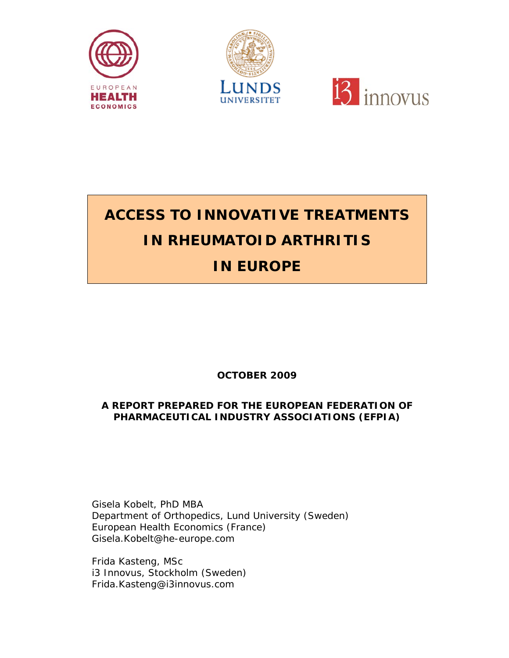





# **ACCESS TO INNOVATIVE TREATMENTS IN RHEUMATOID ARTHRITIS IN EUROPE**

## **OCTOBER 2009**

### **A REPORT PREPARED FOR THE EUROPEAN FEDERATION OF PHARMACEUTICAL INDUSTRY ASSOCIATIONS (EFPIA)**

Gisela Kobelt, PhD MBA Department of Orthopedics, Lund University (Sweden) European Health Economics (France) Gisela.Kobelt@he-europe.com

Frida Kasteng, MSc i3 Innovus, Stockholm (Sweden) Frida.Kasteng@i3innovus.com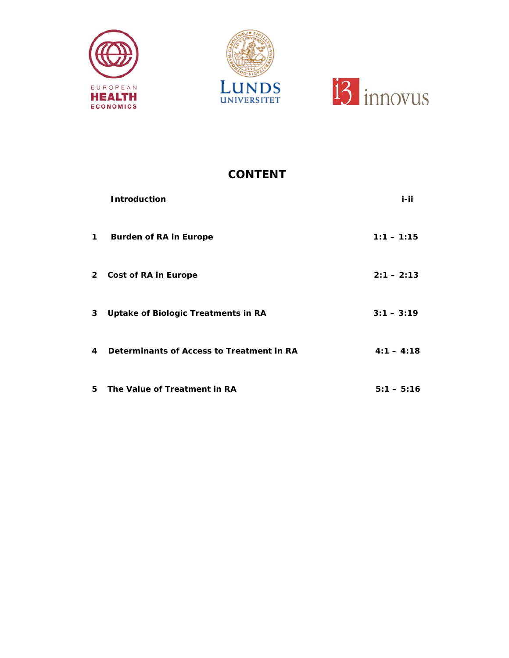





## **CONTENT**

|   | <b>Introduction</b>                       | i-ii         |
|---|-------------------------------------------|--------------|
| 1 | <b>Burden of RA in Europe</b>             | $1:1 - 1:15$ |
|   | 2 Cost of RA in Europe                    | $2:1 - 2:13$ |
| 3 | Uptake of Biologic Treatments in RA       | $3:1 - 3:19$ |
| 4 | Determinants of Access to Treatment in RA | $4:1 - 4:18$ |
| 5 | The Value of Treatment in RA              | $5:1 - 5:16$ |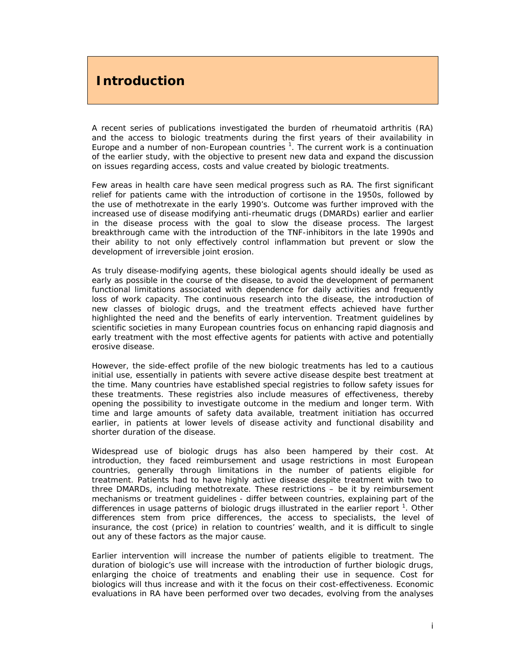## **Introduction**

A recent series of publications investigated the burden of rheumatoid arthritis (RA) and the access to biologic treatments during the first years of their availability in Europe and a number of non-European countries  $1$ . The current work is a continuation of the earlier study, with the objective to present new data and expand the discussion on issues regarding access, costs and value created by biologic treatments.

Few areas in health care have seen medical progress such as RA. The first significant relief for patients came with the introduction of cortisone in the 1950s, followed by the use of methotrexate in the early 1990's. Outcome was further improved with the increased use of disease modifying anti-rheumatic drugs (DMARDs) earlier and earlier in the disease process with the goal to slow the disease process. The largest breakthrough came with the introduction of the TNF-inhibitors in the late 1990s and their ability to not only effectively control inflammation but prevent or slow the development of irreversible joint erosion.

As truly disease-modifying agents, these biological agents should ideally be used as early as possible in the course of the disease, to avoid the development of permanent functional limitations associated with dependence for daily activities and frequently loss of work capacity. The continuous research into the disease, the introduction of new classes of biologic drugs, and the treatment effects achieved have further highlighted the need and the benefits of early intervention. Treatment guidelines by scientific societies in many European countries focus on enhancing rapid diagnosis and early treatment with the most effective agents for patients with active and potentially erosive disease.

However, the side-effect profile of the new biologic treatments has led to a cautious initial use, essentially in patients with severe active disease despite best treatment at the time. Many countries have established special registries to follow safety issues for these treatments. These registries also include measures of effectiveness, thereby opening the possibility to investigate outcome in the medium and longer term. With time and large amounts of safety data available, treatment initiation has occurred earlier, in patients at lower levels of disease activity and functional disability and shorter duration of the disease.

Widespread use of biologic drugs has also been hampered by their cost. At introduction, they faced reimbursement and usage restrictions in most European countries, generally through limitations in the number of patients eligible for treatment. Patients had to have highly active disease despite treatment with two to three DMARDs, including methotrexate. These restrictions – be it by reimbursement mechanisms or treatment guidelines - differ between countries, explaining part of the differences in usage patterns of biologic drugs illustrated in the earlier report<sup>1</sup>. Other differences stem from price differences, the access to specialists, the level of insurance, the cost (price) in relation to countries' wealth, and it is difficult to single out any of these factors as the major cause.

Earlier intervention will increase the number of patients eligible to treatment. The duration of biologic's use will increase with the introduction of further biologic drugs, enlarging the choice of treatments and enabling their use in sequence. Cost for biologics will thus increase and with it the focus on their cost-effectiveness. Economic evaluations in RA have been performed over two decades, evolving from the analyses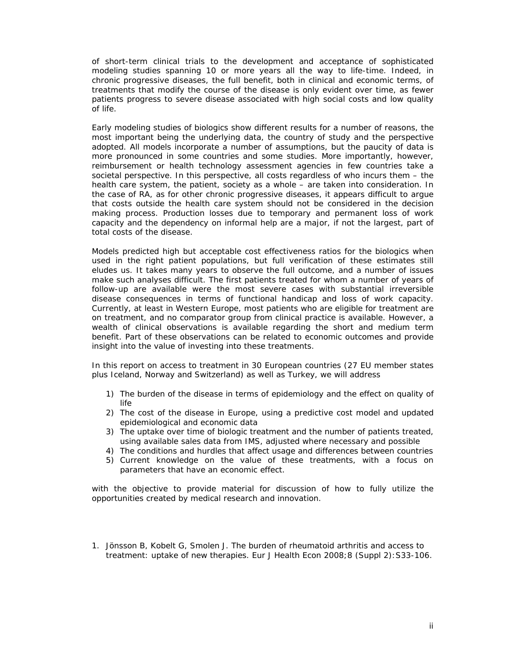of short-term clinical trials to the development and acceptance of sophisticated modeling studies spanning 10 or more years all the way to life-time. Indeed, in chronic progressive diseases, the full benefit, both in clinical and economic terms, of treatments that modify the course of the disease is only evident over time, as fewer patients progress to severe disease associated with high social costs and low quality of life.

Early modeling studies of biologics show different results for a number of reasons, the most important being the underlying data, the country of study and the perspective adopted. All models incorporate a number of assumptions, but the paucity of data is more pronounced in some countries and some studies. More importantly, however, reimbursement or health technology assessment agencies in few countries take a societal perspective. In this perspective, all costs regardless of who incurs them – the health care system, the patient, society as a whole – are taken into consideration. In the case of RA, as for other chronic progressive diseases, it appears difficult to argue that costs outside the health care system should not be considered in the decision making process. Production losses due to temporary and permanent loss of work capacity and the dependency on informal help are a major, if not the largest, part of total costs of the disease.

Models predicted high but acceptable cost effectiveness ratios for the biologics when used in the right patient populations, but full verification of these estimates still eludes us. It takes many years to observe the full outcome, and a number of issues make such analyses difficult. The first patients treated for whom a number of years of follow-up are available were the most severe cases with substantial irreversible disease consequences in terms of functional handicap and loss of work capacity. Currently, at least in Western Europe, most patients who are eligible for treatment are on treatment, and no comparator group from clinical practice is available. However, a wealth of clinical observations is available regarding the short and medium term benefit. Part of these observations can be related to economic outcomes and provide insight into the value of investing into these treatments.

In this report on access to treatment in 30 European countries (27 EU member states plus Iceland, Norway and Switzerland) as well as Turkey, we will address

- 1) The burden of the disease in terms of epidemiology and the effect on quality of life
- 2) The cost of the disease in Europe, using a predictive cost model and updated epidemiological and economic data
- 3) The uptake over time of biologic treatment and the number of patients treated, using available sales data from IMS, adjusted where necessary and possible
- 4) The conditions and hurdles that affect usage and differences between countries
- 5) Current knowledge on the value of these treatments, with a focus on parameters that have an economic effect.

with the objective to provide material for discussion of how to fully utilize the opportunities created by medical research and innovation.

*1. Jönsson B, Kobelt G, Smolen J. The burden of rheumatoid arthritis and access to treatment: uptake of new therapies. Eur J Health Econ 2008;8 (Suppl 2):S33-106.*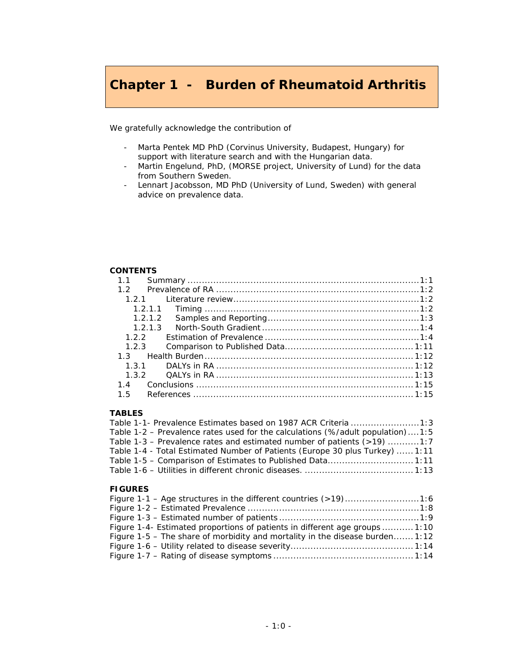## **Chapter 1 - Burden of Rheumatoid Arthritis**

We gratefully acknowledge the contribution of

- Marta Pentek MD PhD (Corvinus University, Budapest, Hungary) for support with literature search and with the Hungarian data.
- Martin Engelund, PhD, (MORSE project, University of Lund) for the data from Southern Sweden.
- Lennart Jacobsson, MD PhD (University of Lund, Sweden) with general advice on prevalence data.

### **CONTENTS**

| 1 <sub>1</sub> |         |  |
|----------------|---------|--|
|                |         |  |
|                | 1.2.1   |  |
|                | 1.2.1.1 |  |
|                | 1.2.1.2 |  |
|                | 1 2 1 3 |  |
|                | 122     |  |
|                | 1.2.3   |  |
|                |         |  |
|                |         |  |
|                |         |  |
|                |         |  |
|                |         |  |

### **TABLES**

| Table 1-1- Prevalence Estimates based on 1987 ACR Criteria 1:3                 |  |
|--------------------------------------------------------------------------------|--|
| Table 1-2 – Prevalence rates used for the calculations (%/adult population)1:5 |  |
| Table 1-3 – Prevalence rates and estimated number of patients $(>19)$ 1:7      |  |
| Table 1-4 - Total Estimated Number of Patients (Europe 30 plus Turkey)  1:11   |  |
| Table 1-5 – Comparison of Estimates to Published Data 1:11                     |  |
|                                                                                |  |

### **FIGURES**

| Figure 1-1 – Age structures in the different countries (>19)1:6              |  |
|------------------------------------------------------------------------------|--|
|                                                                              |  |
|                                                                              |  |
| Figure 1-4- Estimated proportions of patients in different age groups  1:10  |  |
| Figure 1-5 – The share of morbidity and mortality in the disease burden 1:12 |  |
|                                                                              |  |
|                                                                              |  |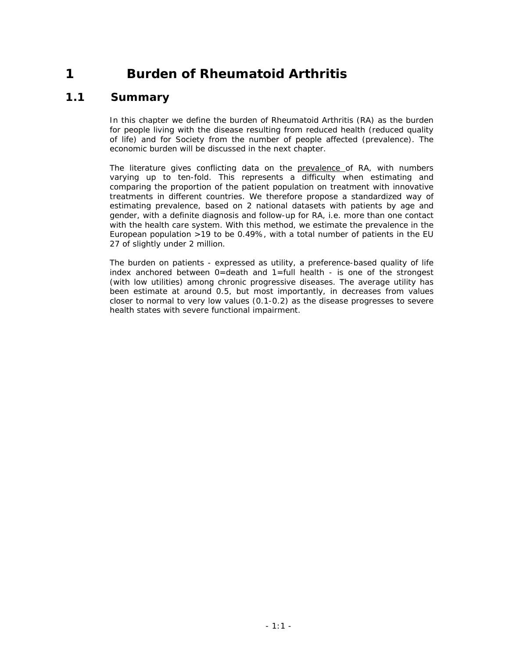## **1 Burden of Rheumatoid Arthritis**

## *1.1 Summary*

In this chapter we define the burden of Rheumatoid Arthritis (RA) as the burden for people living with the disease resulting from reduced health (reduced quality *of life) and for Society from the number of people affected (prevalence). The economic burden will be discussed in the next chapter.* 

*The literature gives conflicting data on the prevalence of RA, with numbers varying up to ten-fold. This represents a difficulty when estimating and comparing the proportion of the patient population on treatment with innovative treatments in different countries. We therefore propose a standardized way of estimating prevalence, based on 2 national datasets with patients by age and gender, with a definite diagnosis and follow-up for RA, i.e. more than one contact with the health care system. With this method, we estimate the prevalence in the European population >19 to be 0.49%, with a total number of patients in the EU 27 of slightly under 2 million.* 

*The burden on patients - expressed as utility, a preference-based quality of life index anchored between 0=death and 1=full health - is one of the strongest (with low utilities) among chronic progressive diseases. The average utility has been estimate at around 0.5, but most importantly, in decreases from values closer to normal to very low values (0.1-0.2) as the disease progresses to severe health states with severe functional impairment.*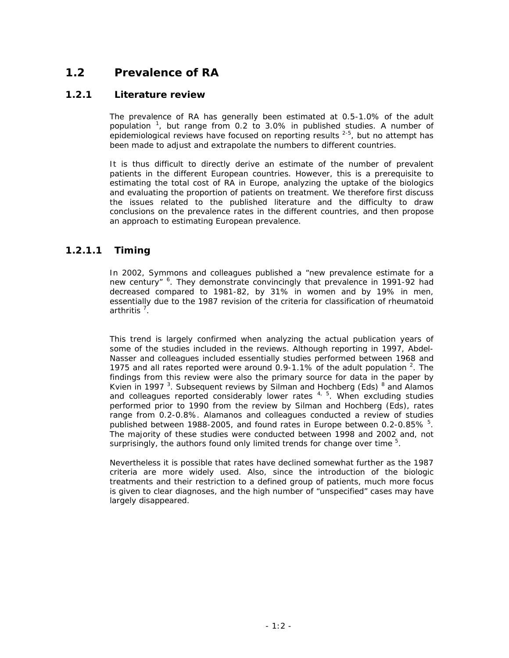## *1.2 Prevalence of RA*

### **1.2.1 Literature review**

The prevalence of RA has generally been estimated at 0.5-1.0% of the adult population  $1$ , but range from 0.2 to 3.0% in published studies. A number of epidemiological reviews have focused on reporting results  $2-5$ , but no attempt has been made to adjust and extrapolate the numbers to different countries.

It is thus difficult to directly derive an estimate of the number of prevalent patients in the different European countries. However, this is a prerequisite to estimating the total cost of RA in Europe, analyzing the uptake of the biologics and evaluating the proportion of patients on treatment. We therefore first discuss the issues related to the published literature and the difficulty to draw conclusions on the prevalence rates in the different countries, and then propose an approach to estimating European prevalence.

### *1.2.1.1 Timing*

In 2002, Symmons and colleagues published a "new prevalence estimate for a new century" <sup>6</sup>. They demonstrate convincingly that prevalence in 1991-92 had decreased compared to 1981-82, by 31% in women and by 19% in men, essentially due to the 1987 revision of the criteria for classification of rheumatoid arthritis <sup>7</sup>.

This trend is largely confirmed when analyzing the actual publication years of some of the studies included in the reviews. Although reporting in 1997, Abdel-Nasser and colleagues included essentially studies performed between 1968 and 1975 and all rates reported were around  $0.9$ -1.1% of the adult population  $2$ . The findings from this review were also the primary source for data in the paper by Kvien in 1997<sup>3</sup>. Subsequent reviews by Silman and Hochberg (Eds)<sup>8</sup> and Alamos and colleagues reported considerably lower rates  $4, 5$ . When excluding studies performed prior to 1990 from the review by Silman and Hochberg (Eds), rates range from 0.2-0.8%. Alamanos and colleagues conducted a review of studies published between 1988-2005, and found rates in Europe between 0.2-0.85% <sup>5</sup>. The majority of these studies were conducted between 1998 and 2002 and, not surprisingly, the authors found only limited trends for change over time  $5$ .

Nevertheless it is possible that rates have declined somewhat further as the 1987 criteria are more widely used. Also, since the introduction of the biologic treatments and their restriction to a defined group of patients, much more focus is given to clear diagnoses, and the high number of "unspecified" cases may have largely disappeared.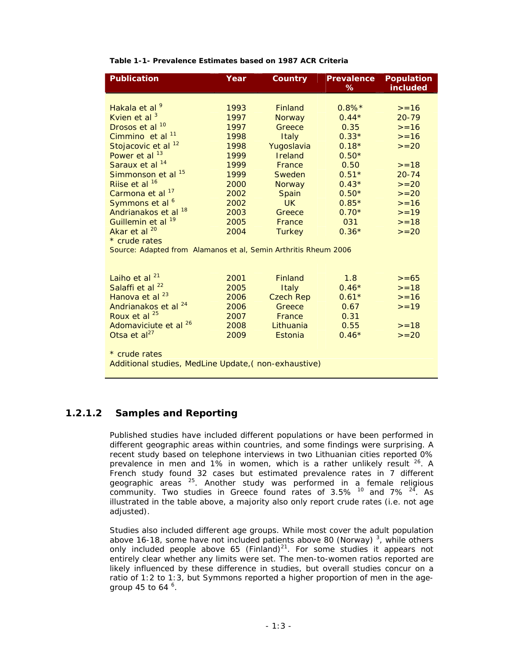| Table 1-1- Prevalence Estimates based on 1987 ACR Criteria |  |  |  |
|------------------------------------------------------------|--|--|--|
|------------------------------------------------------------|--|--|--|

| <b>Publication</b>                                              | Year | Country          | <b>Prevalence</b><br>% | <b>Population</b><br><i>included</i> |  |  |  |
|-----------------------------------------------------------------|------|------------------|------------------------|--------------------------------------|--|--|--|
|                                                                 |      |                  |                        |                                      |  |  |  |
| Hakala et al <sup>9</sup>                                       | 1993 | <b>Finland</b>   | $0.8\%*$               | $>=16$                               |  |  |  |
| Kvien et al $3$                                                 | 1997 | <b>Norway</b>    | $0.44*$                | $20 - 79$                            |  |  |  |
| Drosos et al <sup>10</sup>                                      | 1997 | Greece           | 0.35                   | $>=16$                               |  |  |  |
| Cimmino et al <sup>11</sup>                                     | 1998 | Italy            | $0.33*$                | $>=16$                               |  |  |  |
| Stojacovic et al <sup>12</sup>                                  | 1998 | Yugoslavia       | $0.18*$                | $>=20$                               |  |  |  |
| Power et al <sup>13</sup>                                       | 1999 | Ireland          | $0.50*$                |                                      |  |  |  |
| Saraux et al <sup>14</sup>                                      | 1999 | France           | 0.50                   | $>=18$                               |  |  |  |
| Simmonson et al <sup>15</sup>                                   | 1999 | Sweden           | $0.51*$                | $20 - 74$                            |  |  |  |
| Riise et al <sup>16</sup>                                       | 2000 | <b>Norway</b>    | $0.43*$                | $>=20$                               |  |  |  |
| Carmona et al <sup>17</sup>                                     | 2002 | Spain            | $0.50*$                | $>=20$                               |  |  |  |
| Symmons et al <sup>6</sup>                                      | 2002 | <b>UK</b>        | $0.85*$                | $>=16$                               |  |  |  |
| Andrianakos et al 18                                            | 2003 | Greece           | $0.70*$                | $>=19$                               |  |  |  |
| Guillemin et al <sup>19</sup>                                   | 2005 | France           | 031                    | $>=18$                               |  |  |  |
| Akar et al $^{20}$                                              | 2004 | <b>Turkey</b>    | $0.36*$                | $>=20$                               |  |  |  |
| * crude rates                                                   |      |                  |                        |                                      |  |  |  |
| Source: Adapted from Alamanos et al, Semin Arthritis Rheum 2006 |      |                  |                        |                                      |  |  |  |
|                                                                 |      |                  |                        |                                      |  |  |  |
|                                                                 |      |                  |                        |                                      |  |  |  |
| Laiho et al <sup>21</sup>                                       | 2001 | <b>Finland</b>   | 1.8                    | $>= 65$                              |  |  |  |
| Salaffi et al <sup>22</sup>                                     | 2005 | Italy            | $0.46*$                | $>=18$                               |  |  |  |
| Hanova et al <sup>23</sup>                                      | 2006 | <b>Czech Rep</b> | $0.61*$                | $>=16$                               |  |  |  |
| Andrianakos et al <sup>24</sup>                                 | 2006 | Greece           | 0.67                   | $>=19$                               |  |  |  |
| Roux et al $^{25}$                                              | 2007 | France           | 0.31                   |                                      |  |  |  |
| Adomaviciute et al <sup>26</sup>                                | 2008 | Lithuania        | 0.55                   | $>=18$                               |  |  |  |
| Otsa et $a^{27}$                                                | 2009 | Estonia          | $0.46*$                | $>=20$                               |  |  |  |
|                                                                 |      |                  |                        |                                      |  |  |  |
| * crude rates                                                   |      |                  |                        |                                      |  |  |  |
| Additional studies, MedLine Update, (non-exhaustive)            |      |                  |                        |                                      |  |  |  |

### *1.2.1.2 Samples and Reporting*

Published studies have included different populations or have been performed in different geographic areas within countries, and some findings were surprising. A recent study based on telephone interviews in two Lithuanian cities reported 0% prevalence in men and 1% in women, which is a rather unlikely result  $26$ . A French study found 32 cases but estimated prevalence rates in 7 different geographic areas <sup>25</sup>. Another study was performed in a female religious community. Two studies in Greece found rates of 3.5%  $^{10}$  and 7%  $^{24}$ . As illustrated in the table above, a majority also only report crude rates (i.e. not age adjusted).

Studies also included different age groups. While most cover the adult population above 16-18, some have not included patients above 80 (Norway)<sup>3</sup>, while others only included people above 65 (Finland) $^{21}$ . For some studies it appears not entirely clear whether any limits were set. The men-to-women ratios reported are likely influenced by these difference in studies, but overall studies concur on a ratio of 1:2 to 1:3, but Symmons reported a higher proportion of men in the agegroup 45 to 64  $^6$ .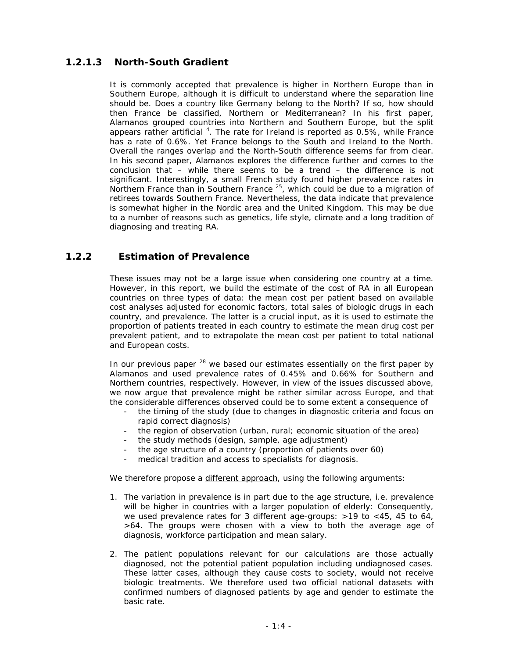### *1.2.1.3 North-South Gradient*

It is commonly accepted that prevalence is higher in Northern Europe than in Southern Europe, although it is difficult to understand where the separation line should be. Does a country like Germany belong to the North? If so, how should then France be classified, Northern or Mediterranean? In his first paper, Alamanos grouped countries into Northern and Southern Europe, but the split appears rather artificial  $4$ . The rate for Ireland is reported as 0.5%, while France has a rate of 0.6%. Yet France belongs to the South and Ireland to the North. Overall the ranges overlap and the North-South difference seems far from clear. In his second paper, Alamanos explores the difference further and comes to the conclusion that – while there seems to be a trend – the difference is not significant. Interestingly, a small French study found higher prevalence rates in Northern France than in Southern France <sup>25</sup>, which could be due to a migration of retirees towards Southern France. Nevertheless, the data indicate that prevalence is somewhat higher in the Nordic area and the United Kingdom. This may be due to a number of reasons such as genetics, life style, climate and a long tradition of diagnosing and treating RA.

### **1.2.2 Estimation of Prevalence**

These issues may not be a large issue when considering one country at a time. However, in this report, we build the estimate of the cost of RA in all European countries on three types of data: the mean cost per patient based on available cost analyses adjusted for economic factors, total sales of biologic drugs in each country, and prevalence. The latter is a crucial input, as it is used to estimate the proportion of patients treated in each country to estimate the mean drug cost per prevalent patient, and to extrapolate the mean cost per patient to total national and European costs.

In our previous paper  $^{28}$  we based our estimates essentially on the first paper by Alamanos and used prevalence rates of 0.45% and 0.66% for Southern and Northern countries, respectively. However, in view of the issues discussed above, we now argue that prevalence might be rather similar across Europe, and that the considerable differences observed could be to some extent a consequence of

- the timing of the study (due to changes in diagnostic criteria and focus on rapid correct diagnosis)
- the region of observation (urban, rural; economic situation of the area)
- the study methods (design, sample, age adjustment)
- the age structure of a country (proportion of patients over 60)
- medical tradition and access to specialists for diagnosis.

We therefore propose a different approach, using the following arguments:

- 1. The variation in prevalence is in part due to the age structure, i.e. prevalence will be higher in countries with a larger population of elderly: Consequently, we used prevalence rates for 3 different age-groups: >19 to <45, 45 to 64, >64. The groups were chosen with a view to both the average age of diagnosis, workforce participation and mean salary.
- 2. The patient populations relevant for our calculations are those actually diagnosed, not the potential patient population including undiagnosed cases. These latter cases, although they cause costs to society, would not receive biologic treatments. We therefore used two official national datasets with confirmed numbers of diagnosed patients by age and gender to estimate the basic rate.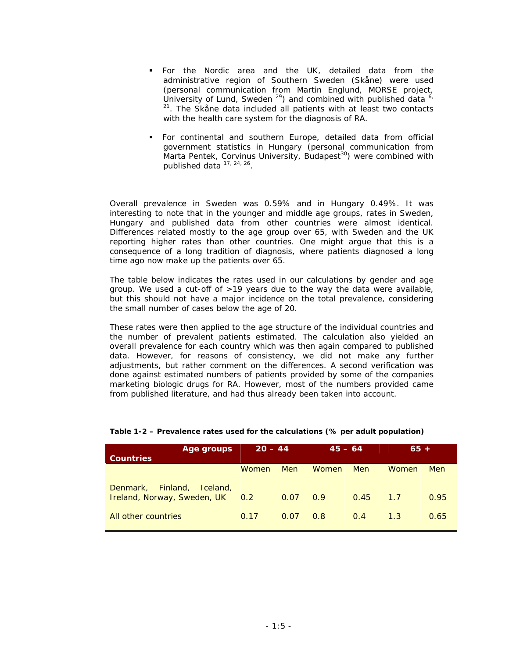- For the Nordic area and the UK, detailed data from the administrative region of Southern Sweden (Skåne) were used (personal communication from Martin Englund, MORSE project, University of Lund, Sweden  $^{29}$ ) and combined with published data  $^{6}$ .  $21$ . The Skåne data included all patients with at least two contacts with the health care system for the diagnosis of RA.
- For continental and southern Europe, detailed data from official government statistics in Hungary (personal communication from Marta Pentek, Corvinus University, Budapest<sup>30</sup>) were combined with published data 17, 24, 26.

Overall prevalence in Sweden was 0.59% and in Hungary 0.49%. It was interesting to note that in the younger and middle age groups, rates in Sweden, Hungary and published data from other countries were almost identical. Differences related mostly to the age group over 65, with Sweden and the UK reporting higher rates than other countries. One might argue that this is a consequence of a long tradition of diagnosis, where patients diagnosed a long time ago now make up the patients over 65.

The table below indicates the rates used in our calculations by gender and age group. We used a cut-off of >19 years due to the way the data were available, but this should not have a major incidence on the total prevalence, considering the small number of cases below the age of 20.

These rates were then applied to the age structure of the individual countries and the number of prevalent patients estimated. The calculation also yielded an overall prevalence for each country which was then again compared to published data. However, for reasons of consistency, we did not make any further adjustments, but rather comment on the differences. A second verification was done against estimated numbers of patients provided by some of the companies marketing biologic drugs for RA. However, most of the numbers provided came from published literature, and had thus already been taken into account.

| Age groups<br><b>Countries</b>                                                 | $20 - 44$    |      | $45 - 64$    |      | $65 +$ |      |
|--------------------------------------------------------------------------------|--------------|------|--------------|------|--------|------|
|                                                                                | <b>Women</b> | Men  | <b>Women</b> | Men  | Women  | Men  |
| Denmark, Finland,<br><i>Iceland.</i><br><i>Ireland, Norway, Sweden, UK</i> 0.2 |              | 0.07 | 0.9          | 0.45 | 1.7    | 0.95 |
| All other countries                                                            | 0.17         | 0.07 | 0.8          | 0.4  | 1.3    | 0.65 |

#### **Table 1-2 – Prevalence rates used for the calculations (% per adult population)**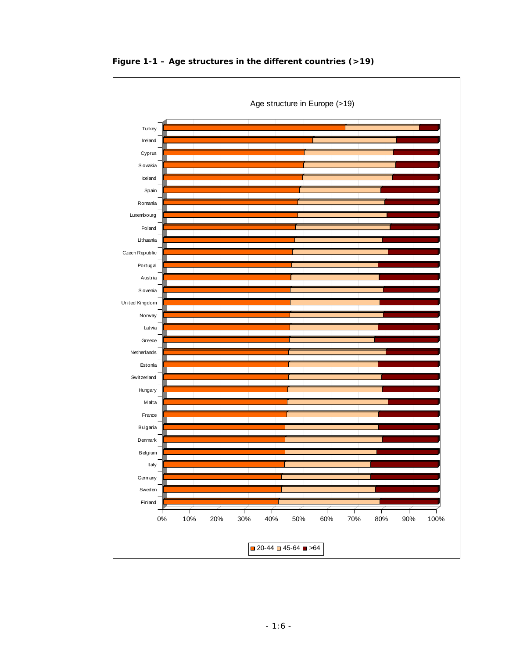

 **Figure 1-1 – Age structures in the different countries (>19)**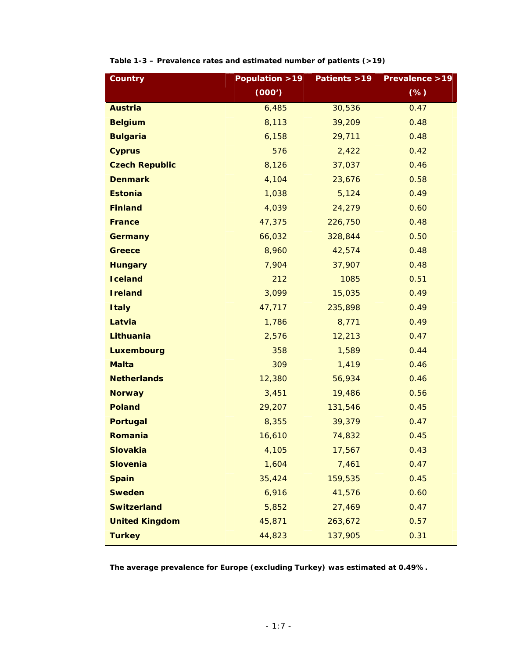| <b>Country</b>        | Population > 19 | Patients >19 | Prevalence > 19 |
|-----------------------|-----------------|--------------|-----------------|
|                       | (000')          |              | (%)             |
| <b>Austria</b>        | 6,485           | 30,536       | 0.47            |
| <b>Belgium</b>        | 8,113           | 39,209       | 0.48            |
| <b>Bulgaria</b>       | 6,158           | 29,711       | 0.48            |
| <b>Cyprus</b>         | 576             | 2,422        | 0.42            |
| <b>Czech Republic</b> | 8,126           | 37,037       | 0.46            |
| <b>Denmark</b>        | 4,104           | 23,676       | 0.58            |
| <b>Estonia</b>        | 1,038           | 5,124        | 0.49            |
| <b>Finland</b>        | 4,039           | 24,279       | 0.60            |
| <b>France</b>         | 47,375          | 226,750      | 0.48            |
| <b>Germany</b>        | 66,032          | 328,844      | 0.50            |
| Greece                | 8,960           | 42,574       | 0.48            |
| <b>Hungary</b>        | 7,904           | 37,907       | 0.48            |
| <b>Iceland</b>        | 212             | 1085         | 0.51            |
| <b>Ireland</b>        | 3,099           | 15,035       | 0.49            |
| <b>Italy</b>          | 47,717          | 235,898      | 0.49            |
| Latvia                | 1,786           | 8,771        | 0.49            |
| Lithuania             | 2,576           | 12,213       | 0.47            |
| <b>Luxembourg</b>     | 358             | 1,589        | 0.44            |
| <b>Malta</b>          | 309             | 1,419        | 0.46            |
| <b>Netherlands</b>    | 12,380          | 56,934       | 0.46            |
| <b>Norway</b>         | 3,451           | 19,486       | 0.56            |
| <b>Poland</b>         | 29,207          | 131,546      | 0.45            |
| <b>Portugal</b>       | 8,355           | 39,379       | 0.47            |
| Romania               | 16,610          | 74,832       | 0.45            |
| <b>Slovakia</b>       | 4,105           | 17,567       | 0.43            |
| <b>Slovenia</b>       | 1,604           | 7,461        | 0.47            |
| <b>Spain</b>          | 35,424          | 159,535      | 0.45            |
| <b>Sweden</b>         | 6,916           | 41,576       | 0.60            |
| <b>Switzerland</b>    | 5,852           | 27,469       | 0.47            |
| <b>United Kingdom</b> | 45,871          | 263,672      | 0.57            |
| <b>Turkey</b>         | 44,823          | 137,905      | 0.31            |

| Table 1-3 - Prevalence rates and estimated number of patients (>19) |  |  |  |  |
|---------------------------------------------------------------------|--|--|--|--|
|---------------------------------------------------------------------|--|--|--|--|

**The average prevalence for Europe (excluding Turkey) was estimated at 0.49%.**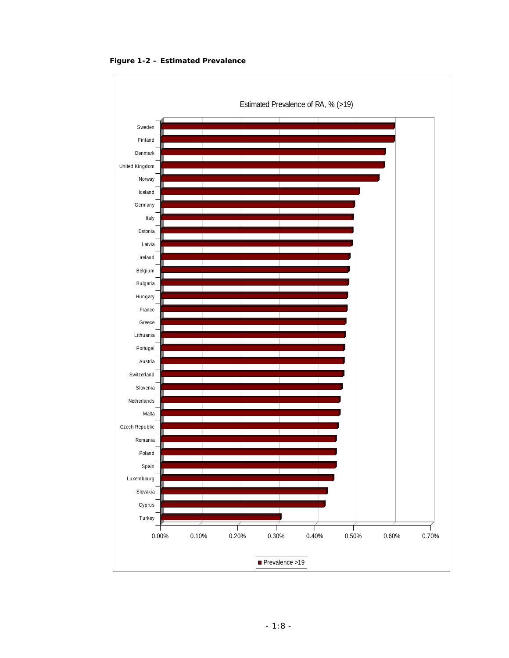

**Figure 1-2 – Estimated Prevalence**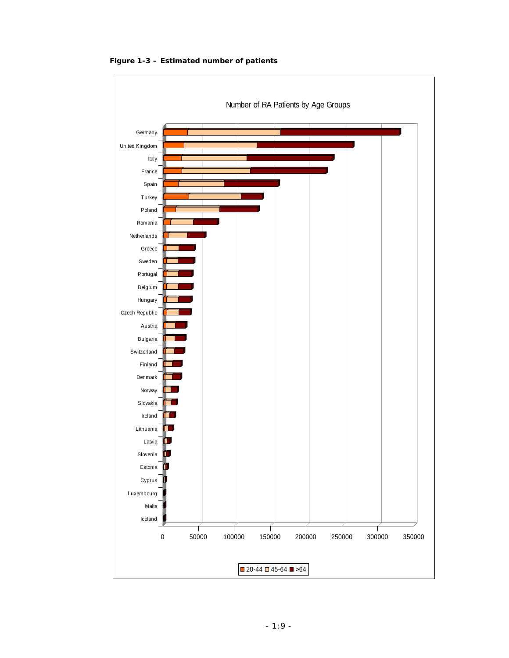

**Figure 1-3 – Estimated number of patients**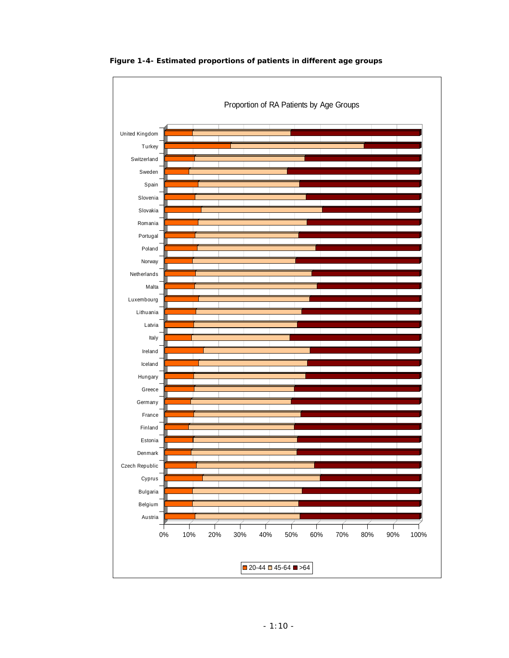

**Figure 1-4- Estimated proportions of patients in different age groups**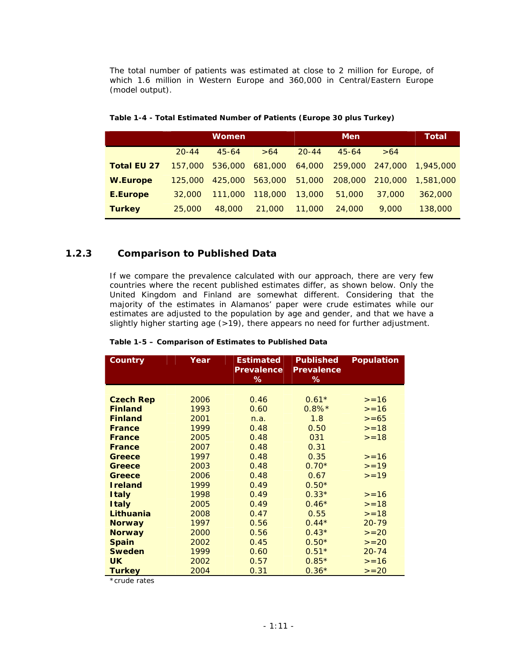The total number of patients was estimated at close to 2 million for Europe, of which 1.6 million in Western Europe and 360,000 in Central/Eastern Europe (model output).

|                    |           | <b>Women</b> |         |           | Men       |                 | Total     |
|--------------------|-----------|--------------|---------|-----------|-----------|-----------------|-----------|
|                    | $20 - 44$ | $45 - 64$    | >64     | $20 - 44$ | $45 - 64$ | >64             |           |
| <i>Total EU 27</i> | 157,000   | 536,000      | 681,000 | 64,000    |           | 259,000 247,000 | 1,945,000 |
| <b>W.Europe</b>    | 125.000   | 425,000      | 563,000 | 51,000    | 208,000   | 210,000         | 1.581.000 |
| E.Europe           | 32.000    | 111.000      | 118,000 | 13,000    | 51,000    | 37,000          | 362,000   |
| <b>Turkey</b>      | 25,000    | 48.000       | 21,000  | 11,000    | 24,000    | 9,000           | 138,000   |

| Table 1-4 - Total Estimated Number of Patients (Europe 30 plus Turkey) |  |  |
|------------------------------------------------------------------------|--|--|
|                                                                        |  |  |

### **1.2.3 Comparison to Published Data**

If we compare the prevalence calculated with our approach, there are very few countries where the recent published estimates differ, as shown below. Only the United Kingdom and Finland are somewhat different. Considering that the majority of the estimates in Alamanos' paper were crude estimates while our estimates are adjusted to the population by age and gender, and that we have a slightly higher starting age (>19), there appears no need for further adjustment.

| Country             | Year | <b>Estimated</b><br>Prevalence<br>% | <b>Published</b><br>Prevalence<br>% | <b>Population</b> |
|---------------------|------|-------------------------------------|-------------------------------------|-------------------|
|                     |      |                                     |                                     |                   |
| <b>Czech Rep</b>    | 2006 | 0.46                                | $0.61*$                             | $>=16$            |
| <b>Finland</b>      | 1993 | 0.60                                | $0.8\%*$                            | $>=16$            |
| <b>Finland</b>      | 2001 | n.a.                                | 1.8                                 | $>= 65$           |
| France              | 1999 | 0.48                                | 0.50                                | $>=18$            |
| <b>France</b>       | 2005 | 0.48                                | 031                                 | $>=18$            |
| France              | 2007 | 0.48                                | 0.31                                |                   |
| Greece              | 1997 | 0.48                                | 0.35                                | $>=16$            |
| Greece              | 2003 | 0.48                                | $0.70*$                             | $>= 19$           |
| Greece              | 2006 | 0.48                                | 0.67                                | $>=19$            |
| <b>Ireland</b>      | 1999 | 0.49                                | $0.50*$                             |                   |
| <i><b>Italy</b></i> | 1998 | 0.49                                | $0.33*$                             | $>=16$            |
| <i><b>Italy</b></i> | 2005 | 0.49                                | $0.46*$                             | $>=18$            |
| Lithuania           | 2008 | 0.47                                | 0.55                                | $>= 18$           |
| <b>Norway</b>       | 1997 | 0.56                                | $0.44*$                             | $20 - 79$         |
| <b>Norway</b>       | 2000 | 0.56                                | $0.43*$                             | $>=20$            |
| <b>Spain</b>        | 2002 | 0.45                                | $0.50*$                             | $>=20$            |
| <b>Sweden</b>       | 1999 | 0.60                                | $0.51*$                             | $20 - 74$         |
| <b>UK</b>           | 2002 | 0.57                                | $0.85*$                             | $>=16$            |
| <b>Turkey</b>       | 2004 | 0.31                                | $0.36*$                             | $>=20$            |

**Table 1-5 – Comparison of Estimates to Published Data** 

*\*crude rates*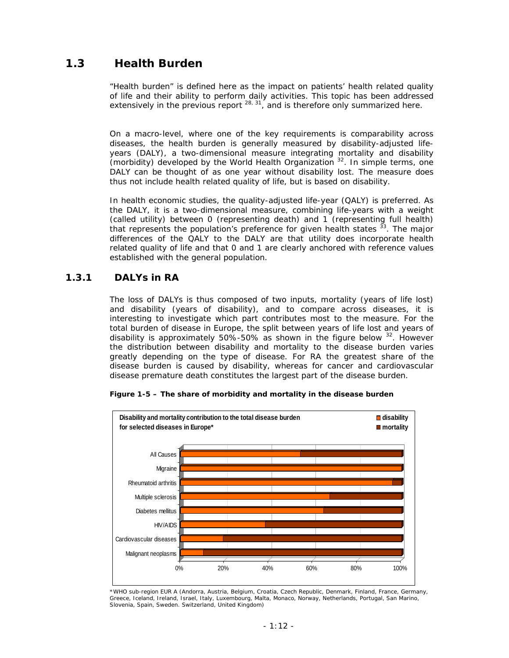## *1.3 Health Burden*

"Health burden" is defined here as the impact on patients' health related quality of life and their ability to perform daily activities. This topic has been addressed extensively in the previous report  $28, 31$ , and is therefore only summarized here.

On a macro-level, where one of the key requirements is comparability across diseases, the health burden is generally measured by disability-adjusted lifeyears (DALY), a two-dimensional measure integrating mortality and disability (morbidity) developed by the World Health Organization <sup>32</sup>. In simple terms, one DALY can be thought of as one year without disability lost. The measure does thus not include health related quality of life, but is based on disability.

In health economic studies, the quality-adjusted life-year (QALY) is preferred. As the DALY, it is a two-dimensional measure, combining life-years with a weight (called utility) between 0 (representing death) and 1 (representing full health) that represents the population's preference for given health states  $33$ . The major differences of the QALY to the DALY are that utility does incorporate health related quality of life and that 0 and 1 are clearly anchored with reference values established with the general population.

### **1.3.1 DALYs in RA**

The loss of DALYs is thus composed of two inputs, mortality (years of life lost) and disability (years of disability), and to compare across diseases, it is interesting to investigate which part contributes most to the measure. For the total burden of disease in Europe, the split between years of life lost and years of disability is approximately 50%-50% as shown in the figure below  $32$ . However the distribution between disability and mortality to the disease burden varies greatly depending on the type of disease. For RA the greatest share of the disease burden is caused by disability, whereas for cancer and cardiovascular disease premature death constitutes the largest part of the disease burden.



**Figure 1-5 – The share of morbidity and mortality in the disease burden** 

*\*WHO sub-region EUR A (Andorra, Austria, Belgium, Croatia, Czech Republic, Denmark, Finland, France, Germany, Greece, Iceland, Ireland, Israel, Italy, Luxembourg, Malta, Monaco, Norway, Netherlands, Portugal, San Marino, Slovenia, Spain, Sweden. Switzerland, United Kingdom)*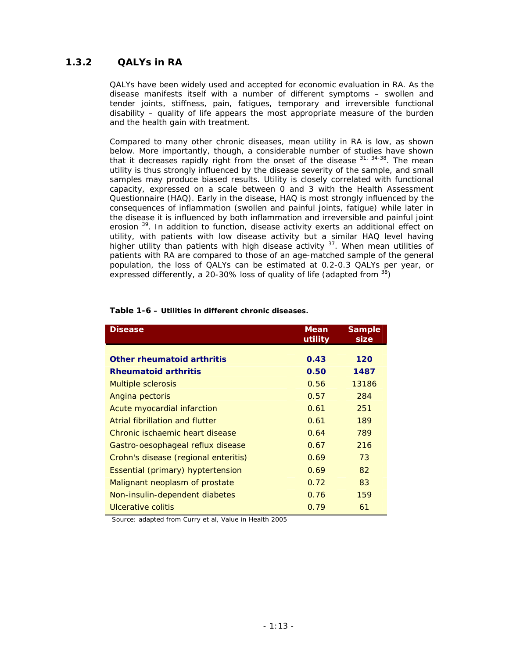### **1.3.2 QALYs in RA**

QALYs have been widely used and accepted for economic evaluation in RA. As the disease manifests itself with a number of different symptoms – swollen and tender joints, stiffness, pain, fatigues, temporary and irreversible functional disability – quality of life appears the most appropriate measure of the burden and the health gain with treatment.

Compared to many other chronic diseases, mean utility in RA is low, as shown below. More importantly, though, a considerable number of studies have shown that it decreases rapidly right from the onset of the disease  $31, 34-38$ . The mean utility is thus strongly influenced by the disease severity of the sample, and small samples may produce biased results. Utility is closely correlated with functional capacity, expressed on a scale between 0 and 3 with the Health Assessment Questionnaire (HAQ). Early in the disease, HAQ is most strongly influenced by the consequences of inflammation (swollen and painful joints, fatigue) while later in the disease it is influenced by both inflammation and irreversible and painful joint erosion <sup>39</sup>. In addition to function, disease activity exerts an additional effect on utility, with patients with low disease activity but a similar HAQ level having higher utility than patients with high disease activity <sup>37</sup>. When mean utilities of patients with RA are compared to those of an age-matched sample of the general population, the loss of QALYs can be estimated at 0.2-0.3 QALYs per year, or expressed differently, a 20-30% loss of quality of life (adapted from <sup>38</sup>)

| Disease                              | Mean<br>utility | Sample<br>size |
|--------------------------------------|-----------------|----------------|
|                                      |                 |                |
| Other rheumatoid arthritis           | 0.43            | 120            |
| <b>Rheumatoid arthritis</b>          | 0.50            | 1487           |
| <b>Multiple sclerosis</b>            | 0.56            | 13186          |
| Angina pectoris                      | 0.57            | 284            |
| Acute myocardial infarction          | 0.61            | 251            |
| Atrial fibrillation and flutter      | 0.61            | 189            |
| Chronic ischaemic heart disease      | 0.64            | 789            |
| Gastro-oesophageal reflux disease    | 0.67            | 216            |
| Crohn's disease (regional enteritis) | 0.69            | 73             |
| Essential (primary) hyptertension    | 0.69            | 82             |
| Malignant neoplasm of prostate       | 0.72            | 83             |
| Non-insulin-dependent diabetes       | 0.76            | 159            |
| Ulcerative colitis                   | 0.79            | 61             |

#### **Table 1-6 – Utilities in different chronic diseases.**

Source: adapted from Curry et al, Value in Health 2005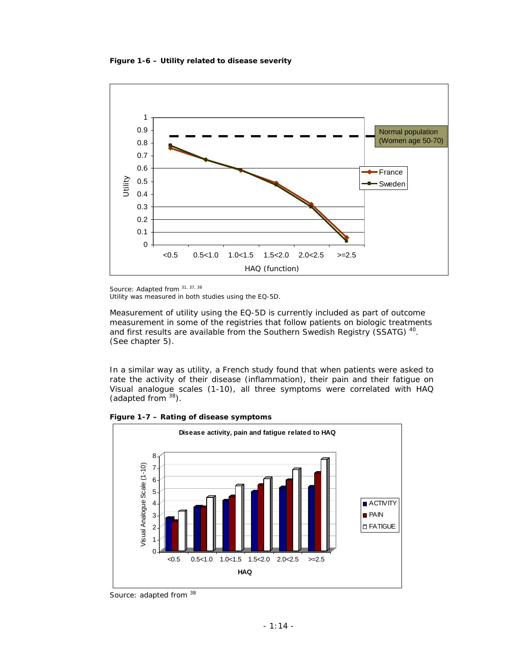**Figure 1-6 – Utility related to disease severity** 



Source: Adapted from 31, 37, 38

Utility was measured in both studies using the EQ-5D.

Measurement of utility using the EQ-5D is currently included as part of outcome measurement in some of the registries that follow patients on biologic treatments and first results are available from the Southern Swedish Registry (SSATG)<sup>40</sup>. (See chapter 5).

In a similar way as utility, a French study found that when patients were asked to rate the activity of their disease (inflammation), their pain and their fatigue on Visual analogue scales (1-10), all three symptoms were correlated with HAQ (adapted from  $38$ ).



**Figure 1-7 – Rating of disease symptoms** 

*Source: adapted from <sup>38</sup>*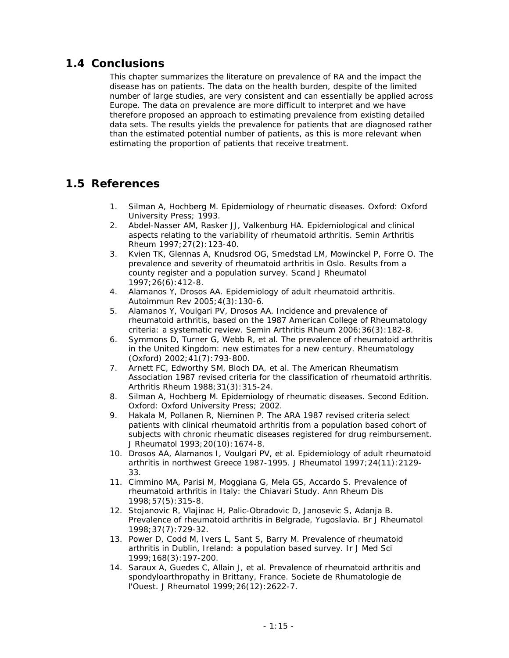## *1.4 Conclusions*

This chapter summarizes the literature on prevalence of RA and the impact the disease has on patients. The data on the health burden, despite of the limited number of large studies, are very consistent and can essentially be applied across Europe. The data on prevalence are more difficult to interpret and we have therefore proposed an approach to estimating prevalence from existing detailed data sets. The results yields the prevalence for patients that are diagnosed rather than the estimated potential number of patients, as this is more relevant when estimating the proportion of patients that receive treatment.

## *1.5 References*

- 1. Silman A, Hochberg M. Epidemiology of rheumatic diseases. Oxford: Oxford University Press; 1993.
- 2. Abdel-Nasser AM, Rasker JJ, Valkenburg HA. Epidemiological and clinical aspects relating to the variability of rheumatoid arthritis. Semin Arthritis Rheum 1997;27(2):123-40.
- 3. Kvien TK, Glennas A, Knudsrod OG, Smedstad LM, Mowinckel P, Forre O. The prevalence and severity of rheumatoid arthritis in Oslo. Results from a county register and a population survey. Scand J Rheumatol 1997;26(6):412-8.
- 4. Alamanos Y, Drosos AA. Epidemiology of adult rheumatoid arthritis. Autoimmun Rev 2005;4(3):130-6.
- 5. Alamanos Y, Voulgari PV, Drosos AA. Incidence and prevalence of rheumatoid arthritis, based on the 1987 American College of Rheumatology criteria: a systematic review. Semin Arthritis Rheum 2006;36(3):182-8.
- 6. Symmons D, Turner G, Webb R, et al. The prevalence of rheumatoid arthritis in the United Kingdom: new estimates for a new century. Rheumatology (Oxford) 2002;41(7):793-800.
- 7. Arnett FC, Edworthy SM, Bloch DA, et al. The American Rheumatism Association 1987 revised criteria for the classification of rheumatoid arthritis. Arthritis Rheum 1988;31(3):315-24.
- 8. Silman A, Hochberg M. Epidemiology of rheumatic diseases. Second Edition. Oxford: Oxford University Press; 2002.
- 9. Hakala M, Pollanen R, Nieminen P. The ARA 1987 revised criteria select patients with clinical rheumatoid arthritis from a population based cohort of subjects with chronic rheumatic diseases registered for drug reimbursement. J Rheumatol 1993;20(10):1674-8.
- 10. Drosos AA, Alamanos I, Voulgari PV, et al. Epidemiology of adult rheumatoid arthritis in northwest Greece 1987-1995. J Rheumatol 1997;24(11):2129- 33.
- 11. Cimmino MA, Parisi M, Moggiana G, Mela GS, Accardo S. Prevalence of rheumatoid arthritis in Italy: the Chiavari Study. Ann Rheum Dis 1998;57(5):315-8.
- 12. Stojanovic R, Vlajinac H, Palic-Obradovic D, Janosevic S, Adanja B. Prevalence of rheumatoid arthritis in Belgrade, Yugoslavia. Br J Rheumatol 1998;37(7):729-32.
- 13. Power D, Codd M, Ivers L, Sant S, Barry M. Prevalence of rheumatoid arthritis in Dublin, Ireland: a population based survey. Ir J Med Sci 1999;168(3):197-200.
- 14. Saraux A, Guedes C, Allain J, et al. Prevalence of rheumatoid arthritis and spondyloarthropathy in Brittany, France. Societe de Rhumatologie de l'Ouest. J Rheumatol 1999;26(12):2622-7.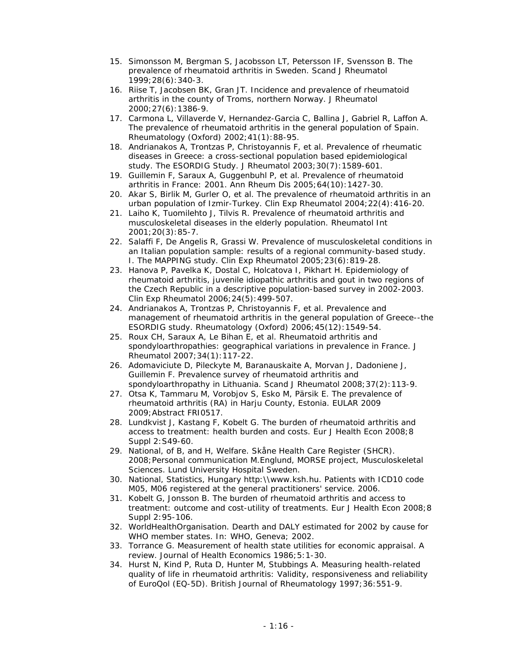- 15. Simonsson M, Bergman S, Jacobsson LT, Petersson IF, Svensson B. The prevalence of rheumatoid arthritis in Sweden. Scand J Rheumatol 1999;28(6):340-3.
- 16. Riise T, Jacobsen BK, Gran JT. Incidence and prevalence of rheumatoid arthritis in the county of Troms, northern Norway. J Rheumatol 2000;27(6):1386-9.
- 17. Carmona L, Villaverde V, Hernandez-Garcia C, Ballina J, Gabriel R, Laffon A. The prevalence of rheumatoid arthritis in the general population of Spain. Rheumatology (Oxford) 2002;41(1):88-95.
- 18. Andrianakos A, Trontzas P, Christoyannis F, et al. Prevalence of rheumatic diseases in Greece: a cross-sectional population based epidemiological study. The ESORDIG Study. J Rheumatol 2003;30(7):1589-601.
- 19. Guillemin F, Saraux A, Guggenbuhl P, et al. Prevalence of rheumatoid arthritis in France: 2001. Ann Rheum Dis 2005;64(10):1427-30.
- 20. Akar S, Birlik M, Gurler O, et al. The prevalence of rheumatoid arthritis in an urban population of Izmir-Turkey. Clin Exp Rheumatol 2004;22(4):416-20.
- 21. Laiho K, Tuomilehto J, Tilvis R. Prevalence of rheumatoid arthritis and musculoskeletal diseases in the elderly population. Rheumatol Int 2001;20(3):85-7.
- 22. Salaffi F, De Angelis R, Grassi W. Prevalence of musculoskeletal conditions in an Italian population sample: results of a regional community-based study. I. The MAPPING study. Clin Exp Rheumatol 2005;23(6):819-28.
- 23. Hanova P, Pavelka K, Dostal C, Holcatova I, Pikhart H. Epidemiology of rheumatoid arthritis, juvenile idiopathic arthritis and gout in two regions of the Czech Republic in a descriptive population-based survey in 2002-2003. Clin Exp Rheumatol 2006;24(5):499-507.
- 24. Andrianakos A, Trontzas P, Christoyannis F, et al. Prevalence and management of rheumatoid arthritis in the general population of Greece--the ESORDIG study. Rheumatology (Oxford) 2006;45(12):1549-54.
- 25. Roux CH, Saraux A, Le Bihan E, et al. Rheumatoid arthritis and spondyloarthropathies: geographical variations in prevalence in France. J Rheumatol 2007;34(1):117-22.
- 26. Adomaviciute D, Pileckyte M, Baranauskaite A, Morvan J, Dadoniene J, Guillemin F. Prevalence survey of rheumatoid arthritis and spondyloarthropathy in Lithuania. Scand J Rheumatol 2008;37(2):113-9.
- 27. Otsa K, Tammaru M, Vorobjov S, Esko M, Pärsik E. The prevalence of rheumatoid arthritis (RA) in Harju County, Estonia. EULAR 2009 2009;Abstract FRI0517.
- 28. Lundkvist J, Kastang F, Kobelt G. The burden of rheumatoid arthritis and access to treatment: health burden and costs. Eur J Health Econ 2008;8 Suppl 2:S49-60.
- 29. National, of B, and H, Welfare. Skåne Health Care Register (SHCR). 2008;Personal communication M.Englund, MORSE project, Musculoskeletal Sciences. Lund University Hospital Sweden.
- 30. National, Statistics, Hungary http:\\www.ksh.hu. Patients with ICD10 code M05, M06 registered at the general practitioners' service. 2006.
- 31. Kobelt G, Jonsson B. The burden of rheumatoid arthritis and access to treatment: outcome and cost-utility of treatments. Eur J Health Econ 2008;8 Suppl 2:95-106.
- 32. WorldHealthOrganisation. Dearth and DALY estimated for 2002 by cause for WHO member states. In: WHO, Geneva; 2002.
- 33. Torrance G. Measurement of health state utilities for economic appraisal. A review. Journal of Health Economics 1986;5:1-30.
- 34. Hurst N, Kind P, Ruta D, Hunter M, Stubbings A. Measuring health-related quality of life in rheumatoid arthritis: Validity, responsiveness and reliability of EuroQol (EQ-5D). British Journal of Rheumatology 1997;36:551-9.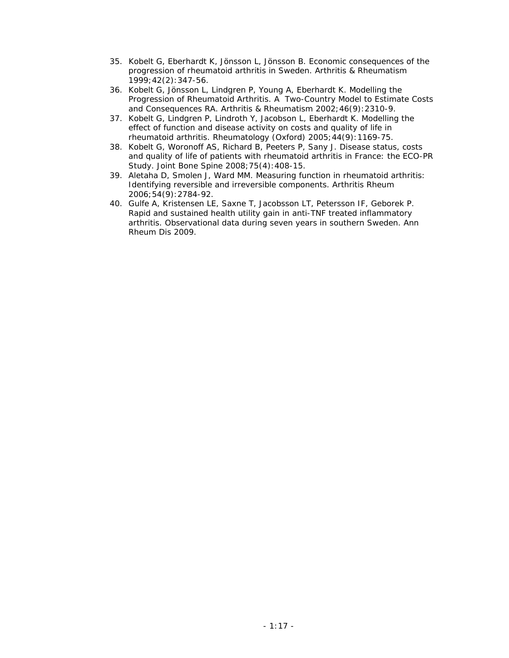- 35. Kobelt G, Eberhardt K, Jönsson L, Jönsson B. Economic consequences of the progression of rheumatoid arthritis in Sweden. Arthritis & Rheumatism 1999;42(2):347-56.
- 36. Kobelt G, Jönsson L, Lindgren P, Young A, Eberhardt K. Modelling the Progression of Rheumatoid Arthritis. A Two-Country Model to Estimate Costs and Consequences RA. Arthritis & Rheumatism 2002;46(9):2310-9.
- 37. Kobelt G, Lindgren P, Lindroth Y, Jacobson L, Eberhardt K. Modelling the effect of function and disease activity on costs and quality of life in rheumatoid arthritis. Rheumatology (Oxford) 2005;44(9):1169-75.
- 38. Kobelt G, Woronoff AS, Richard B, Peeters P, Sany J. Disease status, costs and quality of life of patients with rheumatoid arthritis in France: the ECO-PR Study. Joint Bone Spine 2008;75(4):408-15.
- 39. Aletaha D, Smolen J, Ward MM. Measuring function in rheumatoid arthritis: Identifying reversible and irreversible components. Arthritis Rheum 2006;54(9):2784-92.
- 40. Gulfe A, Kristensen LE, Saxne T, Jacobsson LT, Petersson IF, Geborek P. Rapid and sustained health utility gain in anti-TNF treated inflammatory arthritis. Observational data during seven years in southern Sweden. Ann Rheum Dis 2009.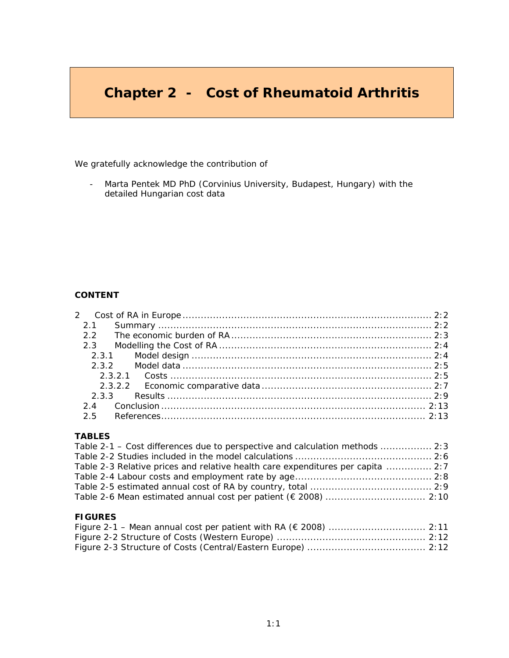## **Chapter 2 - Cost of Rheumatoid Arthritis**

We gratefully acknowledge the contribution of

- Marta Pentek MD PhD (Corvinius University, Budapest, Hungary) with the detailed Hungarian cost data

### **CONTENT**

| $\mathcal{P}$ |  |
|---------------|--|
| 2.1           |  |
| 22            |  |
| 2.3           |  |
|               |  |
|               |  |
|               |  |
|               |  |
|               |  |
|               |  |
| 25            |  |

### **TABLES**

| Table 2-1 – Cost differences due to perspective and calculation methods  2:3    |  |
|---------------------------------------------------------------------------------|--|
|                                                                                 |  |
| Table 2-3 Relative prices and relative health care expenditures per capita  2:7 |  |
|                                                                                 |  |
|                                                                                 |  |
|                                                                                 |  |

### **FIGURES**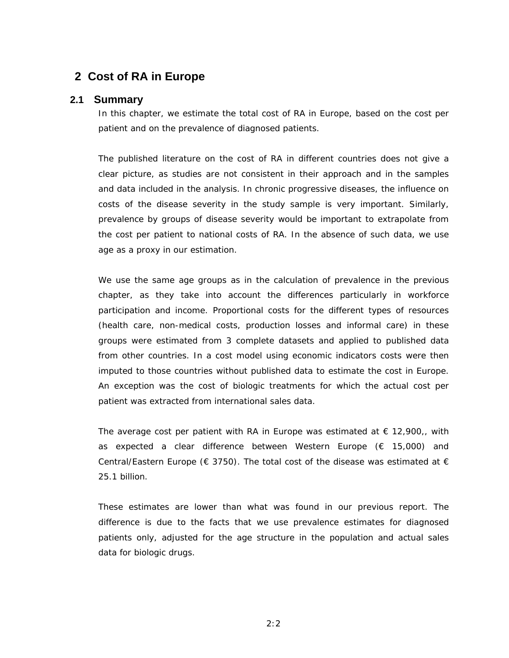## **2 Cost of RA in Europe**

### **2.1 Summary**

*In this chapter, we estimate the total cost of RA in Europe, based on the cost per patient and on the prevalence of diagnosed patients.* 

*The published literature on the cost of RA in different countries does not give a clear picture, as studies are not consistent in their approach and in the samples and data included in the analysis. In chronic progressive diseases, the influence on costs of the disease severity in the study sample is very important. Similarly, prevalence by groups of disease severity would be important to extrapolate from the cost per patient to national costs of RA. In the absence of such data, we use age as a proxy in our estimation.* 

*We use the same age groups as in the calculation of prevalence in the previous chapter, as they take into account the differences particularly in workforce participation and income. Proportional costs for the different types of resources (health care, non-medical costs, production losses and informal care) in these groups were estimated from 3 complete datasets and applied to published data*  from other countries. In a cost model using economic indicators costs were then *imputed to those countries without published data to estimate the cost in Europe. An exception was the cost of biologic treatments for which the actual cost per patient was extracted from international sales data.* 

The average cost per patient with RA in Europe was estimated at  $\epsilon$  12,900,, with *as expected a clear difference between Western Europe (€ 15,000) and Central/Eastern Europe (* $\epsilon$  *3750). The total cost of the disease was estimated at*  $\epsilon$ *25.1 billion.* 

*These estimates are lower than what was found in our previous report. The difference is due to the facts that we use prevalence estimates for diagnosed patients only, adjusted for the age structure in the population and actual sales data for biologic drugs.*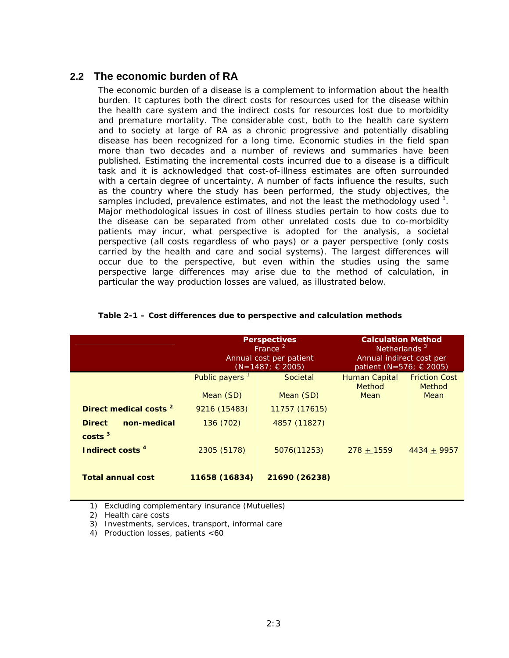## **2.2 The economic burden of RA**

The economic burden of a disease is a complement to information about the health burden. It captures both the direct costs for resources used for the disease within the health care system and the indirect costs for resources lost due to morbidity and premature mortality. The considerable cost, both to the health care system and to society at large of RA as a chronic progressive and potentially disabling disease has been recognized for a long time. Economic studies in the field span more than two decades and a number of reviews and summaries have been published. Estimating the incremental costs incurred due to a disease is a difficult task and it is acknowledged that cost-of-illness estimates are often surrounded with a certain degree of uncertainty. A number of facts influence the results, such as the country where the study has been performed, the study objectives, the samples included, prevalence estimates, and not the least the methodology used  $1$ . Major methodological issues in cost of illness studies pertain to how costs due to the disease can be separated from other unrelated costs due to co-morbidity patients may incur, what perspective is adopted for the analysis, a societal perspective (all costs regardless of who pays) or a payer perspective (only costs carried by the health and care and social systems). The largest differences will occur due to the perspective, but even within the studies using the same perspective large differences may arise due to the method of calculation, in particular the way production losses are valued, as illustrated below.

|                                                    |                            | <b>Perspectives</b><br>France <sup>2</sup><br>Annual cost per patient<br>$(N=1487;$ € 2005) | <b>Calculation Method</b><br>Netherlands <sup>3</sup><br>Annual indirect cost per<br>patient (N=576; € 2005) |                                |  |
|----------------------------------------------------|----------------------------|---------------------------------------------------------------------------------------------|--------------------------------------------------------------------------------------------------------------|--------------------------------|--|
|                                                    | Public payers <sup>1</sup> | Societal                                                                                    | Human Capital<br><b>Method</b>                                                                               | <b>Friction Cost</b><br>Method |  |
|                                                    | Mean (SD)                  | Mean (SD)                                                                                   | <b>Mean</b>                                                                                                  | Mean                           |  |
| Direct medical costs <sup>2</sup>                  | 9216 (15483)               | 11757 (17615)                                                                               |                                                                                                              |                                |  |
| non-medical<br><b>Direct</b><br>costs <sup>3</sup> | 136 (702)                  | 4857 (11827)                                                                                |                                                                                                              |                                |  |
| Indirect costs <sup>4</sup>                        | 2305 (5178)                | 5076(11253)                                                                                 | $278 + 1559$                                                                                                 | $4434 + 9957$                  |  |
| <b>Total annual cost</b>                           | 11658 (16834)              | 21690 (26238)                                                                               |                                                                                                              |                                |  |

#### **Table 2-1 – Cost differences due to perspective and calculation methods**

*1) Excluding complementary insurance (Mutuelles)* 

*2) Health care costs* 

*3) Investments, services, transport, informal care* 

*4) Production losses, patients <60*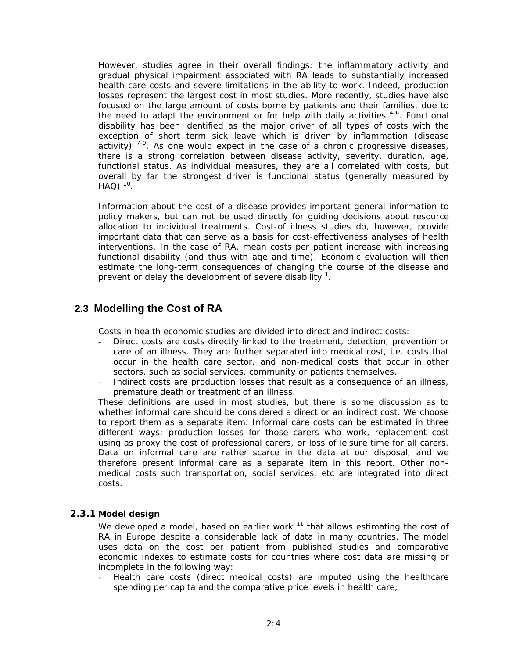However, studies agree in their overall findings: the inflammatory activity and gradual physical impairment associated with RA leads to substantially increased health care costs and severe limitations in the ability to work. Indeed, production losses represent the largest cost in most studies. More recently, studies have also focused on the large amount of costs borne by patients and their families, due to the need to adapt the environment or for help with daily activities  $4-6$ . Functional disability has been identified as the major driver of all types of costs with the exception of short term sick leave which is driven by inflammation (disease activity)  $7-9$ . As one would expect in the case of a chronic progressive diseases, there is a strong correlation between disease activity, severity, duration, age, functional status. As individual measures, they are all correlated with costs, but overall by far the strongest driver is functional status (generally measured by  $HAO$ )  $^{10}$ .

Information about the cost of a disease provides important general information to policy makers, but can not be used directly for guiding decisions about resource allocation to individual treatments. Cost-of illness studies do, however, provide important data that can serve as a basis for cost-effectiveness analyses of health interventions. In the case of RA, mean costs per patient increase with increasing functional disability (and thus with age and time). Economic evaluation will then estimate the long-term consequences of changing the course of the disease and prevent or delay the development of severe disability  $1$ .

## **2.3 Modelling the Cost of RA**

Costs in health economic studies are divided into direct and indirect costs:

- Direct costs are costs directly linked to the treatment, detection, prevention or care of an illness. They are further separated into medical cost, i.e. costs that occur in the health care sector, and non-medical costs that occur in other sectors, such as social services, community or patients themselves.
- Indirect costs are production losses that result as a consequence of an illness, premature death or treatment of an illness.

These definitions are used in most studies, but there is some discussion as to whether informal care should be considered a direct or an indirect cost. We choose to report them as a separate item. Informal care costs can be estimated in three different ways: production losses for those carers who work, replacement cost using as proxy the cost of professional carers, or loss of leisure time for all carers. Data on informal care are rather scarce in the data at our disposal, and we therefore present informal care as a separate item in this report. Other nonmedical costs such transportation, social services, etc are integrated into direct costs.

### **2.3.1 Model design**

We developed a model, based on earlier work  $11$  that allows estimating the cost of RA in Europe despite a considerable lack of data in many countries. The model uses data on the cost per patient from published studies and comparative economic indexes to estimate costs for countries where cost data are missing or incomplete in the following way:

Health care costs (direct medical costs) are imputed using the healthcare spending per capita and the comparative price levels in health care;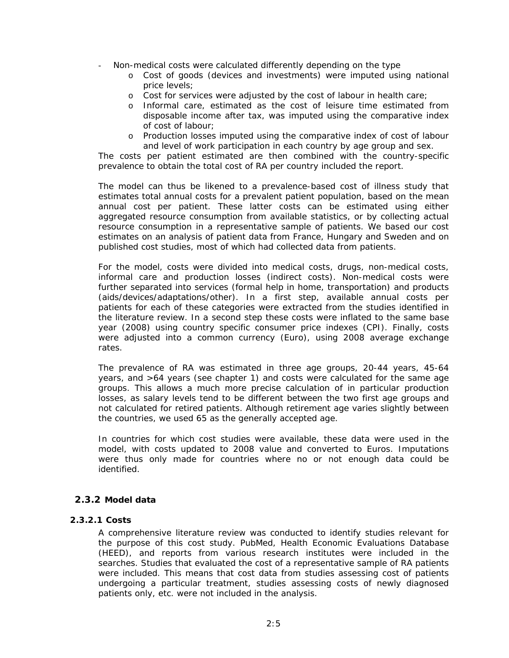- Non-medical costs were calculated differently depending on the type
	- o Cost of goods (devices and investments) were imputed using national price levels;
	- o Cost for services were adjusted by the cost of labour in health care;
	- o Informal care, estimated as the cost of leisure time estimated from disposable income after tax, was imputed using the comparative index of cost of labour;
	- o Production losses imputed using the comparative index of cost of labour and level of work participation in each country by age group and sex.

The costs per patient estimated are then combined with the country-specific prevalence to obtain the total cost of RA per country included the report.

The model can thus be likened to a prevalence-based cost of illness study that estimates total annual costs for a prevalent patient population, based on the mean annual cost per patient. These latter costs can be estimated using either aggregated resource consumption from available statistics, or by collecting actual resource consumption in a representative sample of patients. We based our cost estimates on an analysis of patient data from France, Hungary and Sweden and on published cost studies, most of which had collected data from patients.

For the model, costs were divided into medical costs, drugs, non-medical costs, informal care and production losses (indirect costs). Non-medical costs were further separated into services (formal help in home, transportation) and products (aids/devices/adaptations/other). In a first step, available annual costs per patients for each of these categories were extracted from the studies identified in the literature review. In a second step these costs were inflated to the same base year (2008) using country specific consumer price indexes (CPI). Finally, costs were adjusted into a common currency (Euro), using 2008 average exchange rates.

The prevalence of RA was estimated in three age groups, 20-44 years, 45-64 years, and >64 years (see chapter 1) and costs were calculated for the same age groups. This allows a much more precise calculation of in particular production losses, as salary levels tend to be different between the two first age groups and not calculated for retired patients. Although retirement age varies slightly between the countries, we used 65 as the generally accepted age.

In countries for which cost studies were available, these data were used in the model, with costs updated to 2008 value and converted to Euros. Imputations were thus only made for countries where no or not enough data could be identified.

### **2.3.2 Model data**

### **2.3.2.1 Costs**

A comprehensive literature review was conducted to identify studies relevant for the purpose of this cost study. PubMed, Health Economic Evaluations Database (HEED), and reports from various research institutes were included in the searches. Studies that evaluated the cost of a representative sample of RA patients were included. This means that cost data from studies assessing cost of patients undergoing a particular treatment, studies assessing costs of newly diagnosed patients only, etc. were not included in the analysis.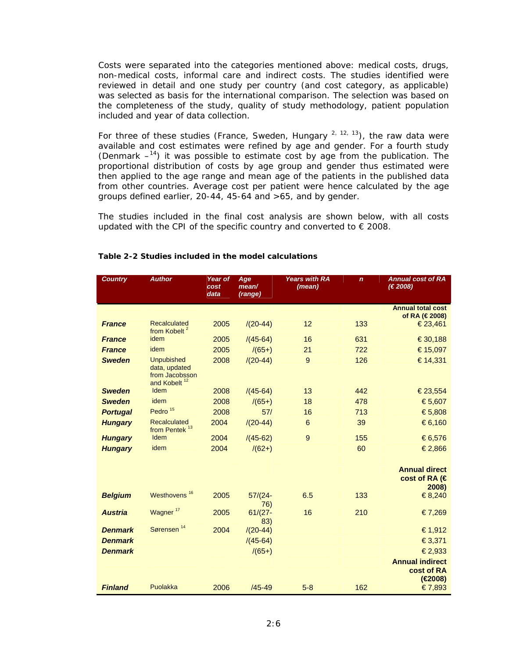Costs were separated into the categories mentioned above: medical costs, drugs, non-medical costs, informal care and indirect costs. The studies identified were reviewed in detail and one study per country (and cost category, as applicable) was selected as basis for the international comparison. The selection was based on the completeness of the study, quality of study methodology, patient population included and year of data collection.

For three of these studies (France, Sweden, Hungary  $2, 12, 13$ ), the raw data were available and cost estimates were refined by age and gender. For a fourth study (Denmark  $-14$ ) it was possible to estimate cost by age from the publication. The proportional distribution of costs by age group and gender thus estimated were then applied to the age range and mean age of the patients in the published data from other countries. Average cost per patient were hence calculated by the age groups defined earlier, 20-44, 45-64 and >65, and by gender.

The studies included in the final cost analysis are shown below, with all costs updated with the CPI of the specific country and converted to  $\epsilon$  2008.

| <b>Country</b>  | <b>Author</b>                                                                    | Year of<br>cost<br>data | Age<br>mean/      | <b>Years with RA</b><br>(mean) | $\mathbf n$ | <b>Annual cost of RA</b><br>(€ 2008)                    |
|-----------------|----------------------------------------------------------------------------------|-------------------------|-------------------|--------------------------------|-------------|---------------------------------------------------------|
|                 |                                                                                  |                         | (range)           |                                |             |                                                         |
|                 |                                                                                  |                         |                   |                                |             | <b>Annual total cost</b><br>of RA (€2008)               |
| <b>France</b>   | Recalculated<br>from Kobelt <sup>2</sup>                                         | 2005                    | $/(20-44)$        | 12                             | 133         | €23,461                                                 |
| <b>France</b>   | idem                                                                             | 2005                    | $/(45-64)$        | 16                             | 631         | €30,188                                                 |
| <b>France</b>   | idem                                                                             | 2005                    | $/(65+)$          | 21                             | 722         | €15,097                                                 |
| <b>Sweden</b>   | <b>Unpubished</b><br>data, updated<br>from Jacobsson<br>and Kobelt <sup>12</sup> | 2008                    | $/(20-44)$        | 9                              | 126         | € 14,331                                                |
| <b>Sweden</b>   | <b>Idem</b>                                                                      | 2008                    | $/(45-64)$        | 13                             | 442         | €23,554                                                 |
| <b>Sweden</b>   | idem                                                                             | 2008                    | $/(65+)$          | 18                             | 478         | €5,607                                                  |
| <b>Portugal</b> | Pedro <sup>15</sup>                                                              | 2008                    | 57/               | 16                             | 713         | €5,808                                                  |
| <b>Hungary</b>  | <b>Recalculated</b><br>from Pentek <sup>13</sup>                                 | 2004                    | $/(20-44)$        | 6                              | 39          | €6,160                                                  |
| <b>Hungary</b>  | Idem                                                                             | 2004                    | $/(45-62)$        | $\overline{9}$                 | 155         | €6,576                                                  |
| <b>Hungary</b>  | idem                                                                             | 2004                    | $/(62+)$          |                                | 60          | €2,866                                                  |
|                 |                                                                                  |                         |                   |                                |             |                                                         |
|                 |                                                                                  |                         |                   |                                |             | <b>Annual direct</b><br>cost of RA $(\epsilon$<br>2008) |
| <b>Belgium</b>  | Westhovens <sup>16</sup>                                                         | 2005                    | $57/(24 -$<br>76) | 6.5                            | 133         | €8,240                                                  |
| <b>Austria</b>  | Wagner <sup>17</sup>                                                             | 2005                    | $61/(27 -$<br>83) | 16                             | 210         | €7,269                                                  |
| <b>Denmark</b>  | Sørensen <sup>14</sup>                                                           | 2004                    | $/(20-44)$        |                                |             | €1,912                                                  |
| <b>Denmark</b>  |                                                                                  |                         | $/(45-64)$        |                                |             | €3,371                                                  |
| <b>Denmark</b>  |                                                                                  |                         | $/(65+)$          |                                |             | €2,933                                                  |
|                 |                                                                                  |                         |                   |                                |             | <b>Annual indirect</b><br>cost of RA<br>(€2008)         |
| <b>Finland</b>  | Puolakka                                                                         | 2006                    | $/45 - 49$        | $5 - 8$                        | 162         | €7,893                                                  |

### **Table 2-2 Studies included in the model calculations**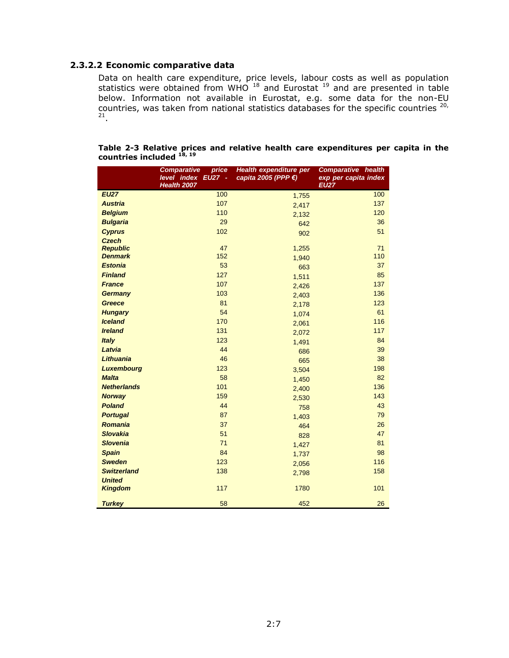### **2.3.2.2 Economic comparative data**

Data on health care expenditure, price levels, labour costs as well as population statistics were obtained from WHO  $^{18}$  and Eurostat  $^{19}$  and are presented in table below. Information not available in Eurostat, e.g. some data for the non-EU countries, was taken from national statistics databases for the specific countries <sup>20,</sup><br><sup>21</sup>.

|                                   | price<br><b>Comparative</b><br>level index EU27 -<br>Health 2007 | Health expenditure per<br>capita 2005 (PPP €) | <b>Comparative health</b><br>exp per capita index<br><b>EU27</b> |
|-----------------------------------|------------------------------------------------------------------|-----------------------------------------------|------------------------------------------------------------------|
| <b>EU27</b>                       | 100                                                              | 1,755                                         | 100                                                              |
| <b>Austria</b>                    | 107                                                              | 2,417                                         | 137                                                              |
| <b>Belgium</b>                    | 110                                                              | 2,132                                         | 120                                                              |
| <b>Bulgaria</b>                   | 29                                                               | 642                                           | 36                                                               |
| <b>Cyprus</b>                     | 102                                                              | 902                                           | 51                                                               |
| <b>Czech</b>                      |                                                                  |                                               |                                                                  |
| <b>Republic</b><br><b>Denmark</b> | 47<br>152                                                        | 1,255                                         | 71<br>110                                                        |
| <b>Estonia</b>                    | 53                                                               | 1,940                                         | 37                                                               |
| <b>Finland</b>                    | 127                                                              | 663                                           | 85                                                               |
| <b>France</b>                     | 107                                                              | 1,511                                         | 137                                                              |
| <b>Germany</b>                    | 103                                                              | 2,426                                         | 136                                                              |
| <b>Greece</b>                     | 81                                                               | 2,403                                         | 123                                                              |
| <b>Hungary</b>                    | 54                                                               | 2,178                                         | 61                                                               |
| <b>Iceland</b>                    | 170                                                              | 1,074                                         | 116                                                              |
| <b>Ireland</b>                    | 131                                                              | 2,061                                         | 117                                                              |
| <b>Italy</b>                      | 123                                                              | 2,072                                         | 84                                                               |
| Latvia                            | 44                                                               | 1,491<br>686                                  | 39                                                               |
| Lithuania                         | 46                                                               | 665                                           | 38                                                               |
| <b>Luxembourg</b>                 | 123                                                              | 3,504                                         | 198                                                              |
| <b>Malta</b>                      | 58                                                               | 1,450                                         | 82                                                               |
| <b>Netherlands</b>                | 101                                                              | 2,400                                         | 136                                                              |
| <b>Norway</b>                     | 159                                                              | 2,530                                         | 143                                                              |
| <b>Poland</b>                     | 44                                                               | 758                                           | 43                                                               |
| <b>Portugal</b>                   | 87                                                               | 1,403                                         | 79                                                               |
| <b>Romania</b>                    | 37                                                               | 464                                           | 26                                                               |
| <b>Slovakia</b>                   | 51                                                               | 828                                           | 47                                                               |
| <b>Slovenia</b>                   | 71                                                               | 1,427                                         | 81                                                               |
| <b>Spain</b>                      | 84                                                               | 1,737                                         | 98                                                               |
| <b>Sweden</b>                     | 123                                                              | 2,056                                         | 116                                                              |
| <b>Switzerland</b>                | 138                                                              | 2,798                                         | 158                                                              |
| <b>United</b>                     |                                                                  |                                               |                                                                  |
| <b>Kingdom</b>                    | 117                                                              | 1780                                          | 101                                                              |
| <b>Turkey</b>                     | 58                                                               | 452                                           | 26                                                               |

#### **Table 2-3 Relative prices and relative health care expenditures per capita in the countries included 18, 19**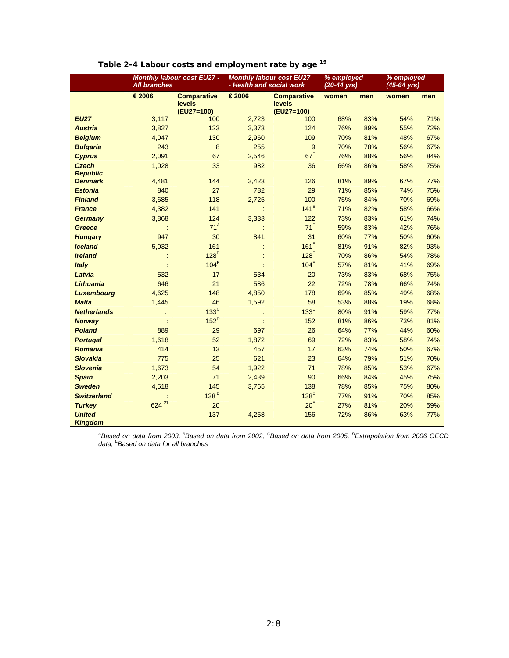|                                 | <b>All branches</b> | Monthly labour cost EU27 -                 | <b>Monthly labour cost EU27</b><br>- Health and social work |                                            | % employed<br>$(20-44 \text{ yrs})$ |     | % employed<br>$(45-64$ yrs) |     |
|---------------------------------|---------------------|--------------------------------------------|-------------------------------------------------------------|--------------------------------------------|-------------------------------------|-----|-----------------------------|-----|
|                                 | €2006               | <b>Comparative</b><br>levels<br>(EU27=100) | €2006                                                       | <b>Comparative</b><br>levels<br>(EU27=100) | women                               | men | women                       | men |
| <b>EU27</b>                     | 3,117               | 100                                        | 2,723                                                       | 100                                        | 68%                                 | 83% | 54%                         | 71% |
| <b>Austria</b>                  | 3,827               | 123                                        | 3,373                                                       | 124                                        | 76%                                 | 89% | 55%                         | 72% |
| <b>Belgium</b>                  | 4,047               | 130                                        | 2,960                                                       | 109                                        | 70%                                 | 81% | 48%                         | 67% |
| <b>Bulgaria</b>                 | 243                 | 8                                          | 255                                                         | 9                                          | 70%                                 | 78% | 56%                         | 67% |
| <b>Cyprus</b>                   | 2,091               | 67                                         | 2,546                                                       | 67 <sup>E</sup>                            | 76%                                 | 88% | 56%                         | 84% |
| <b>Czech</b><br><b>Republic</b> | 1,028               | 33                                         | 982                                                         | 36                                         | 66%                                 | 86% | 58%                         | 75% |
| <b>Denmark</b>                  | 4,481               | 144                                        | 3,423                                                       | 126                                        | 81%                                 | 89% | 67%                         | 77% |
| <b>Estonia</b>                  | 840                 | 27                                         | 782                                                         | 29                                         | 71%                                 | 85% | 74%                         | 75% |
| <b>Finland</b>                  | 3,685               | 118                                        | 2,725                                                       | 100                                        | 75%                                 | 84% | 70%                         | 69% |
| <b>France</b>                   | 4,382               | 141                                        |                                                             | $141^E$                                    | 71%                                 | 82% | 58%                         | 66% |
| <b>Germany</b>                  | 3,868               | 124                                        | 3,333                                                       | 122                                        | 73%                                 | 83% | 61%                         | 74% |
| <b>Greece</b>                   |                     | 71 <sup>A</sup>                            |                                                             | $71^E$                                     | 59%                                 | 83% | 42%                         | 76% |
| <b>Hungary</b>                  | 947                 | 30                                         | 841                                                         | 31                                         | 60%                                 | 77% | 50%                         | 60% |
| <b>Iceland</b>                  | 5,032               | 161                                        |                                                             | 161 <sup>E</sup>                           | 81%                                 | 91% | 82%                         | 93% |
| <b>Ireland</b>                  |                     | 128 <sup>D</sup>                           |                                                             | 128 <sup>E</sup>                           | 70%                                 | 86% | 54%                         | 78% |
| Italy                           |                     | $104^B$                                    |                                                             | 104 <sup>E</sup>                           | 57%                                 | 81% | 41%                         | 69% |
| Latvia                          | 532                 | 17                                         | 534                                                         | 20                                         | 73%                                 | 83% | 68%                         | 75% |
| Lithuania                       | 646                 | 21                                         | 586                                                         | 22                                         | 72%                                 | 78% | 66%                         | 74% |
| <b>Luxembourg</b>               | 4,625               | 148                                        | 4,850                                                       | 178                                        | 69%                                 | 85% | 49%                         | 68% |
| <b>Malta</b>                    | 1,445               | 46                                         | 1,592                                                       | 58                                         | 53%                                 | 88% | 19%                         | 68% |
| <b>Netherlands</b>              |                     | $133^{\circ}$                              |                                                             | 133 <sup>E</sup>                           | 80%                                 | 91% | 59%                         | 77% |
| <b>Norway</b>                   |                     | $152^D$                                    |                                                             | 152                                        | 81%                                 | 86% | 73%                         | 81% |
| <b>Poland</b>                   | 889                 | 29                                         | 697                                                         | 26                                         | 64%                                 | 77% | 44%                         | 60% |
| <b>Portugal</b>                 | 1,618               | 52                                         | 1,872                                                       | 69                                         | 72%                                 | 83% | 58%                         | 74% |
| <b>Romania</b>                  | 414                 | 13                                         | 457                                                         | 17                                         | 63%                                 | 74% | 50%                         | 67% |
| <b>Slovakia</b>                 | 775                 | 25                                         | 621                                                         | 23                                         | 64%                                 | 79% | 51%                         | 70% |
| <b>Slovenia</b>                 | 1,673               | 54                                         | 1,922                                                       | 71                                         | 78%                                 | 85% | 53%                         | 67% |
| <b>Spain</b>                    | 2,203               | 71                                         | 2,439                                                       | 90                                         | 66%                                 | 84% | 45%                         | 75% |
| <b>Sweden</b>                   | 4,518               | 145                                        | 3,765                                                       | 138                                        | 78%                                 | 85% | 75%                         | 80% |
| <b>Switzerland</b>              |                     | 138 <sup>D</sup>                           |                                                             | 138 <sup>E</sup>                           | 77%                                 | 91% | 70%                         | 85% |
| <b>Turkey</b>                   | 624 21              | 20                                         |                                                             | 20 <sup>E</sup>                            | 27%                                 | 81% | 20%                         | 59% |
| <b>United</b><br><b>Kingdom</b> |                     | 137                                        | 4,258                                                       | 156                                        | 72%                                 | 86% | 63%                         | 77% |

## **Table 2-4 Labour costs and employment rate by age 19**

*A Based on data from 2003, BBased on data from 2002, C Based on data from 2005, <sup>D</sup> Extrapolation from 2006 OECD data, <sup>E</sup> Based on data for all branches*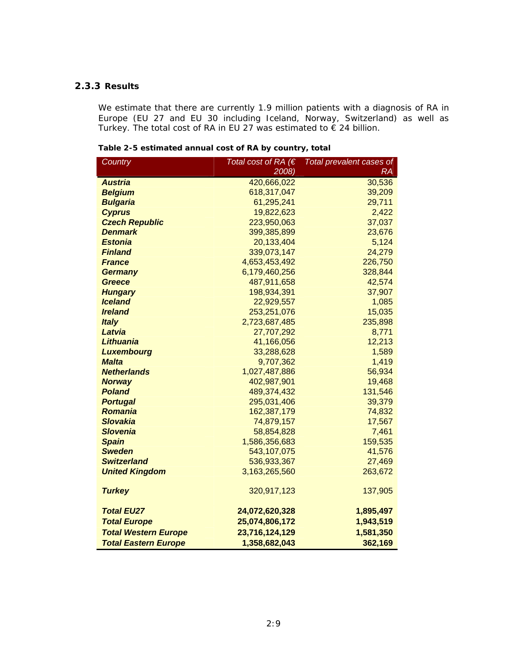### **2.3.3 Results**

We estimate that there are currently 1.9 million patients with a diagnosis of RA in Europe (EU 27 and EU 30 including Iceland, Norway, Switzerland) as well as Turkey. The total cost of RA in EU 27 was estimated to € 24 billion.

**Table 2-5 estimated annual cost of RA by country, total** 

| Country                     | Total cost of RA $(E)$ | Total prevalent cases of |
|-----------------------------|------------------------|--------------------------|
|                             | 2008)                  | $\overline{\mathsf{RA}}$ |
| <b>Austria</b>              | 420,666,022            | 30,536                   |
| <b>Belgium</b>              | 618,317,047            | 39,209                   |
| <b>Bulgaria</b>             | 61,295,241             | 29,711                   |
| <b>Cyprus</b>               | 19,822,623             | 2,422                    |
| <b>Czech Republic</b>       | 223,950,063            | 37,037                   |
| <b>Denmark</b>              | 399,385,899            | 23,676                   |
| <b>Estonia</b>              | 20,133,404             | 5,124                    |
| <b>Finland</b>              | 339,073,147            | 24,279                   |
| <b>France</b>               | 4,653,453,492          | 226,750                  |
| <b>Germany</b>              | 6,179,460,256          | 328,844                  |
| <b>Greece</b>               | 487,911,658            | 42,574                   |
| <b>Hungary</b>              | 198,934,391            | 37,907                   |
| <b>Iceland</b>              | 22,929,557             | 1,085                    |
| <b>Ireland</b>              | 253,251,076            | 15,035                   |
| <b>Italy</b>                | 2,723,687,485          | 235,898                  |
| Latvia                      | 27,707,292             | 8,771                    |
| <b>Lithuania</b>            | 41,166,056             | 12,213                   |
| <b>Luxembourg</b>           | 33,288,628             | 1,589                    |
| <b>Malta</b>                | 9,707,362              | 1,419                    |
| <b>Netherlands</b>          | 1,027,487,886          | 56,934                   |
| <b>Norway</b>               | 402,987,901            | 19,468                   |
| <b>Poland</b>               | 489,374,432            | 131,546                  |
| <b>Portugal</b>             | 295,031,406            | 39,379                   |
| <b>Romania</b>              | 162,387,179            | 74,832                   |
| <b>Slovakia</b>             | 74,879,157             | 17,567                   |
| <b>Slovenia</b>             | 58,854,828             | 7,461                    |
| <b>Spain</b>                | 1,586,356,683          | 159,535                  |
| <b>Sweden</b>               | 543,107,075            | 41,576                   |
| <b>Switzerland</b>          | 536,933,367            | 27,469                   |
| <b>United Kingdom</b>       | 3,163,265,560          | 263,672                  |
|                             |                        |                          |
| <b>Turkey</b>               | 320,917,123            | 137,905                  |
| <b>Total EU27</b>           | 24,072,620,328         | 1,895,497                |
| <b>Total Europe</b>         | 25,074,806,172         | 1,943,519                |
| <b>Total Western Europe</b> | 23,716,124,129         | 1,581,350                |
| <b>Total Eastern Europe</b> | 1,358,682,043          | 362,169                  |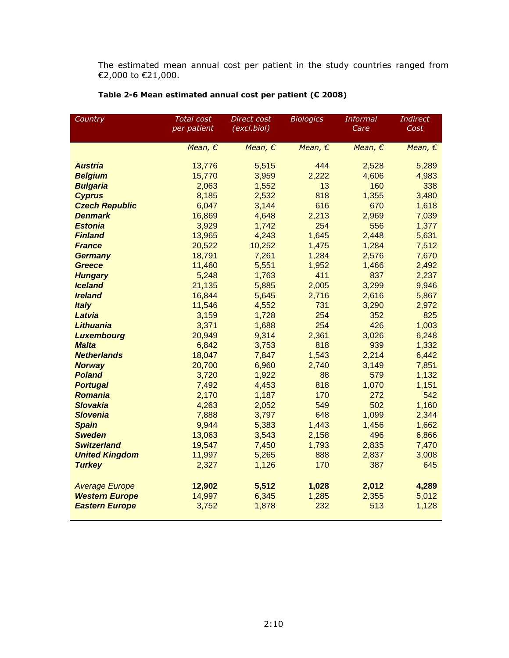The estimated mean annual cost per patient in the study countries ranged from €2,000 to €21,000.

| Country                       | <b>Total cost</b> | Direct cost      | <b>Biologics</b> | <b>Informal</b>  | <b>Indirect</b>  |
|-------------------------------|-------------------|------------------|------------------|------------------|------------------|
|                               | per patient       | (excl.biol)      |                  | Care             | Cost             |
|                               |                   |                  |                  |                  |                  |
|                               | Mean, $\epsilon$  | Mean, $\epsilon$ | Mean, $\epsilon$ | Mean, $\epsilon$ | Mean, $\epsilon$ |
| <b>Austria</b>                | 13,776            | 5,515            | 444              | 2,528            | 5,289            |
| <b>Belgium</b>                | 15,770            | 3,959            | 2,222            | 4,606            | 4,983            |
| <b>Bulgaria</b>               | 2,063             | 1,552            | 13               | 160              | 338              |
| <b>Cyprus</b>                 | 8,185             | 2,532            | 818              | 1,355            | 3,480            |
| <b>Czech Republic</b>         | 6,047             | 3,144            | 616              | 670              | 1,618            |
| <b>Denmark</b>                | 16,869            | 4,648            | 2,213            | 2,969            | 7,039            |
| <b>Estonia</b>                | 3,929             | 1,742            | 254              | 556              | 1,377            |
| <b>Finland</b>                | 13,965            | 4,243            | 1,645            | 2,448            | 5,631            |
| <b>France</b>                 | 20,522            | 10,252           | 1,475            | 1,284            | 7,512            |
| <b>Germany</b>                | 18,791            | 7,261            | 1,284            | 2,576            | 7,670            |
| <b>Greece</b>                 | 11,460            | 5,551            | 1,952            | 1,466            | 2,492            |
| <b>Hungary</b>                | 5,248             | 1,763            | 411              | 837              | 2,237            |
| <b>Iceland</b>                | 21,135            | 5,885            | 2,005            | 3,299            | 9,946            |
| <b>Ireland</b>                | 16,844            | 5,645            | 2,716            | 2,616            | 5,867            |
| <b>Italy</b>                  | 11,546            | 4,552            | 731              | 3,290            | 2,972            |
| Latvia                        | 3,159             | 1,728            | 254              | 352              | 825              |
| <b>Lithuania</b>              | 3,371             | 1,688            | 254              | 426              | 1,003            |
| <b>Luxembourg</b>             | 20,949            | 9,314            | 2,361            | 3,026            | 6,248            |
| <b>Malta</b>                  | 6,842             | 3,753            | 818              | 939              | 1,332            |
| <b>Netherlands</b>            | 18,047            | 7,847            | 1,543            | 2,214            | 6,442            |
| <b>Norway</b>                 | 20,700            | 6,960            | 2,740            | 3,149            | 7,851            |
| <b>Poland</b>                 | 3,720             | 1,922            | 88               | 579              | 1,132            |
| <b>Portugal</b>               | 7,492             | 4,453            | 818              | 1,070            | 1,151            |
| <b>Romania</b>                | 2,170             | 1,187            | 170              | 272              | 542              |
| <b>Slovakia</b>               | 4,263             | 2,052            | 549              | 502              | 1,160            |
| <b>Slovenia</b>               | 7,888             | 3,797            | 648              | 1,099            | 2,344            |
| <b>Spain</b><br><b>Sweden</b> | 9,944             | 5,383<br>3,543   | 1,443            | 1,456<br>496     | 1,662            |
| <b>Switzerland</b>            | 13,063            |                  | 2,158            | 2,835            | 6,866            |
| <b>United Kingdom</b>         | 19,547<br>11,997  | 7,450<br>5,265   | 1,793<br>888     | 2,837            | 7,470<br>3,008   |
|                               | 2,327             | 1,126            | 170              | 387              | 645              |
| <b>Turkey</b>                 |                   |                  |                  |                  |                  |
| <b>Average Europe</b>         | 12,902            | 5,512            | 1,028            | 2,012            | 4,289            |
| <b>Western Europe</b>         | 14,997            | 6,345            | 1,285            | 2,355            | 5,012            |
| <b>Eastern Europe</b>         | 3,752             | 1,878            | 232              | 513              | 1,128            |
|                               |                   |                  |                  |                  |                  |

## **Table 2-6 Mean estimated annual cost per patient (€ 2008)**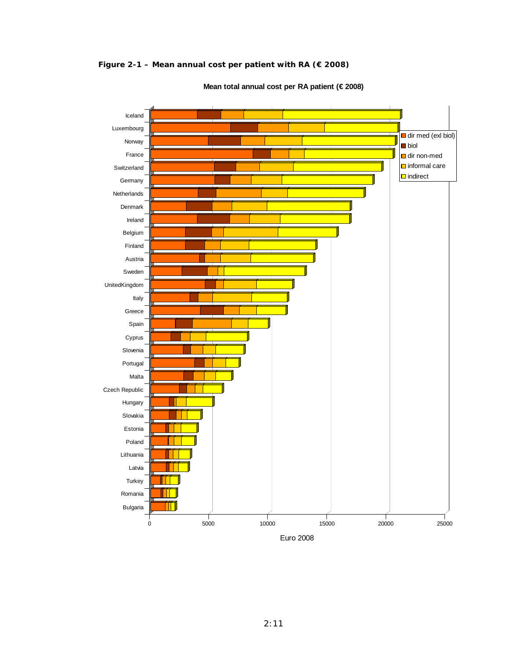**Figure 2-1 – Mean annual cost per patient with RA (€ 2008)** 



**Mean total annual cost per RA patient (€ 2008)**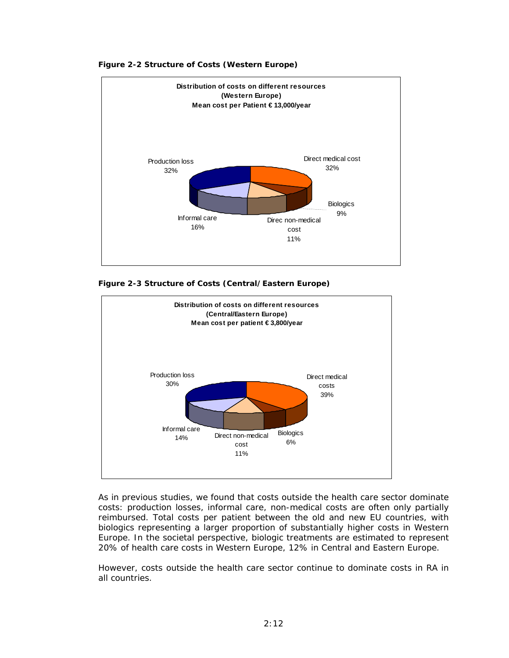

#### **Figure 2-2 Structure of Costs (Western Europe)**





As in previous studies, we found that costs outside the health care sector dominate costs: production losses, informal care, non-medical costs are often only partially reimbursed. Total costs per patient between the old and new EU countries, with biologics representing a larger proportion of substantially higher costs in Western Europe. In the societal perspective, biologic treatments are estimated to represent 20% of health care costs in Western Europe, 12% in Central and Eastern Europe.

However, costs outside the health care sector continue to dominate costs in RA in all countries.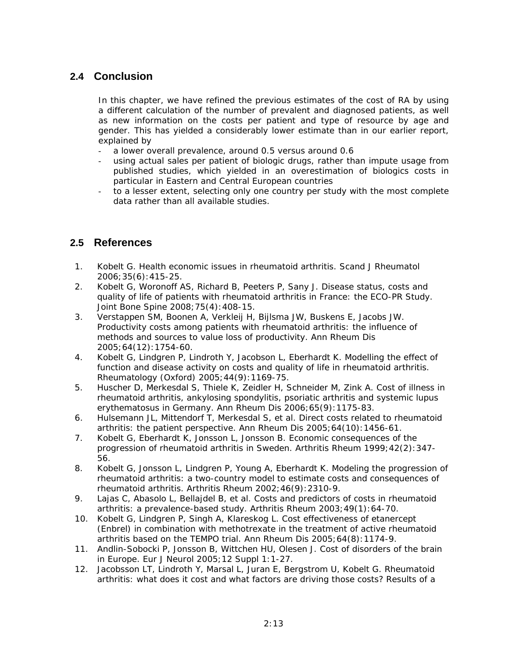## **2.4 Conclusion**

In this chapter, we have refined the previous estimates of the cost of RA by using a different calculation of the number of prevalent and diagnosed patients, as well as new information on the costs per patient and type of resource by age and gender. This has yielded a considerably lower estimate than in our earlier report, explained by

- a lower overall prevalence, around 0.5 versus around 0.6
- using actual sales per patient of biologic drugs, rather than impute usage from published studies, which yielded in an overestimation of biologics costs in particular in Eastern and Central European countries
- to a lesser extent, selecting only one country per study with the most complete data rather than all available studies.

## **2.5 References**

- 1. Kobelt G. Health economic issues in rheumatoid arthritis. Scand J Rheumatol 2006;35(6):415-25.
- 2. Kobelt G, Woronoff AS, Richard B, Peeters P, Sany J. Disease status, costs and quality of life of patients with rheumatoid arthritis in France: the ECO-PR Study. Joint Bone Spine 2008;75(4):408-15.
- 3. Verstappen SM, Boonen A, Verkleij H, Bijlsma JW, Buskens E, Jacobs JW. Productivity costs among patients with rheumatoid arthritis: the influence of methods and sources to value loss of productivity. Ann Rheum Dis 2005;64(12):1754-60.
- 4. Kobelt G, Lindgren P, Lindroth Y, Jacobson L, Eberhardt K. Modelling the effect of function and disease activity on costs and quality of life in rheumatoid arthritis. Rheumatology (Oxford) 2005;44(9):1169-75.
- 5. Huscher D, Merkesdal S, Thiele K, Zeidler H, Schneider M, Zink A. Cost of illness in rheumatoid arthritis, ankylosing spondylitis, psoriatic arthritis and systemic lupus erythematosus in Germany. Ann Rheum Dis 2006;65(9):1175-83.
- 6. Hulsemann JL, Mittendorf T, Merkesdal S, et al. Direct costs related to rheumatoid arthritis: the patient perspective. Ann Rheum Dis 2005;64(10):1456-61.
- 7. Kobelt G, Eberhardt K, Jonsson L, Jonsson B. Economic consequences of the progression of rheumatoid arthritis in Sweden. Arthritis Rheum 1999;42(2):347- 56.
- 8. Kobelt G, Jonsson L, Lindgren P, Young A, Eberhardt K. Modeling the progression of rheumatoid arthritis: a two-country model to estimate costs and consequences of rheumatoid arthritis. Arthritis Rheum 2002;46(9):2310-9.
- 9. Lajas C, Abasolo L, Bellajdel B, et al. Costs and predictors of costs in rheumatoid arthritis: a prevalence-based study. Arthritis Rheum 2003;49(1):64-70.
- 10. Kobelt G, Lindgren P, Singh A, Klareskog L. Cost effectiveness of etanercept (Enbrel) in combination with methotrexate in the treatment of active rheumatoid arthritis based on the TEMPO trial. Ann Rheum Dis 2005;64(8):1174-9.
- 11. Andlin-Sobocki P, Jonsson B, Wittchen HU, Olesen J. Cost of disorders of the brain in Europe. Eur J Neurol 2005;12 Suppl 1:1-27.
- 12. Jacobsson LT, Lindroth Y, Marsal L, Juran E, Bergstrom U, Kobelt G. Rheumatoid arthritis: what does it cost and what factors are driving those costs? Results of a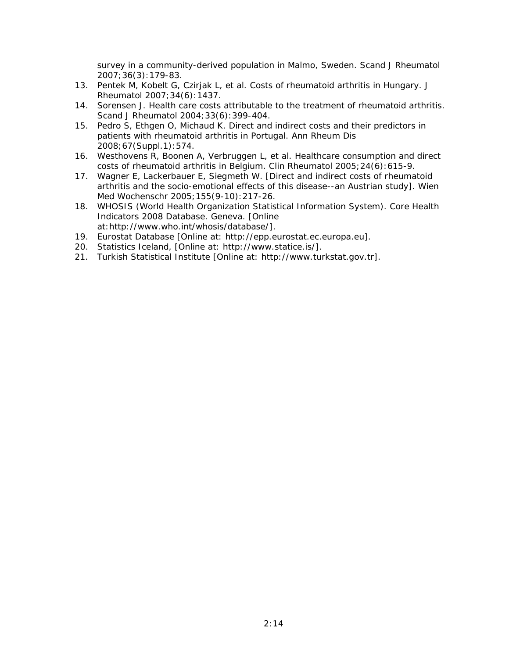survey in a community-derived population in Malmo, Sweden. Scand J Rheumatol 2007;36(3):179-83.

- 13. Pentek M, Kobelt G, Czirjak L, et al. Costs of rheumatoid arthritis in Hungary. J Rheumatol 2007;34(6):1437.
- 14. Sorensen J. Health care costs attributable to the treatment of rheumatoid arthritis. Scand J Rheumatol 2004;33(6):399-404.
- 15. Pedro S, Ethgen O, Michaud K. Direct and indirect costs and their predictors in patients with rheumatoid arthritis in Portugal. Ann Rheum Dis 2008;67(Suppl.1):574.
- 16. Westhovens R, Boonen A, Verbruggen L, et al. Healthcare consumption and direct costs of rheumatoid arthritis in Belgium. Clin Rheumatol 2005;24(6):615-9.
- 17. Wagner E, Lackerbauer E, Siegmeth W. [Direct and indirect costs of rheumatoid arthritis and the socio-emotional effects of this disease--an Austrian study]. Wien Med Wochenschr 2005;155(9-10):217-26.
- 18. WHOSIS (World Health Organization Statistical Information System). Core Health Indicators 2008 Database. Geneva. [Online at:http://www.who.int/whosis/database/].
- 19. Eurostat Database [Online at: http://epp.eurostat.ec.europa.eu].
- 20. Statistics Iceland, [Online at: http://www.statice.is/].
- 21. Turkish Statistical Institute [Online at: http://www.turkstat.gov.tr].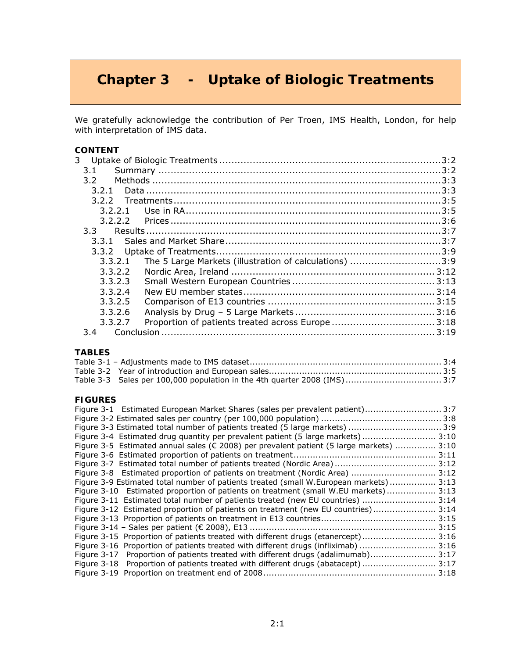# **Chapter 3 - Uptake of Biologic Treatments**

We gratefully acknowledge the contribution of Per Troen, IMS Health, London, for help with interpretation of IMS data.

| CONTENT                                                           |  |
|-------------------------------------------------------------------|--|
| 3.                                                                |  |
| 3.1                                                               |  |
| $3.2 -$                                                           |  |
| 3.2.1                                                             |  |
|                                                                   |  |
| 3.2.2.1                                                           |  |
| 3.2.2.2                                                           |  |
| $3.3 -$                                                           |  |
|                                                                   |  |
| 3.3.2                                                             |  |
| The 5 Large Markets (illustration of calculations) 3:9<br>3.3.2.1 |  |
| 3.3.2.2                                                           |  |
| 3.3.2.3                                                           |  |
| 3.3.2.4                                                           |  |
| 3.3.2.5                                                           |  |
| 3.3.2.6                                                           |  |
| 3.3.2.7                                                           |  |
| $3.4^{\circ}$                                                     |  |

### **TABLES**

| Table 3-3 Sales per 100,000 population in the 4th quarter 2008 (IMS) 3:7 |  |
|--------------------------------------------------------------------------|--|

#### **FIGURES**

| Figure 3-1 Estimated European Market Shares (sales per prevalent patient) 3:7                      |        |
|----------------------------------------------------------------------------------------------------|--------|
|                                                                                                    |        |
| Figure 3-3 Estimated total number of patients treated (5 large markets)  3:9                       |        |
| Figure 3-4 Estimated drug quantity per prevalent patient (5 large markets) 3:10                    |        |
| Figure 3-5 Estimated annual sales ( $\epsilon$ 2008) per prevalent patient (5 large markets)  3:10 |        |
|                                                                                                    |        |
| Figure 3-7 Estimated total number of patients treated (Nordic Area) 3:12                           |        |
| Figure 3-8 Estimated proportion of patients on treatment (Nordic Area)  3:12                       |        |
| Figure 3-9 Estimated total number of patients treated (small W.European markets) 3:13              |        |
| Figure 3-10 Estimated proportion of patients on treatment (small W.EU markets) 3:13                |        |
| Figure 3-11 Estimated total number of patients treated (new EU countries)  3:14                    |        |
| Figure 3-12 Estimated proportion of patients on treatment (new EU countries) 3:14                  |        |
|                                                                                                    |        |
|                                                                                                    |        |
| Figure 3-15 Proportion of patients treated with different drugs (etanercept)                       | . 3:16 |
| Figure 3-16 Proportion of patients treated with different drugs (infliximab)                       | 3:16   |
| Figure 3-17 Proportion of patients treated with different drugs (adalimumab)                       | 3:17   |
| Figure 3-18 Proportion of patients treated with different drugs (abatacept)                        | 3:17   |
|                                                                                                    | 3:18   |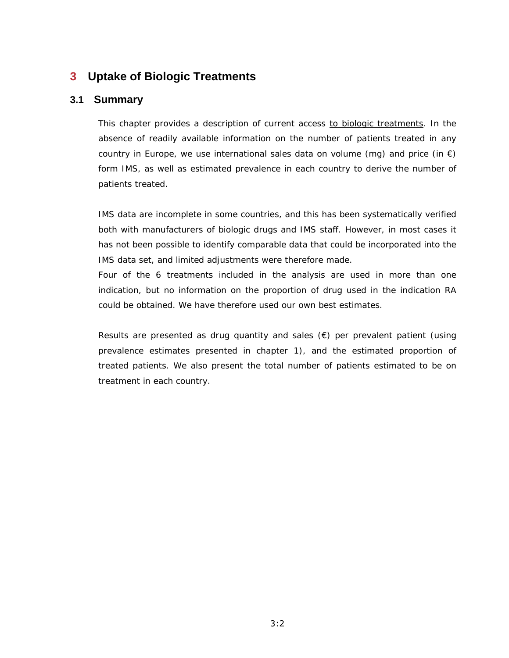# **3 Uptake of Biologic Treatments**

### **3.1 Summary**

*This chapter provides a description of current access to biologic treatments. In the absence of readily available information on the number of patients treated in any country in Europe, we use international sales data on volume (mg) and price (in*  $\epsilon$ *)* form IMS, as well as estimated prevalence in each country to derive the number of *patients treated.* 

*IMS data are incomplete in some countries, and this has been systematically verified both with manufacturers of biologic drugs and IMS staff. However, in most cases it*  has not been possible to identify comparable data that could be incorporated into the *IMS data set, and limited adjustments were therefore made.* 

Four of the 6 treatments included in the analysis are used in more than one *indication, but no information on the proportion of drug used in the indication RA could be obtained. We have therefore used our own best estimates.* 

*Results are presented as drug quantity and sales (€) per prevalent patient (using prevalence estimates presented in chapter 1), and the estimated proportion of treated patients. We also present the total number of patients estimated to be on treatment in each country.*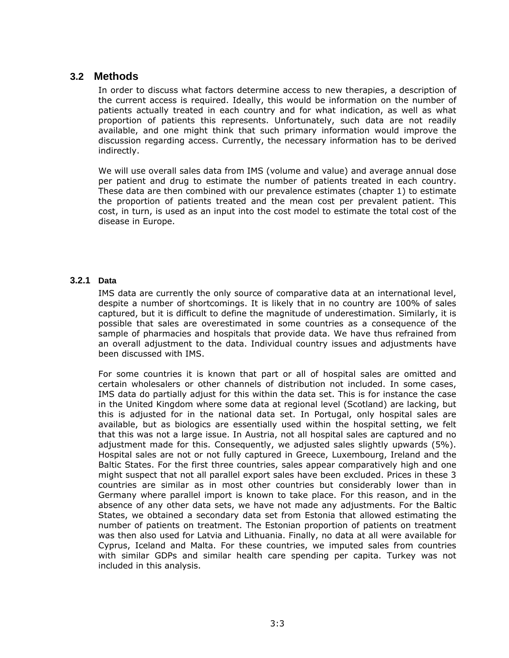### **3.2 Methods**

In order to discuss what factors determine access to new therapies, a description of the current access is required. Ideally, this would be information on the number of patients actually treated in each country and for what indication, as well as what proportion of patients this represents. Unfortunately, such data are not readily available, and one might think that such primary information would improve the discussion regarding access. Currently, the necessary information has to be derived indirectly.

We will use overall sales data from IMS (volume and value) and average annual dose per patient and drug to estimate the number of patients treated in each country. These data are then combined with our prevalence estimates (chapter 1) to estimate the proportion of patients treated and the mean cost per prevalent patient. This cost, in turn, is used as an input into the cost model to estimate the total cost of the disease in Europe.

### **3.2.1 Data**

IMS data are currently the only source of comparative data at an international level, despite a number of shortcomings. It is likely that in no country are 100% of sales captured, but it is difficult to define the magnitude of underestimation. Similarly, it is possible that sales are overestimated in some countries as a consequence of the sample of pharmacies and hospitals that provide data. We have thus refrained from an overall adjustment to the data. Individual country issues and adjustments have been discussed with IMS.

For some countries it is known that part or all of hospital sales are omitted and certain wholesalers or other channels of distribution not included. In some cases, IMS data do partially adjust for this within the data set. This is for instance the case in the United Kingdom where some data at regional level (Scotland) are lacking, but this is adjusted for in the national data set. In Portugal, only hospital sales are available, but as biologics are essentially used within the hospital setting, we felt that this was not a large issue. In Austria, not all hospital sales are captured and no adjustment made for this. Consequently, we adjusted sales slightly upwards (5%). Hospital sales are not or not fully captured in Greece, Luxembourg, Ireland and the Baltic States. For the first three countries, sales appear comparatively high and one might suspect that not all parallel export sales have been excluded. Prices in these 3 countries are similar as in most other countries but considerably lower than in Germany where parallel import is known to take place. For this reason, and in the absence of any other data sets, we have not made any adjustments. For the Baltic States, we obtained a secondary data set from Estonia that allowed estimating the number of patients on treatment. The Estonian proportion of patients on treatment was then also used for Latvia and Lithuania. Finally, no data at all were available for Cyprus, Iceland and Malta. For these countries, we imputed sales from countries with similar GDPs and similar health care spending per capita. Turkey was not included in this analysis.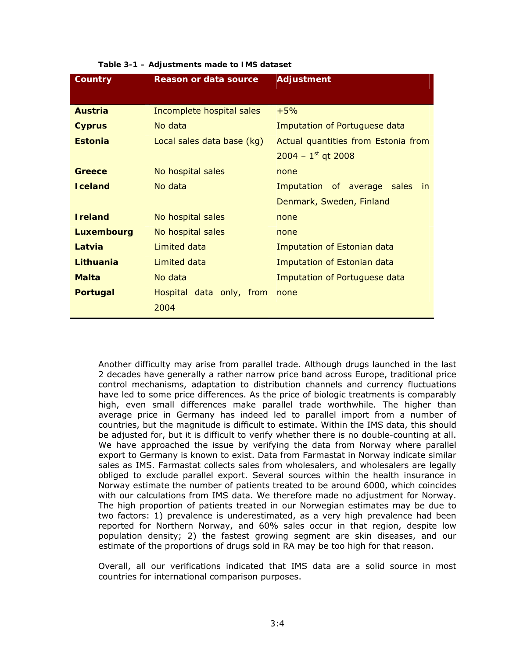| Country           | <b>Reason or data source</b> | <b>Adjustment</b>                   |  |
|-------------------|------------------------------|-------------------------------------|--|
|                   |                              |                                     |  |
| <b>Austria</b>    | Incomplete hospital sales    | $+5%$                               |  |
| <b>Cyprus</b>     | No data                      | Imputation of Portuguese data       |  |
| <b>Estonia</b>    | Local sales data base (kg)   | Actual quantities from Estonia from |  |
|                   |                              | $2004 - 1^{st}$ gt 2008             |  |
| Greece            | No hospital sales            | none                                |  |
| <b>Iceland</b>    | No data                      | Imputation of average sales<br>in.  |  |
|                   |                              | Denmark, Sweden, Finland            |  |
| <b>Ireland</b>    | No hospital sales            | none                                |  |
| <b>Luxembourg</b> | No hospital sales            | none                                |  |
| Latvia            | Limited data                 | Imputation of Estonian data         |  |
| Lithuania         | Limited data                 | Imputation of Estonian data         |  |
| <b>Malta</b>      | No data                      | Imputation of Portuguese data       |  |
| <b>Portugal</b>   | Hospital data only, from     | none                                |  |
|                   | 2004                         |                                     |  |

#### **Table 3-1 – Adjustments made to IMS dataset**

Another difficulty may arise from parallel trade. Although drugs launched in the last 2 decades have generally a rather narrow price band across Europe, traditional price control mechanisms, adaptation to distribution channels and currency fluctuations have led to some price differences. As the price of biologic treatments is comparably high, even small differences make parallel trade worthwhile. The higher than average price in Germany has indeed led to parallel import from a number of countries, but the magnitude is difficult to estimate. Within the IMS data, this should be adjusted for, but it is difficult to verify whether there is no double-counting at all. We have approached the issue by verifying the data from Norway where parallel export to Germany is known to exist. Data from Farmastat in Norway indicate similar sales as IMS. Farmastat collects sales from wholesalers, and wholesalers are legally obliged to exclude parallel export. Several sources within the health insurance in Norway estimate the number of patients treated to be around 6000, which coincides with our calculations from IMS data. We therefore made no adjustment for Norway. The high proportion of patients treated in our Norwegian estimates may be due to two factors: 1) prevalence is underestimated, as a very high prevalence had been reported for Northern Norway, and 60% sales occur in that region, despite low population density; 2) the fastest growing segment are skin diseases, and our estimate of the proportions of drugs sold in RA may be too high for that reason.

Overall, all our verifications indicated that IMS data are a solid source in most countries for international comparison purposes.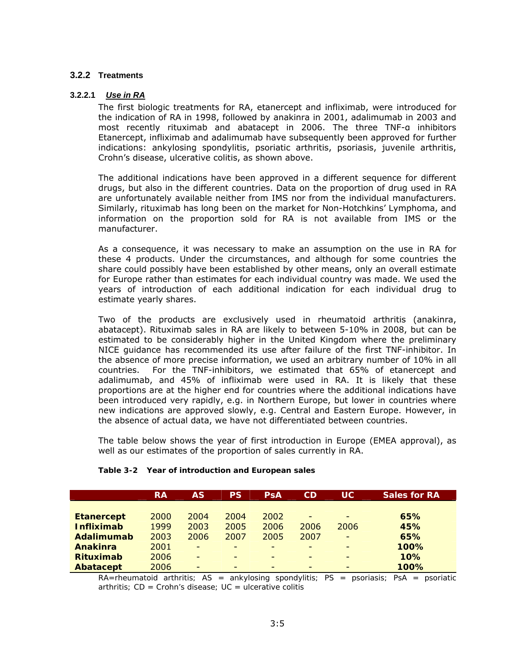#### **3.2.2 Treatments**

#### **3.2.2.1** *Use in RA*

The first biologic treatments for RA, etanercept and infliximab, were introduced for the indication of RA in 1998, followed by anakinra in 2001, adalimumab in 2003 and most recently rituximab and abatacept in 2006. The three TNF-α inhibitors Etanercept, infliximab and adalimumab have subsequently been approved for further indications: ankylosing spondylitis, psoriatic arthritis, psoriasis, juvenile arthritis, Crohn's disease, ulcerative colitis, as shown above.

The additional indications have been approved in a different sequence for different drugs, but also in the different countries. Data on the proportion of drug used in RA are unfortunately available neither from IMS nor from the individual manufacturers. Similarly, rituximab has long been on the market for Non-Hotchkins' Lymphoma, and information on the proportion sold for RA is not available from IMS or the manufacturer.

As a consequence, it was necessary to make an assumption on the use in RA for these 4 products. Under the circumstances, and although for some countries the share could possibly have been established by other means, only an overall estimate for Europe rather than estimates for each individual country was made. We used the years of introduction of each additional indication for each individual drug to estimate yearly shares.

Two of the products are exclusively used in rheumatoid arthritis (anakinra, abatacept). Rituximab sales in RA are likely to between 5-10% in 2008, but can be estimated to be considerably higher in the United Kingdom where the preliminary NICE guidance has recommended its use after failure of the first TNF-inhibitor. In the absence of more precise information, we used an arbitrary number of 10% in all countries. For the TNF-inhibitors, we estimated that 65% of etanercept and adalimumab, and 45% of infliximab were used in RA. It is likely that these proportions are at the higher end for countries where the additional indications have been introduced very rapidly, e.g. in Northern Europe, but lower in countries where new indications are approved slowly, e.g. Central and Eastern Europe. However, in the absence of actual data, we have not differentiated between countries.

The table below shows the year of first introduction in Europe (EMEA approval), as well as our estimates of the proportion of sales currently in RA.

|                   | <b>RA</b> | AS                       | <b>PS</b> | PsA  | CD                       | <b>UC</b>                | <b>Sales for RA</b> |
|-------------------|-----------|--------------------------|-----------|------|--------------------------|--------------------------|---------------------|
|                   |           |                          |           |      |                          |                          |                     |
| <b>Etanercept</b> | 2000      | 2004                     | 2004      | 2002 | $\overline{\phantom{a}}$ | $\overline{a}$           | 65%                 |
| <b>Infliximab</b> | 1999      | 2003                     | 2005      | 2006 | 2006                     | 2006                     | 45%                 |
| <b>Adalimumab</b> | 2003      | 2006                     | 2007      | 2005 | 2007                     | $\overline{a}$           | 65%                 |
| <b>Anakinra</b>   | 2001      | $\overline{\phantom{0}}$ |           | -    | $\overline{\phantom{0}}$ | $\overline{\phantom{0}}$ | 100%                |
| <b>Rituximab</b>  | 2006      | $\overline{\phantom{a}}$ |           | -    | -                        | $\overline{\phantom{0}}$ | 10%                 |
| Abatacept         | 2006      | $\overline{\phantom{a}}$ |           | -    | $\overline{\phantom{0}}$ | -                        | 100%                |

#### **Table 3-2 Year of introduction and European sales**

*RA=rheumatoid arthritis; AS = ankylosing spondylitis; PS = psoriasis; PsA = psoriatic arthritis; CD = Crohn's disease; UC = ulcerative colitis*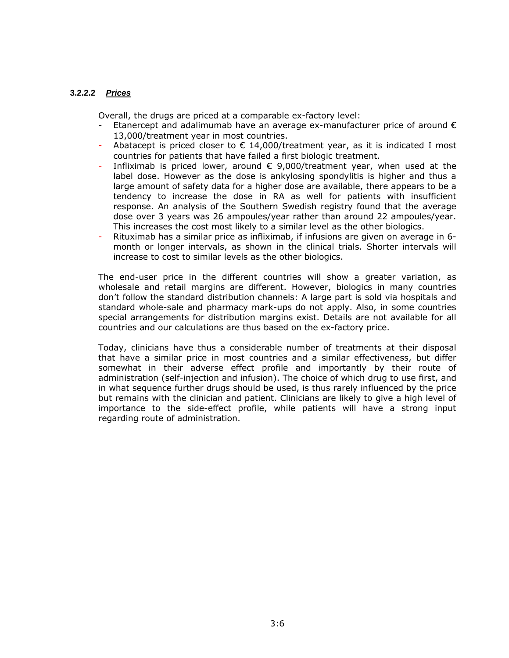#### **3.2.2.2** *Prices*

Overall, the drugs are priced at a comparable ex-factory level:

- Etanercept and adalimumab have an average ex-manufacturer price of around  $\epsilon$ 13,000/treatment year in most countries.
- Abatacept is priced closer to  $\epsilon$  14,000/treatment year, as it is indicated I most countries for patients that have failed a first biologic treatment.
- Infliximab is priced lower, around  $\epsilon$  9,000/treatment year, when used at the label dose. However as the dose is ankylosing spondylitis is higher and thus a large amount of safety data for a higher dose are available, there appears to be a tendency to increase the dose in RA as well for patients with insufficient response. An analysis of the Southern Swedish registry found that the average dose over 3 years was 26 ampoules/year rather than around 22 ampoules/year. This increases the cost most likely to a similar level as the other biologics.
- Rituximab has a similar price as infliximab, if infusions are given on average in 6month or longer intervals, as shown in the clinical trials. Shorter intervals will increase to cost to similar levels as the other biologics.

The end-user price in the different countries will show a greater variation, as wholesale and retail margins are different. However, biologics in many countries don't follow the standard distribution channels: A large part is sold via hospitals and standard whole-sale and pharmacy mark-ups do not apply. Also, in some countries special arrangements for distribution margins exist. Details are not available for all countries and our calculations are thus based on the ex-factory price.

Today, clinicians have thus a considerable number of treatments at their disposal that have a similar price in most countries and a similar effectiveness, but differ somewhat in their adverse effect profile and importantly by their route of administration (self-injection and infusion). The choice of which drug to use first, and in what sequence further drugs should be used, is thus rarely influenced by the price but remains with the clinician and patient. Clinicians are likely to give a high level of importance to the side-effect profile, while patients will have a strong input regarding route of administration.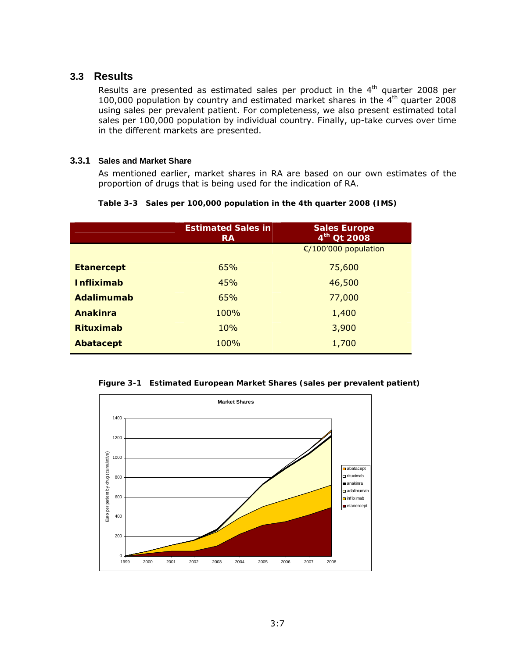### **3.3 Results**

Results are presented as estimated sales per product in the 4<sup>th</sup> quarter 2008 per 100,000 population by country and estimated market shares in the 4th quarter 2008 using sales per prevalent patient. For completeness, we also present estimated total sales per 100,000 population by individual country. Finally, up-take curves over time in the different markets are presented.

#### **3.3.1 Sales and Market Share**

As mentioned earlier, market shares in RA are based on our own estimates of the proportion of drugs that is being used for the indication of RA.

|  |  |  | Table 3-3 Sales per 100,000 population in the 4th quarter 2008 (IMS) |
|--|--|--|----------------------------------------------------------------------|
|  |  |  |                                                                      |

|                   | <b>Estimated Sales in</b><br><b>RA</b> | <b>Sales Europe</b><br>$4^{th}$ Qt 2008 |
|-------------------|----------------------------------------|-----------------------------------------|
|                   |                                        | €/100'000 population                    |
| <b>Etanercept</b> | 65%                                    | 75,600                                  |
| <i>Infliximab</i> | 45%                                    | 46,500                                  |
| Adalimumab        | 65%                                    | 77,000                                  |
| <b>Anakinra</b>   | <b>100%</b>                            | 1,400                                   |
| <b>Rituximab</b>  | <b>10%</b>                             | 3,900                                   |
| Abatacept         | 100%                                   | 1,700                                   |

**Figure 3-1 Estimated European Market Shares (sales per prevalent patient)** 

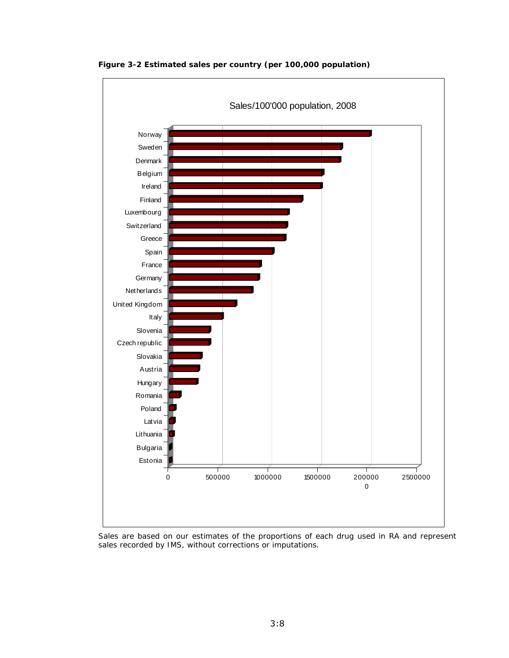

**Figure 3-2 Estimated sales per country (per 100,000 population)** 

*Sales are based on our estimates of the proportions of each drug used in RA and represent sales recorded by IMS, without corrections or imputations.*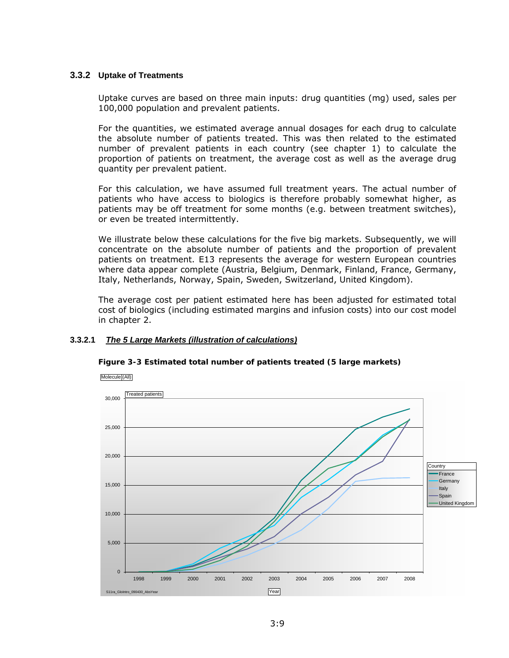#### **3.3.2 Uptake of Treatments**

Uptake curves are based on three main inputs: drug quantities (mg) used, sales per 100,000 population and prevalent patients.

For the quantities, we estimated average annual dosages for each drug to calculate the absolute number of patients treated. This was then related to the estimated number of prevalent patients in each country (see chapter 1) to calculate the proportion of patients on treatment, the average cost as well as the average drug quantity per prevalent patient.

For this calculation, we have assumed full treatment years. The actual number of patients who have access to biologics is therefore probably somewhat higher, as patients may be off treatment for some months (e.g. between treatment switches), or even be treated intermittently.

We illustrate below these calculations for the five big markets. Subsequently, we will concentrate on the absolute number of patients and the proportion of prevalent patients on treatment. E13 represents the average for western European countries where data appear complete (Austria, Belgium, Denmark, Finland, France, Germany, Italy, Netherlands, Norway, Spain, Sweden, Switzerland, United Kingdom).

The average cost per patient estimated here has been adjusted for estimated total cost of biologics (including estimated margins and infusion costs) into our cost model in chapter 2.

#### **3.3.2.1** *The 5 Large Markets (illustration of calculations)*



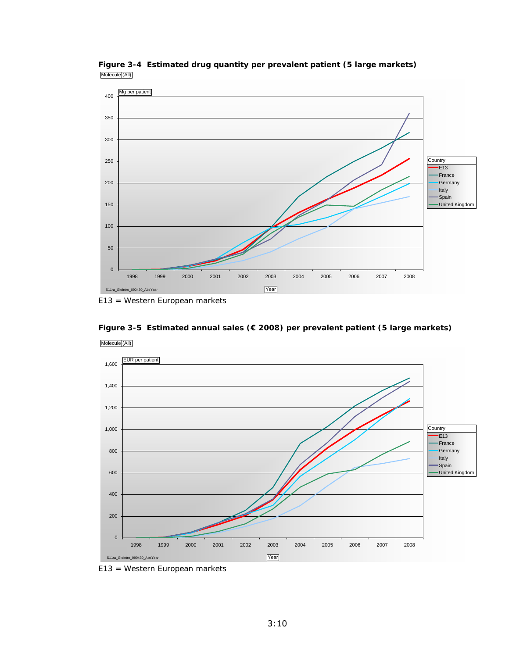

**Figure 3-4 Estimated drug quantity per prevalent patient (5 large markets)** Molecule (All)

*E13 = Western European markets* 

**Figure 3-5 Estimated annual sales (€ 2008) per prevalent patient (5 large markets)**  Molecule (All)



*E13 = Western European markets*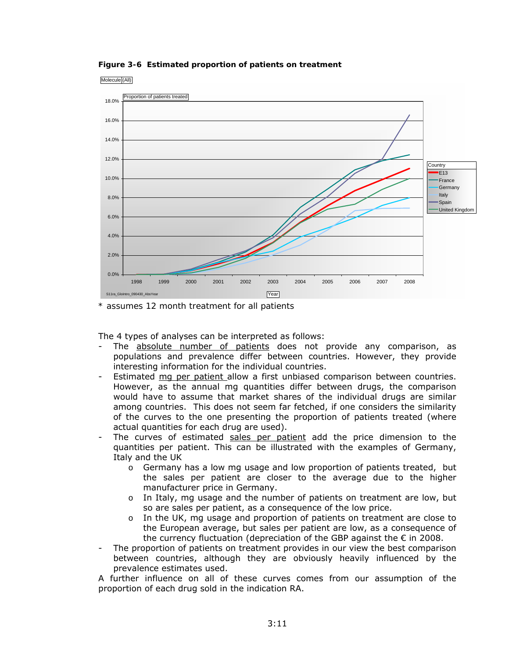**Figure 3-6 Estimated proportion of patients on treatment** 





*\* assumes 12 month treatment for all patients* 

The 4 types of analyses can be interpreted as follows:

- The absolute number of patients does not provide any comparison, as populations and prevalence differ between countries. However, they provide interesting information for the individual countries.
- Estimated mg per patient allow a first unbiased comparison between countries. However, as the annual mg quantities differ between drugs, the comparison would have to assume that market shares of the individual drugs are similar among countries. This does not seem far fetched, if one considers the similarity of the curves to the one presenting the proportion of patients treated (where actual quantities for each drug are used).
- The curves of estimated sales per patient add the price dimension to the quantities per patient. This can be illustrated with the examples of Germany, Italy and the UK
	- $\circ$  Germany has a low mg usage and low proportion of patients treated, but the sales per patient are closer to the average due to the higher manufacturer price in Germany.
	- o In Italy, mg usage and the number of patients on treatment are low, but so are sales per patient, as a consequence of the low price.
	- o In the UK, mg usage and proportion of patients on treatment are close to the European average, but sales per patient are low, as a consequence of the currency fluctuation (depreciation of the GBP against the  $\epsilon$  in 2008.
- The proportion of patients on treatment provides in our view the best comparison between countries, although they are obviously heavily influenced by the prevalence estimates used.

A further influence on all of these curves comes from our assumption of the proportion of each drug sold in the indication RA.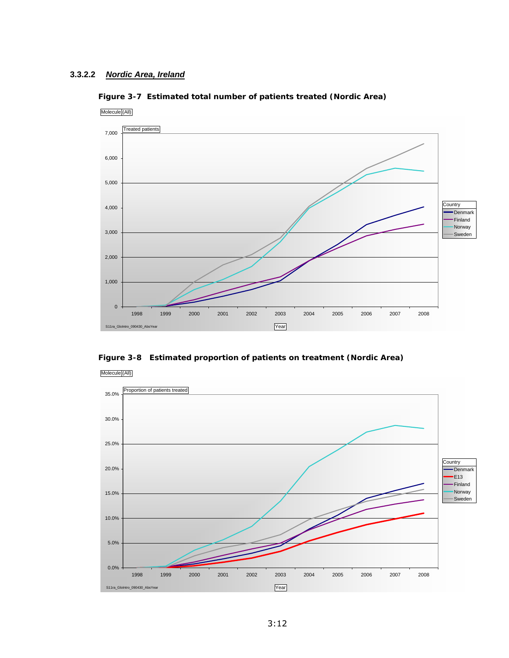

Molecule (All)



**Figure 3-8 Estimated proportion of patients on treatment (Nordic Area)** 

Molecule (All)

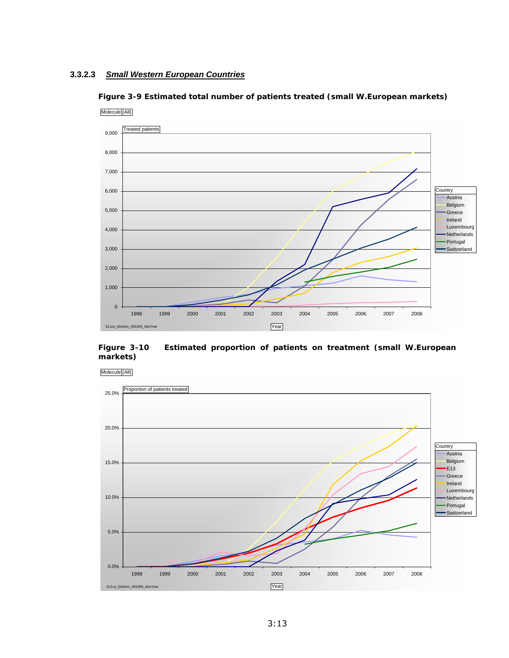#### **3.3.2.3** *Small Western European Countries*





**Figure 3-10 Estimated proportion of patients on treatment (small W.European markets)** 

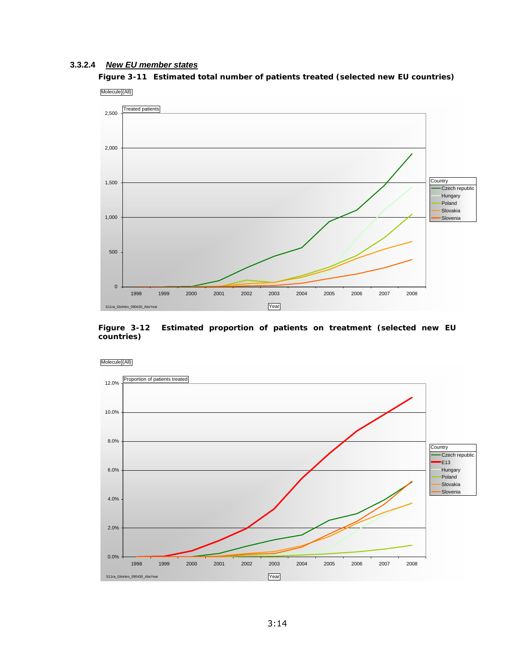#### **3.3.2.4** *New EU member states*

**Figure 3-11 Estimated total number of patients treated (selected new EU countries)**  Molecule (All)



**Figure 3-12 Estimated proportion of patients on treatment (selected new EU countries)** 



Molecule (All)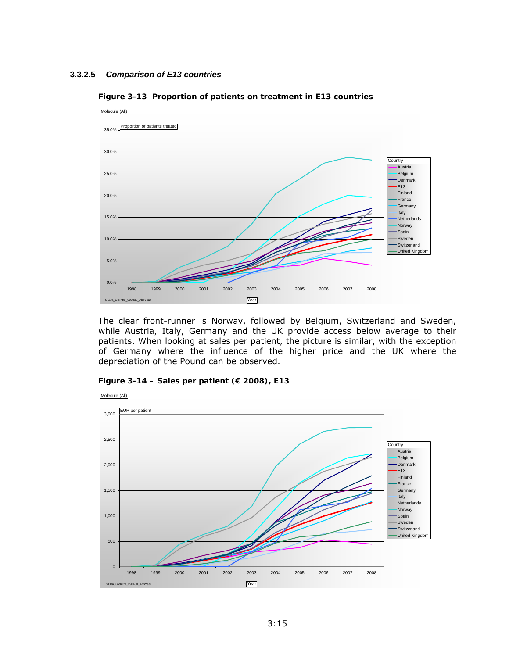#### **3.3.2.5** *Comparison of E13 countries*



**Figure 3-13 Proportion of patients on treatment in E13 countries** 

The clear front-runner is Norway, followed by Belgium, Switzerland and Sweden, while Austria, Italy, Germany and the UK provide access below average to their patients. When looking at sales per patient, the picture is similar, with the exception of Germany where the influence of the higher price and the UK where the depreciation of the Pound can be observed.



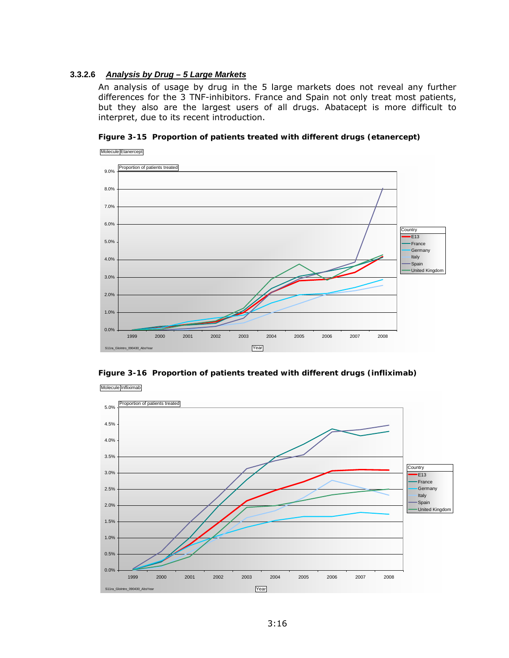#### **3.3.2.6** *Analysis by Drug – 5 Large Markets*

An analysis of usage by drug in the 5 large markets does not reveal any further differences for the 3 TNF-inhibitors. France and Spain not only treat most patients, but they also are the largest users of all drugs. Abatacept is more difficult to interpret, due to its recent introduction.







Molecule Infliximab

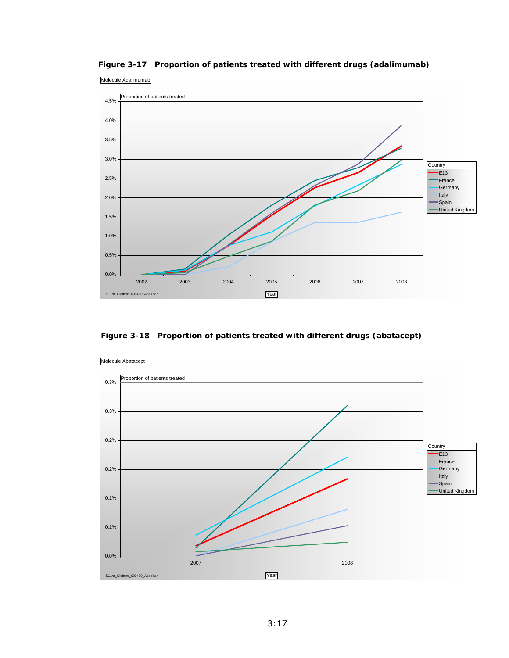

**Figure 3-17 Proportion of patients treated with different drugs (adalimumab)** 

 **Figure 3-18 Proportion of patients treated with different drugs (abatacept)** 

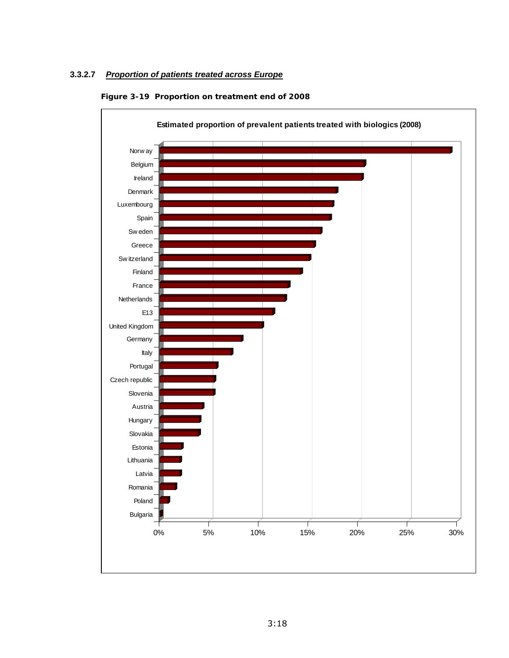### **3.3.2.7** *Proportion of patients treated across Europe*



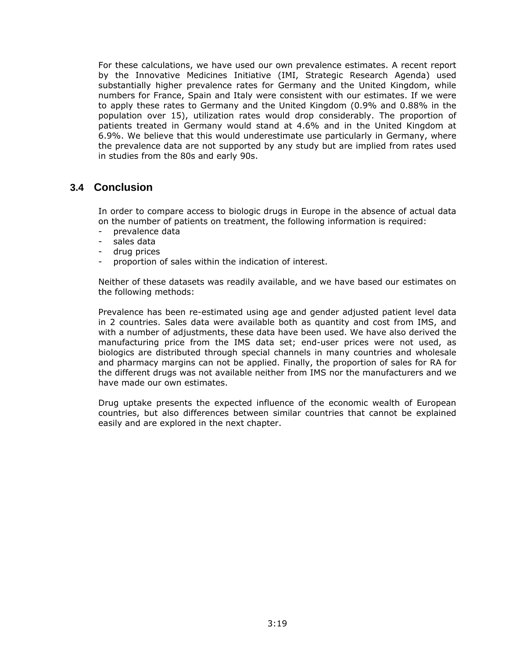For these calculations, we have used our own prevalence estimates. A recent report by the Innovative Medicines Initiative (IMI, Strategic Research Agenda) used substantially higher prevalence rates for Germany and the United Kingdom, while numbers for France, Spain and Italy were consistent with our estimates. If we were to apply these rates to Germany and the United Kingdom (0.9% and 0.88% in the population over 15), utilization rates would drop considerably. The proportion of patients treated in Germany would stand at 4.6% and in the United Kingdom at 6.9%. We believe that this would underestimate use particularly in Germany, where the prevalence data are not supported by any study but are implied from rates used in studies from the 80s and early 90s.

### **3.4 Conclusion**

In order to compare access to biologic drugs in Europe in the absence of actual data on the number of patients on treatment, the following information is required:

- prevalence data
- sales data
- drug prices
- proportion of sales within the indication of interest.

Neither of these datasets was readily available, and we have based our estimates on the following methods:

Prevalence has been re-estimated using age and gender adjusted patient level data in 2 countries. Sales data were available both as quantity and cost from IMS, and with a number of adjustments, these data have been used. We have also derived the manufacturing price from the IMS data set; end-user prices were not used, as biologics are distributed through special channels in many countries and wholesale and pharmacy margins can not be applied. Finally, the proportion of sales for RA for the different drugs was not available neither from IMS nor the manufacturers and we have made our own estimates.

Drug uptake presents the expected influence of the economic wealth of European countries, but also differences between similar countries that cannot be explained easily and are explored in the next chapter.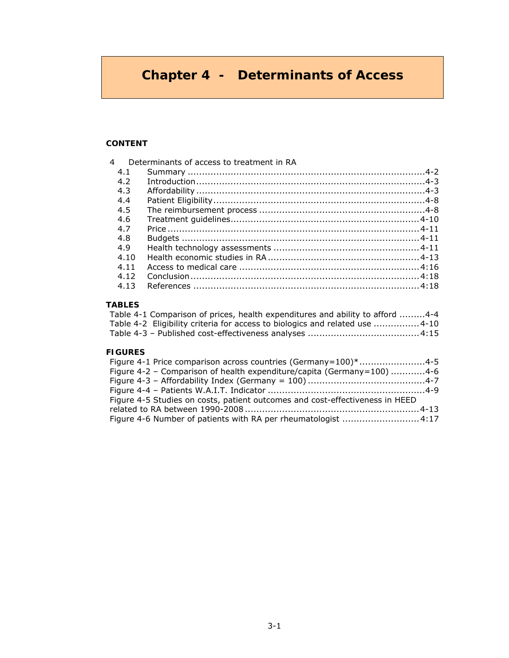# **Chapter 4 - Determinants of Access**

#### **CONTENT**

| 4 |      | Determinants of access to treatment in RA |  |
|---|------|-------------------------------------------|--|
|   | 4.1  |                                           |  |
|   | 4.2  |                                           |  |
|   | 4.3  |                                           |  |
|   | 4.4  |                                           |  |
|   | 4.5  |                                           |  |
|   | 4.6  |                                           |  |
|   | 4.7  |                                           |  |
|   | 4.8  |                                           |  |
|   | 4.9  |                                           |  |
|   | 4.10 |                                           |  |
|   | 4.11 |                                           |  |
|   | 4.12 |                                           |  |
|   | 4.13 |                                           |  |
|   |      |                                           |  |

#### **TABLES**

| Table 4-1 Comparison of prices, health expenditures and ability to afford 4-4 |  |
|-------------------------------------------------------------------------------|--|
| Table 4-2 Eligibility criteria for access to biologics and related use 4-10   |  |
|                                                                               |  |

### **FIGURES**

| Figure 4-1 Price comparison across countries (Germany=100)*4-5               |  |
|------------------------------------------------------------------------------|--|
| Figure 4-2 - Comparison of health expenditure/capita (Germany=100) 4-6       |  |
|                                                                              |  |
|                                                                              |  |
| Figure 4-5 Studies on costs, patient outcomes and cost-effectiveness in HEED |  |
|                                                                              |  |
| Figure 4-6 Number of patients with RA per rheumatologist 4:17                |  |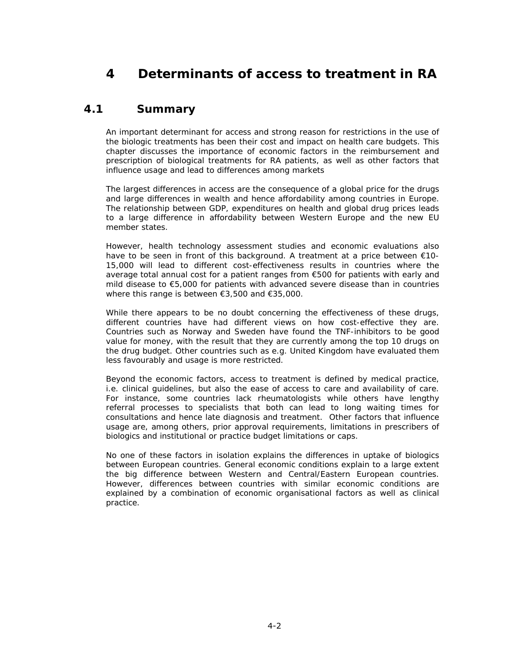# **4 Determinants of access to treatment in RA**

# *4.1 Summary*

*An important determinant for access and strong reason for restrictions in the use of the biologic treatments has been their cost and impact on health care budgets. This chapter discusses the importance of economic factors in the reimbursement and prescription of biological treatments for RA patients, as well as other factors that influence usage and lead to differences among markets* 

*The largest differences in access are the consequence of a global price for the drugs*  and large differences in wealth and hence affordability among countries in Europe. *The relationship between GDP, expenditures on health and global drug prices leads to a large difference in affordability between Western Europe and the new EU member states.* 

*However, health technology assessment studies and economic evaluations also have to be seen in front of this background. A treatment at a price between €10- 15,000 will lead to different cost-effectiveness results in countries where the average total annual cost for a patient ranges from €500 for patients with early and mild disease to €5,000 for patients with advanced severe disease than in countries where this range is between €3,500 and €35,000.* 

*While there appears to be no doubt concerning the effectiveness of these drugs, different countries have had different views on how cost-effective they are. Countries such as Norway and Sweden have found the TNF-inhibitors to be good*  value for money, with the result that they are currently among the top 10 drugs on *the drug budget. Other countries such as e.g. United Kingdom have evaluated them less favourably and usage is more restricted.* 

*Beyond the economic factors, access to treatment is defined by medical practice, i.e. clinical guidelines, but also the ease of access to care and availability of care. For instance, some countries lack rheumatologists while others have lengthy referral processes to specialists that both can lead to long waiting times for consultations and hence late diagnosis and treatment. Other factors that influence usage are, among others, prior approval requirements, limitations in prescribers of biologics and institutional or practice budget limitations or caps.* 

*No one of these factors in isolation explains the differences in uptake of biologics*  between European countries. General economic conditions explain to a large extent *the big difference between Western and Central/Eastern European countries. However, differences between countries with similar economic conditions are*  explained by a combination of economic organisational factors as well as clinical *practice.*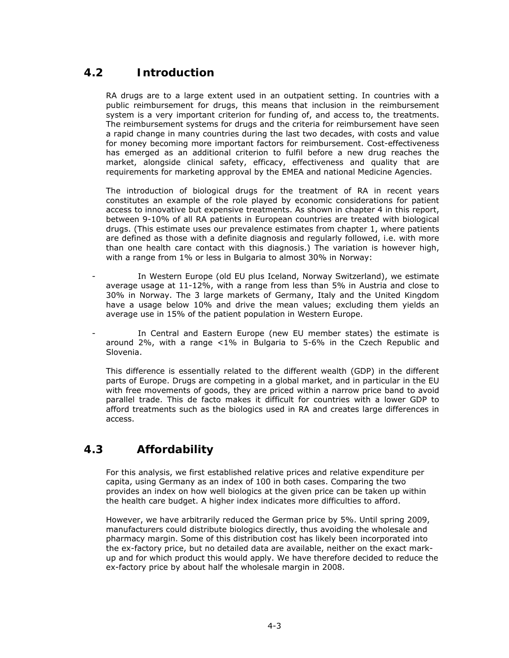# *4.2 Introduction*

RA drugs are to a large extent used in an outpatient setting. In countries with a public reimbursement for drugs, this means that inclusion in the reimbursement system is a very important criterion for funding of, and access to, the treatments. The reimbursement systems for drugs and the criteria for reimbursement have seen a rapid change in many countries during the last two decades, with costs and value for money becoming more important factors for reimbursement. Cost-effectiveness has emerged as an additional criterion to fulfil before a new drug reaches the market, alongside clinical safety, efficacy, effectiveness and quality that are requirements for marketing approval by the EMEA and national Medicine Agencies.

The introduction of biological drugs for the treatment of RA in recent years constitutes an example of the role played by economic considerations for patient access to innovative but expensive treatments. As shown in chapter 4 in this report, between 9-10% of all RA patients in European countries are treated with biological drugs. (This estimate uses our prevalence estimates from chapter 1, where patients are defined as those with a definite diagnosis and regularly followed, i.e. with more than one health care contact with this diagnosis.) The variation is however high, with a range from 1% or less in Bulgaria to almost 30% in Norway:

- In Western Europe (old EU plus Iceland, Norway Switzerland), we estimate average usage at 11-12%, with a range from less than 5% in Austria and close to 30% in Norway. The 3 large markets of Germany, Italy and the United Kingdom have a usage below 10% and drive the mean values; excluding them yields an average use in 15% of the patient population in Western Europe.
- In Central and Eastern Europe (new EU member states) the estimate is around 2%, with a range <1% in Bulgaria to 5-6% in the Czech Republic and Slovenia.

This difference is essentially related to the different wealth (GDP) in the different parts of Europe. Drugs are competing in a global market, and in particular in the EU with free movements of goods, they are priced within a narrow price band to avoid parallel trade. This de facto makes it difficult for countries with a lower GDP to afford treatments such as the biologics used in RA and creates large differences in access.

# *4.3 Affordability*

For this analysis, we first established relative prices and relative expenditure per capita, using Germany as an index of 100 in both cases. Comparing the two provides an index on how well biologics at the given price can be taken up within the health care budget. A higher index indicates more difficulties to afford.

However, we have arbitrarily reduced the German price by 5%. Until spring 2009, manufacturers could distribute biologics directly, thus avoiding the wholesale and pharmacy margin. Some of this distribution cost has likely been incorporated into the ex-factory price, but no detailed data are available, neither on the exact markup and for which product this would apply. We have therefore decided to reduce the ex-factory price by about half the wholesale margin in 2008.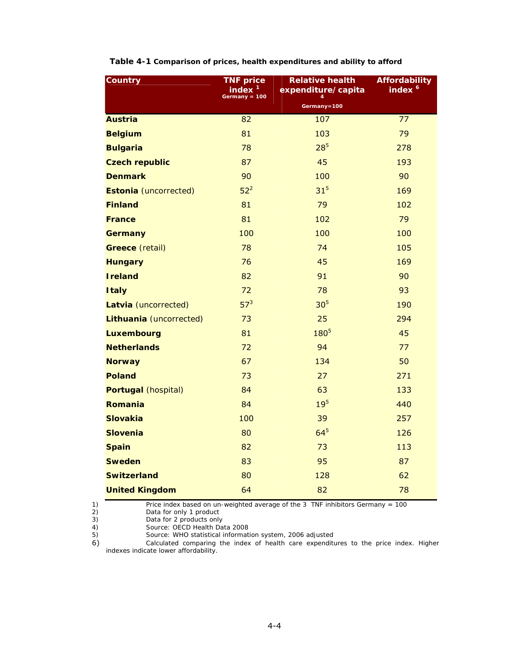| <b>Country</b>               | <b>TNF price</b><br>index<br>Germany = 100 | <b>Relative health</b><br>expenditure/capita<br>$\boldsymbol{\Lambda}$ | Affordability<br>index <sup>6</sup> |
|------------------------------|--------------------------------------------|------------------------------------------------------------------------|-------------------------------------|
|                              |                                            | Germany=100                                                            |                                     |
| <b>Austria</b>               | 82                                         | 107                                                                    | 77                                  |
| <b>Belgium</b>               | 81                                         | 103                                                                    | 79                                  |
| <b>Bulgaria</b>              | 78                                         | $28^{5}$                                                               | 278                                 |
| <b>Czech republic</b>        | 87                                         | 45                                                                     | 193                                 |
| <b>Denmark</b>               | 90                                         | 100                                                                    | 90                                  |
| <b>Estonia</b> (uncorrected) | $52^2$                                     | 31 <sup>5</sup>                                                        | 169                                 |
| <b>Finland</b>               | 81                                         | 79                                                                     | 102                                 |
| <b>France</b>                | 81                                         | 102                                                                    | 79                                  |
| Germany                      | 100                                        | 100                                                                    | 100                                 |
| <b>Greece</b> (retail)       | 78                                         | 74                                                                     | 105                                 |
| <b>Hungary</b>               | 76                                         | 45                                                                     | 169                                 |
| <b>Ireland</b>               | 82                                         | 91                                                                     | 90                                  |
| <b>Italy</b>                 | 72                                         | 78                                                                     | 93                                  |
| Latvia (uncorrected)         | 57 <sup>3</sup>                            | 30 <sup>5</sup>                                                        | 190                                 |
| Lithuania (uncorrected)      | 73                                         | 25                                                                     | 294                                 |
| <b>Luxembourg</b>            | 81                                         | $180^{5}$                                                              | 45                                  |
| <b>Netherlands</b>           | 72                                         | 94                                                                     | 77                                  |
| <b>Norway</b>                | 67                                         | 134                                                                    | 50                                  |
| <b>Poland</b>                | 73                                         | 27                                                                     | 271                                 |
| <b>Portugal</b> (hospital)   | 84                                         | 63                                                                     | 133                                 |
| <b>Romania</b>               | 84                                         | 19 <sup>5</sup>                                                        | 440                                 |
| <b>Slovakia</b>              | 100                                        | 39                                                                     | 257                                 |
| <b>Slovenia</b>              | 80                                         | 64 <sup>5</sup>                                                        | 126                                 |
| <b>Spain</b>                 | 82                                         | 73                                                                     | 113                                 |
| <b>Sweden</b>                | 83                                         | 95                                                                     | 87                                  |
| <b>Switzerland</b>           | 80                                         | 128                                                                    | 62                                  |
| <b>United Kingdom</b>        | 64                                         | 82                                                                     | 78                                  |

#### **Table 4-1 Comparison of prices, health expenditures and ability to afford**

*2) Data for only 1 product* 

- *3) Data for 2 products only*
- *4) Source: OECD Health Data 2008*

*5) Source: WHO statistical information system, 2006 adjusted* 

Price index based on un-weighted average of the 3 TNF inhibitors Germany = 100<br>
2) Data for only 1 product<br>
3) Data for 2 products only<br>
4) Source: OECD Health Data 2008<br>
5) Source: WHO statistical information system, 2006 6) *Calculated comparing the index of health care expenditures to the price index. Higher indexes indicate lower affordability.*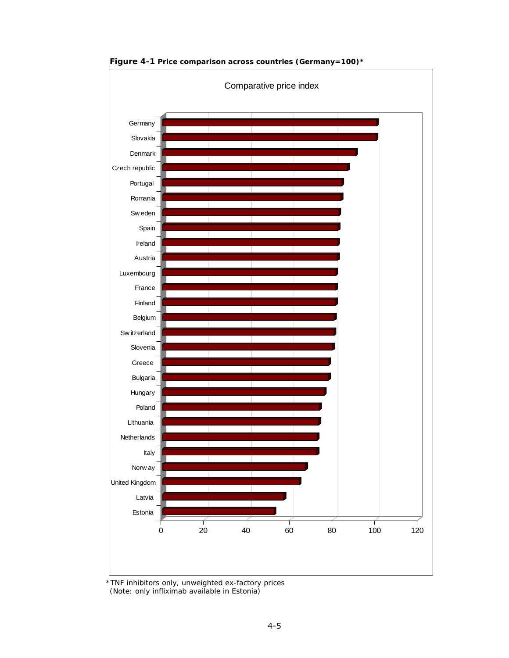

**Figure 4-1 Price comparison across countries (Germany=100)\*** 

*<sup>\*</sup>TNF inhibitors only, unweighted ex-factory prices (Note: only infliximab available in Estonia)*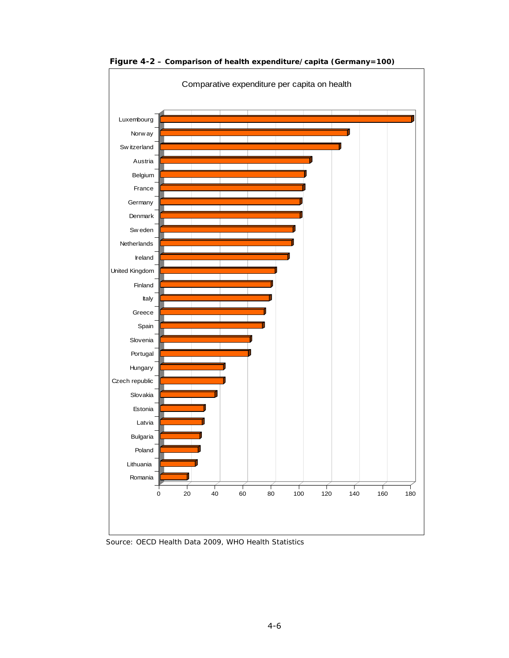

**Figure 4-2 – Comparison of health expenditure/capita (Germany=100)** 

*Source: OECD Health Data 2009, WHO Health Statistics*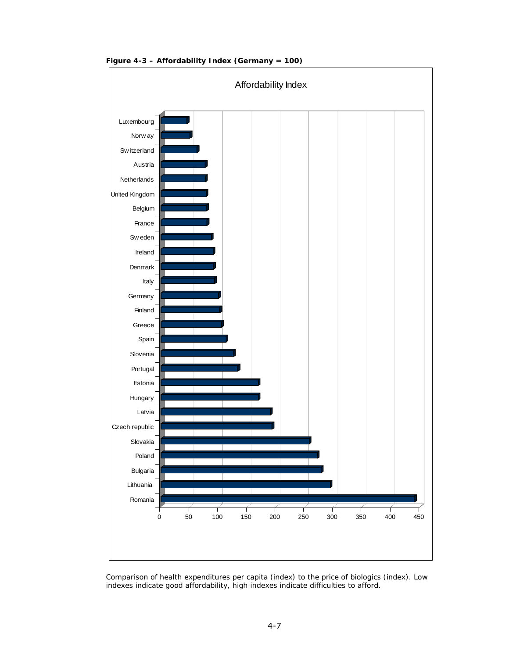

**Figure 4-3 – Affordability Index (Germany = 100)** 

*Comparison of health expenditures per capita (index) to the price of biologics (index). Low indexes indicate good affordability, high indexes indicate difficulties to afford.*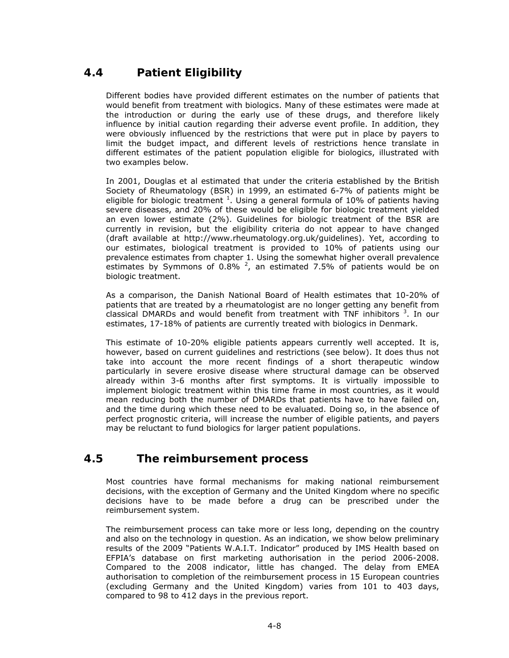# *4.4 Patient Eligibility*

Different bodies have provided different estimates on the number of patients that would benefit from treatment with biologics. Many of these estimates were made at the introduction or during the early use of these drugs, and therefore likely influence by initial caution regarding their adverse event profile. In addition, they were obviously influenced by the restrictions that were put in place by payers to limit the budget impact, and different levels of restrictions hence translate in different estimates of the patient population eligible for biologics, illustrated with two examples below.

In 2001, Douglas et al estimated that under the criteria established by the British Society of Rheumatology (BSR) in 1999, an estimated 6-7% of patients might be eligible for biologic treatment  $^1$ . Using a general formula of 10% of patients having severe diseases, and 20% of these would be eligible for biologic treatment yielded an even lower estimate (2%). Guidelines for biologic treatment of the BSR are currently in revision, but the eligibility criteria do not appear to have changed (draft available at http://www.rheumatology.org.uk/guidelines). Yet, according to our estimates, biological treatment is provided to 10% of patients using our prevalence estimates from chapter 1. Using the somewhat higher overall prevalence estimates by Symmons of 0.8%  $^2$ , an estimated 7.5% of patients would be on biologic treatment.

As a comparison, the Danish National Board of Health estimates that 10-20% of patients that are treated by a rheumatologist are no longer getting any benefit from classical DMARDs and would benefit from treatment with TNF inhibitors<sup>3</sup>. In our estimates, 17-18% of patients are currently treated with biologics in Denmark.

This estimate of 10-20% eligible patients appears currently well accepted. It is, however, based on current guidelines and restrictions (see below). It does thus not take into account the more recent findings of a short therapeutic window particularly in severe erosive disease where structural damage can be observed already within 3-6 months after first symptoms. It is virtually impossible to implement biologic treatment within this time frame in most countries, as it would mean reducing both the number of DMARDs that patients have to have failed on, and the time during which these need to be evaluated. Doing so, in the absence of perfect prognostic criteria, will increase the number of eligible patients, and payers may be reluctant to fund biologics for larger patient populations.

# *4.5 The reimbursement process*

Most countries have formal mechanisms for making national reimbursement decisions, with the exception of Germany and the United Kingdom where no specific decisions have to be made before a drug can be prescribed under the reimbursement system.

The reimbursement process can take more or less long, depending on the country and also on the technology in question. As an indication, we show below preliminary results of the 2009 "Patients W.A.I.T. Indicator" produced by IMS Health based on EFPIA's database on first marketing authorisation in the period 2006-2008. Compared to the 2008 indicator, little has changed. The delay from EMEA authorisation to completion of the reimbursement process in 15 European countries (excluding Germany and the United Kingdom) varies from 101 to 403 days, compared to 98 to 412 days in the previous report.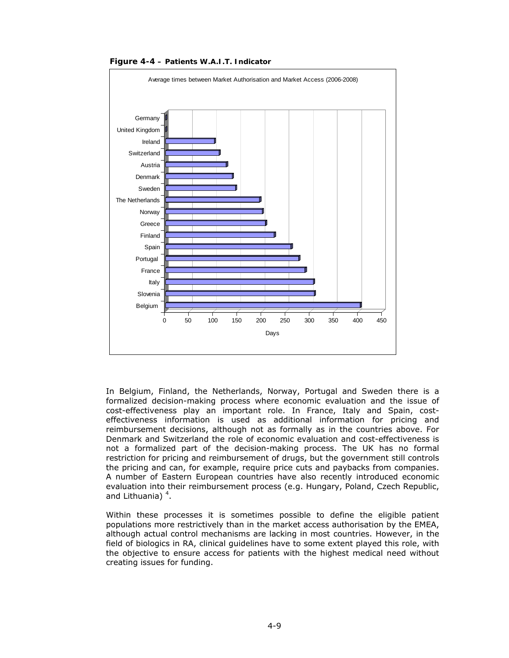

**Figure 4-4 – Patients W.A.I.T. Indicator** 

In Belgium, Finland, the Netherlands, Norway, Portugal and Sweden there is a formalized decision-making process where economic evaluation and the issue of cost-effectiveness play an important role. In France, Italy and Spain, costeffectiveness information is used as additional information for pricing and reimbursement decisions, although not as formally as in the countries above. For Denmark and Switzerland the role of economic evaluation and cost-effectiveness is not a formalized part of the decision-making process. The UK has no formal restriction for pricing and reimbursement of drugs, but the government still controls the pricing and can, for example, require price cuts and paybacks from companies. A number of Eastern European countries have also recently introduced economic evaluation into their reimbursement process (e.g. Hungary, Poland, Czech Republic, and Lithuania)<sup>4</sup>.

Within these processes it is sometimes possible to define the eligible patient populations more restrictively than in the market access authorisation by the EMEA, although actual control mechanisms are lacking in most countries. However, in the field of biologics in RA, clinical guidelines have to some extent played this role, with the objective to ensure access for patients with the highest medical need without creating issues for funding.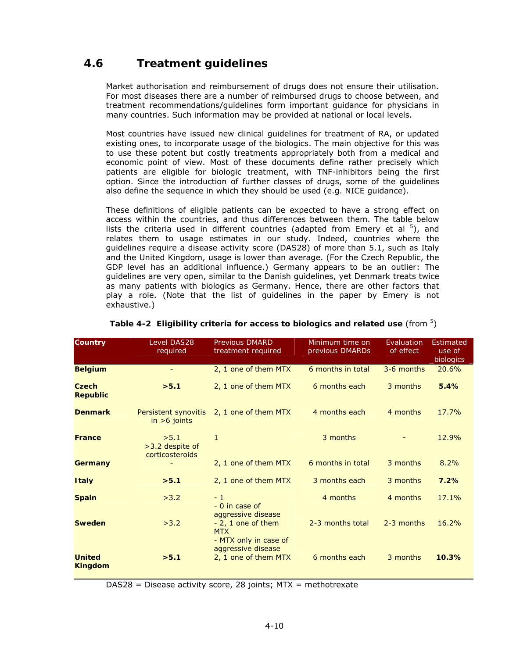# *4.6 Treatment guidelines*

Market authorisation and reimbursement of drugs does not ensure their utilisation. For most diseases there are a number of reimbursed drugs to choose between, and treatment recommendations/guidelines form important guidance for physicians in many countries. Such information may be provided at national or local levels.

Most countries have issued new clinical guidelines for treatment of RA, or updated existing ones, to incorporate usage of the biologics. The main objective for this was to use these potent but costly treatments appropriately both from a medical and economic point of view. Most of these documents define rather precisely which patients are eligible for biologic treatment, with TNF-inhibitors being the first option. Since the introduction of further classes of drugs, some of the guidelines also define the sequence in which they should be used (e.g. NICE guidance).

These definitions of eligible patients can be expected to have a strong effect on access within the countries, and thus differences between them. The table below lists the criteria used in different countries (adapted from Emery et al  $5$ ), and relates them to usage estimates in our study. Indeed, countries where the guidelines require a disease activity score (DAS28) of more than 5.1, such as Italy and the United Kingdom, usage is lower than average. (For the Czech Republic, the GDP level has an additional influence.) Germany appears to be an outlier: The guidelines are very open, similar to the Danish guidelines, yet Denmark treats twice as many patients with biologics as Germany. Hence, there are other factors that play a role. (Note that the list of guidelines in the paper by Emery is not exhaustive.)

| <b>Country</b>                  | <b>Level DAS28</b><br>required             | <b>Previous DMARD</b><br>treatment required                                       | Minimum time on<br>previous DMARDs | Evaluation<br>of effect | Estimated<br>use of<br><b>biologics</b> |
|---------------------------------|--------------------------------------------|-----------------------------------------------------------------------------------|------------------------------------|-------------------------|-----------------------------------------|
| <b>Belgium</b>                  | $\overline{\phantom{a}}$                   | 2, 1 one of them MTX                                                              | 6 months in total                  | 3-6 months              | 20.6%                                   |
| Czech<br><b>Republic</b>        | > 5.1                                      | 2, 1 one of them MTX                                                              | 6 months each                      | 3 months                | 5.4%                                    |
| <b>Denmark</b>                  | Persistent synovitis<br>$in > 6$ joints    | 2, 1 one of them MTX                                                              | 4 months each                      | 4 months                | 17.7%                                   |
| <b>France</b>                   | >5.1<br>>3.2 despite of<br>corticosteroids | $\mathbf{1}$                                                                      | 3 months                           |                         | 12.9%                                   |
| <b>Germany</b>                  |                                            | 2, 1 one of them MTX                                                              | 6 months in total                  | 3 months                | 8.2%                                    |
| <b>Italy</b>                    | > 5.1                                      | 2, 1 one of them MTX                                                              | 3 months each                      | 3 months                | 7.2%                                    |
| <b>Spain</b>                    | >3.2                                       | $-1$<br>$-0$ in case of<br>aggressive disease                                     | 4 months                           | 4 months                | 17.1%                                   |
| <b>Sweden</b>                   | >3.2                                       | $-2$ , 1 one of them<br><b>MTX</b><br>- MTX only in case of<br>aggressive disease | 2-3 months total                   | 2-3 months              | 16.2%                                   |
| <b>United</b><br><b>Kingdom</b> | > 5.1                                      | 2, 1 one of them MTX                                                              | 6 months each                      | 3 months                | 10.3%                                   |

#### Table 4-2 Eligibility criteria for access to biologics and related use (from <sup>5</sup>)

 $DAS28$  = Disease activity score, 28 joints; MTX = methotrexate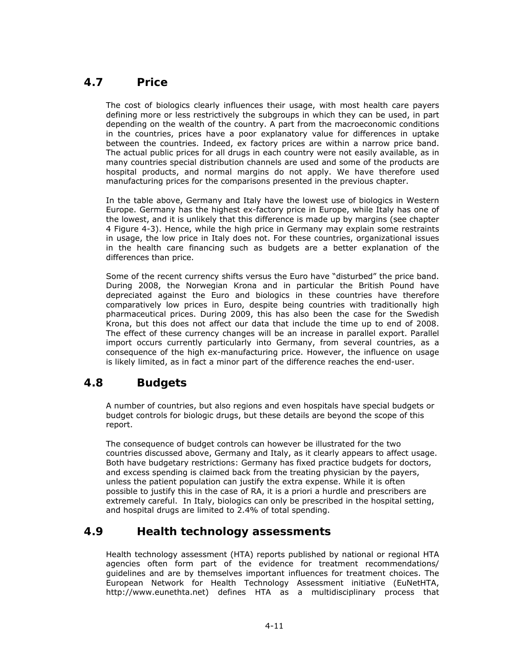# *4.7 Price*

The cost of biologics clearly influences their usage, with most health care payers defining more or less restrictively the subgroups in which they can be used, in part depending on the wealth of the country. A part from the macroeconomic conditions in the countries, prices have a poor explanatory value for differences in uptake between the countries. Indeed, ex factory prices are within a narrow price band. The actual public prices for all drugs in each country were not easily available, as in many countries special distribution channels are used and some of the products are hospital products, and normal margins do not apply. We have therefore used manufacturing prices for the comparisons presented in the previous chapter.

In the table above, Germany and Italy have the lowest use of biologics in Western Europe. Germany has the highest ex-factory price in Europe, while Italy has one of the lowest, and it is unlikely that this difference is made up by margins (see chapter 4 Figure 4-3). Hence, while the high price in Germany may explain some restraints in usage, the low price in Italy does not. For these countries, organizational issues in the health care financing such as budgets are a better explanation of the differences than price.

Some of the recent currency shifts versus the Euro have "disturbed" the price band. During 2008, the Norwegian Krona and in particular the British Pound have depreciated against the Euro and biologics in these countries have therefore comparatively low prices in Euro, despite being countries with traditionally high pharmaceutical prices. During 2009, this has also been the case for the Swedish Krona, but this does not affect our data that include the time up to end of 2008. The effect of these currency changes will be an increase in parallel export. Parallel import occurs currently particularly into Germany, from several countries, as a consequence of the high ex-manufacturing price. However, the influence on usage is likely limited, as in fact a minor part of the difference reaches the end-user.

# *4.8 Budgets*

A number of countries, but also regions and even hospitals have special budgets or budget controls for biologic drugs, but these details are beyond the scope of this report.

The consequence of budget controls can however be illustrated for the two countries discussed above, Germany and Italy, as it clearly appears to affect usage. Both have budgetary restrictions: Germany has fixed practice budgets for doctors, and excess spending is claimed back from the treating physician by the payers, unless the patient population can justify the extra expense. While it is often possible to justify this in the case of RA, it is a priori a hurdle and prescribers are extremely careful. In Italy, biologics can only be prescribed in the hospital setting, and hospital drugs are limited to 2.4% of total spending.

# *4.9 Health technology assessments*

Health technology assessment (HTA) reports published by national or regional HTA agencies often form part of the evidence for treatment recommendations/ guidelines and are by themselves important influences for treatment choices. The European Network for Health Technology Assessment initiative (EuNetHTA, http://www.eunethta.net) defines HTA as a multidisciplinary process that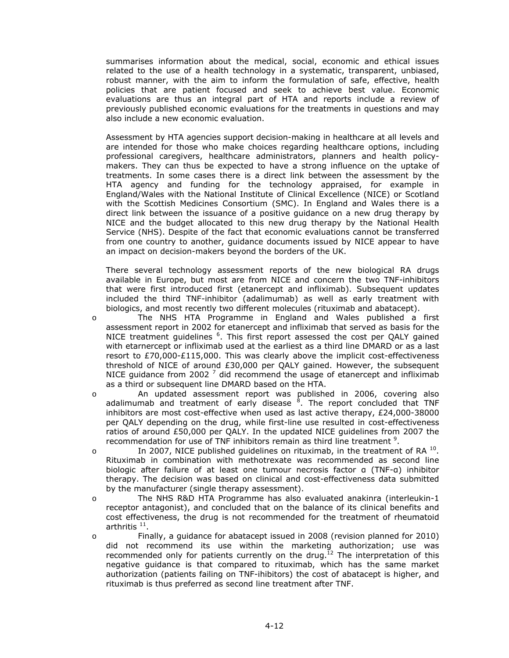summarises information about the medical, social, economic and ethical issues related to the use of a health technology in a systematic, transparent, unbiased, robust manner, with the aim to inform the formulation of safe, effective, health policies that are patient focused and seek to achieve best value. Economic evaluations are thus an integral part of HTA and reports include a review of previously published economic evaluations for the treatments in questions and may also include a new economic evaluation.

Assessment by HTA agencies support decision-making in healthcare at all levels and are intended for those who make choices regarding healthcare options, including professional caregivers, healthcare administrators, planners and health policymakers. They can thus be expected to have a strong influence on the uptake of treatments. In some cases there is a direct link between the assessment by the HTA agency and funding for the technology appraised, for example in England/Wales with the National Institute of Clinical Excellence (NICE) or Scotland with the Scottish Medicines Consortium (SMC). In England and Wales there is a direct link between the issuance of a positive guidance on a new drug therapy by NICE and the budget allocated to this new drug therapy by the National Health Service (NHS). Despite of the fact that economic evaluations cannot be transferred from one country to another, guidance documents issued by NICE appear to have an impact on decision-makers beyond the borders of the UK.

There several technology assessment reports of the new biological RA drugs available in Europe, but most are from NICE and concern the two TNF-inhibitors that were first introduced first (etanercept and infliximab). Subsequent updates included the third TNF-inhibitor (adalimumab) as well as early treatment with biologics, and most recently two different molecules (rituximab and abatacept).

- o The NHS HTA Programme in England and Wales published a first assessment report in 2002 for etanercept and infliximab that served as basis for the NICE treatment guidelines <sup>6</sup>. This first report assessed the cost per QALY gained with etarnercept or infliximab used at the earliest as a third line DMARD or as a last resort to £70,000-£115,000. This was clearly above the implicit cost-effectiveness threshold of NICE of around £30,000 per QALY gained. However, the subsequent NICE guidance from 2002<sup>7</sup> did recommend the usage of etanercept and infliximab as a third or subsequent line DMARD based on the HTA.
- o An updated assessment report was published in 2006, covering also adalimumab and treatment of early disease <sup>8</sup>. The report concluded that TNF inhibitors are most cost-effective when used as last active therapy, £24,000-38000 per QALY depending on the drug, while first-line use resulted in cost-effectiveness ratios of around £50,000 per QALY. In the updated NICE guidelines from 2007 the recommendation for use of TNF inhibitors remain as third line treatment  $9$ .
- $\circ$  In 2007, NICE published guidelines on rituximab, in the treatment of RA  $^{10}$ . Rituximab in combination with methotrexate was recommended as second line biologic after failure of at least one tumour necrosis factor α (TNF-α) inhibitor therapy. The decision was based on clinical and cost-effectiveness data submitted by the manufacturer (single therapy assessment).
- o The NHS R&D HTA Programme has also evaluated anakinra (interleukin-1 receptor antagonist), and concluded that on the balance of its clinical benefits and cost effectiveness, the drug is not recommended for the treatment of rheumatoid arthritis  $11$ .
- o Finally, a guidance for abatacept issued in 2008 (revision planned for 2010) did not recommend its use within the marketing authorization; use was recommended only for patients currently on the drug.<sup>12</sup> The interpretation of this negative guidance is that compared to rituximab, which has the same market authorization (patients failing on TNF-ihibitors) the cost of abatacept is higher, and rituximab is thus preferred as second line treatment after TNF.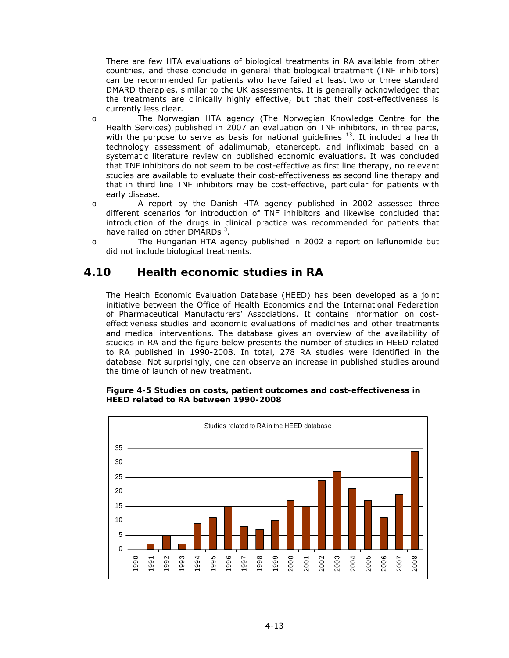There are few HTA evaluations of biological treatments in RA available from other countries, and these conclude in general that biological treatment (TNF inhibitors) can be recommended for patients who have failed at least two or three standard DMARD therapies, similar to the UK assessments. It is generally acknowledged that the treatments are clinically highly effective, but that their cost-effectiveness is currently less clear.

- o The Norwegian HTA agency (The Norwegian Knowledge Centre for the Health Services) published in 2007 an evaluation on TNF inhibitors, in three parts, with the purpose to serve as basis for national guidelines  $^{13}$ . It included a health technology assessment of adalimumab, etanercept, and infliximab based on a systematic literature review on published economic evaluations. It was concluded that TNF inhibitors do not seem to be cost-effective as first line therapy, no relevant studies are available to evaluate their cost-effectiveness as second line therapy and that in third line TNF inhibitors may be cost-effective, particular for patients with early disease.
- o A report by the Danish HTA agency published in 2002 assessed three different scenarios for introduction of TNF inhibitors and likewise concluded that introduction of the drugs in clinical practice was recommended for patients that have failed on other DMARDs<sup>3</sup>.
- o The Hungarian HTA agency published in 2002 a report on leflunomide but did not include biological treatments.

# *4.10 Health economic studies in RA*

The Health Economic Evaluation Database (HEED) has been developed as a joint initiative between the Office of Health Economics and the International Federation of Pharmaceutical Manufacturers' Associations. It contains information on costeffectiveness studies and economic evaluations of medicines and other treatments and medical interventions. The database gives an overview of the availability of studies in RA and the figure below presents the number of studies in HEED related to RA published in 1990-2008. In total, 278 RA studies were identified in the database. Not surprisingly, one can observe an increase in published studies around the time of launch of new treatment.

#### **Figure 4-5 Studies on costs, patient outcomes and cost-effectiveness in HEED related to RA between 1990-2008**

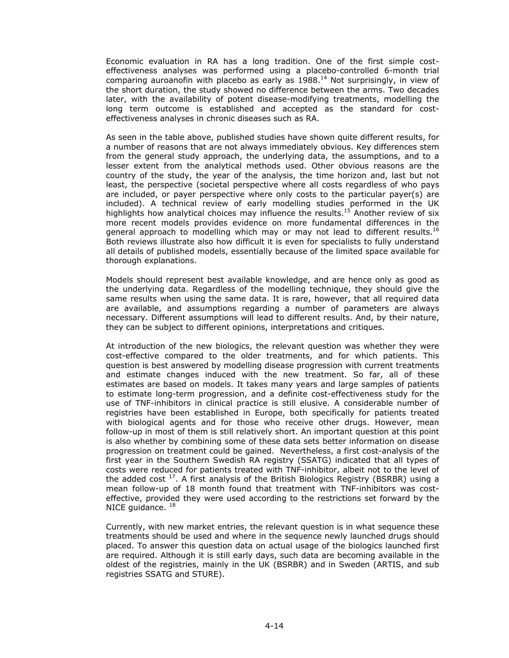Economic evaluation in RA has a long tradition. One of the first simple costeffectiveness analyses was performed using a placebo-controlled 6-month trial comparing auroanofin with placebo as early as  $1988$ .<sup>14</sup> Not surprisingly, in view of the short duration, the study showed no difference between the arms. Two decades later, with the availability of potent disease-modifying treatments, modelling the long term outcome is established and accepted as the standard for costeffectiveness analyses in chronic diseases such as RA.

As seen in the table above, published studies have shown quite different results, for a number of reasons that are not always immediately obvious. Key differences stem from the general study approach, the underlying data, the assumptions, and to a lesser extent from the analytical methods used. Other obvious reasons are the country of the study, the year of the analysis, the time horizon and, last but not least, the perspective (societal perspective where all costs regardless of who pays are included, or payer perspective where only costs to the particular payer(s) are included). A technical review of early modelling studies performed in the UK highlights how analytical choices may influence the results.<sup>15</sup> Another review of six more recent models provides evidence on more fundamental differences in the general approach to modelling which may or may not lead to different results.<sup>16</sup> Both reviews illustrate also how difficult it is even for specialists to fully understand all details of published models, essentially because of the limited space available for thorough explanations.

Models should represent best available knowledge, and are hence only as good as the underlying data. Regardless of the modelling technique, they should give the same results when using the same data. It is rare, however, that all required data are available, and assumptions regarding a number of parameters are always necessary. Different assumptions will lead to different results. And, by their nature, they can be subject to different opinions, interpretations and critiques.

At introduction of the new biologics, the relevant question was whether they were cost-effective compared to the older treatments, and for which patients. This question is best answered by modelling disease progression with current treatments and estimate changes induced with the new treatment. So far, all of these estimates are based on models. It takes many years and large samples of patients to estimate long-term progression, and a definite cost-effectiveness study for the use of TNF-inhibitors in clinical practice is still elusive. A considerable number of registries have been established in Europe, both specifically for patients treated with biological agents and for those who receive other drugs. However, mean follow-up in most of them is still relatively short. An important question at this point is also whether by combining some of these data sets better information on disease progression on treatment could be gained. Nevertheless, a first cost-analysis of the first year in the Southern Swedish RA registry (SSATG) indicated that all types of costs were reduced for patients treated with TNF-inhibitor, albeit not to the level of the added cost  $17$ . A first analysis of the British Biologics Registry (BSRBR) using a mean follow-up of 18 month found that treatment with TNF-inhibitors was costeffective, provided they were used according to the restrictions set forward by the NICE guidance.  $18$ 

Currently, with new market entries, the relevant question is in what sequence these treatments should be used and where in the sequence newly launched drugs should placed. To answer this question data on actual usage of the biologics launched first are required. Although it is still early days, such data are becoming available in the oldest of the registries, mainly in the UK (BSRBR) and in Sweden (ARTIS, and sub registries SSATG and STURE).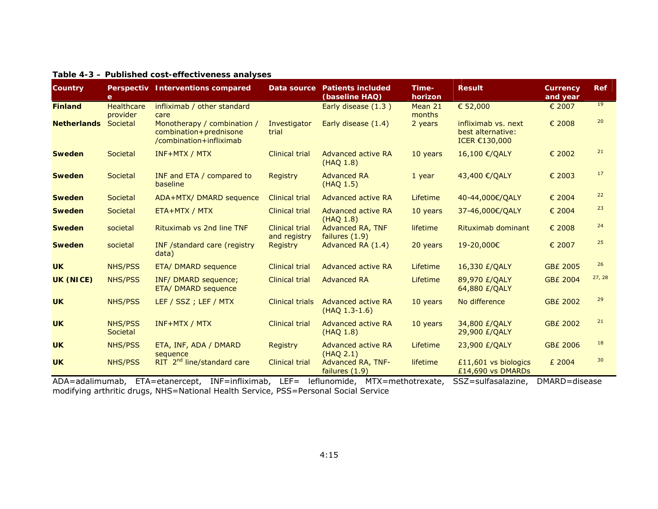| Country            | e                             | Perspectiv Interventions compared                                                | Data source                     | <b>Patients included</b><br>(baseline HAQ) | Time-<br>horizon  | <b>Result</b>                                             | Currency<br>and year | <b>Ref</b>      |
|--------------------|-------------------------------|----------------------------------------------------------------------------------|---------------------------------|--------------------------------------------|-------------------|-----------------------------------------------------------|----------------------|-----------------|
| <b>Finland</b>     | <b>Healthcare</b><br>provider | infliximab / other standard<br>care                                              |                                 | Early disease (1.3)                        | Mean 21<br>months | € 52,000                                                  | € 2007               | 19              |
| <b>Netherlands</b> | Societal                      | Monotherapy / combination /<br>combination+prednisone<br>/combination+infliximab | Investigator<br>trial           | Early disease (1.4)                        | 2 years           | infliximab vs. next<br>best alternative:<br>ICER €130,000 | € 2008               | 20              |
| <b>Sweden</b>      | Societal                      | <b>INF+MTX / MTX</b>                                                             | <b>Clinical trial</b>           | Advanced active RA<br>(HAQ 1.8)            | 10 years          | 16,100 €/QALY                                             | € 2002               | 21              |
| <b>Sweden</b>      | Societal                      | INF and ETA / compared to<br>baseline                                            | Registry                        | <b>Advanced RA</b><br>(HAQ 1.5)            | $1$ year          | 43,400 €/QALY                                             | € 2003               | 17              |
| <b>Sweden</b>      | Societal                      | ADA+MTX/ DMARD sequence                                                          | <b>Clinical trial</b>           | Advanced active RA                         | Lifetime          | 40-44,000€/QALY                                           | € 2004               | 22              |
| <b>Sweden</b>      | Societal                      | ETA+MTX / MTX                                                                    | <b>Clinical trial</b>           | Advanced active RA<br>(HAQ 1.8)            | 10 years          | 37-46,000€/QALY                                           | € 2004               | 23              |
| <b>Sweden</b>      | societal                      | Rituximab vs 2nd line TNF                                                        | <b>Clinical trial</b>           | Advanced RA, TNF                           | lifetime          | Rituximab dominant                                        | € 2008               | 24              |
| <b>Sweden</b>      | societal                      | INF /standard care (registry<br>data)                                            | and registry<br><b>Registry</b> | failures (1.9)<br>Advanced RA (1.4)        | 20 years          | 19-20,000€                                                | € 2007               | 25              |
| <b>UK</b>          | <b>NHS/PSS</b>                | ETA/ DMARD sequence                                                              | <b>Clinical trial</b>           | Advanced active RA                         | Lifetime          | 16,330 £/QALY                                             | <b>GB£ 2005</b>      | 26              |
| <b>UK (NICE)</b>   | <b>NHS/PSS</b>                | INF/ DMARD sequence;<br>ETA/ DMARD sequence                                      | <b>Clinical trial</b>           | <b>Advanced RA</b>                         | Lifetime          | 89,970 £/QALY<br>64,880 £/QALY                            | <b>GB£ 2004</b>      | 27, 28          |
| <b>UK</b>          | <b>NHS/PSS</b>                | LEF / SSZ ; LEF / MTX                                                            | <b>Clinical trials</b>          | Advanced active RA<br>$(HAQ 1.3-1.6)$      | 10 years          | No difference                                             | <b>GB£ 2002</b>      | 29              |
| <b>UK</b>          | <b>NHS/PSS</b><br>Societal    | $INF+MTX / MTX$                                                                  | <b>Clinical trial</b>           | Advanced active RA<br>(HAQ 1.8)            | 10 years          | 34,800 £/QALY<br>29,900 £/QALY                            | <b>GB£ 2002</b>      | 21              |
| <b>UK</b>          | <b>NHS/PSS</b>                | ETA, INF, ADA / DMARD<br>sequence                                                | <b>Registry</b>                 | Advanced active RA<br>(HAQ 2.1)            | Lifetime          | 23,900 £/QALY                                             | <b>GB£ 2006</b>      | 18              |
| <b>UK</b>          | <b>NHS/PSS</b>                | RIT 2 <sup>nd</sup> line/standard care                                           | <b>Clinical trial</b>           | Advanced RA, TNF-<br>failures (1.9)        | lifetime          | £11,601 vs biologics<br>£14,690 vs DMARDs                 | £ 2004               | 30 <sup>2</sup> |

#### **Table 4-3 – Published cost-effectiveness analyses**

ADA=adalimumab, ETA=etanercept, INF=infliximab, LEF= leflunomide, MTX=methotrexate, SSZ=sulfasalazine, DMARD=disease modifying arthritic drugs, NHS=National Health Service, PSS=Personal Social Service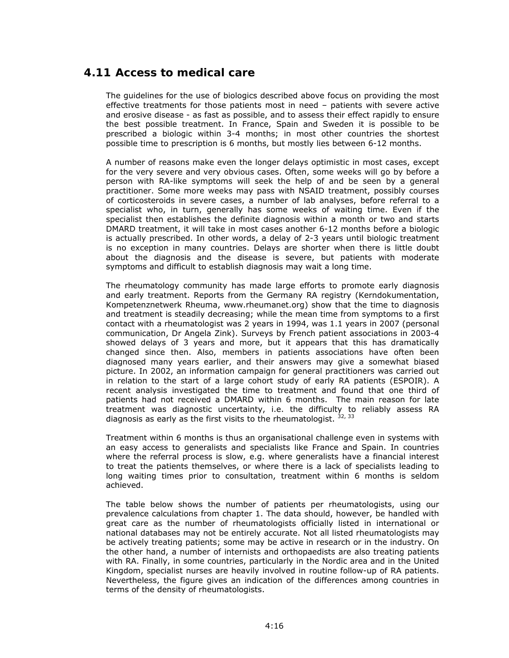# *4.11 Access to medical care*

The guidelines for the use of biologics described above focus on providing the most effective treatments for those patients most in need – patients with severe active and erosive disease - as fast as possible, and to assess their effect rapidly to ensure the best possible treatment. In France, Spain and Sweden it is possible to be prescribed a biologic within 3-4 months; in most other countries the shortest possible time to prescription is 6 months, but mostly lies between 6-12 months.

A number of reasons make even the longer delays optimistic in most cases, except for the very severe and very obvious cases. Often, some weeks will go by before a person with RA-like symptoms will seek the help of and be seen by a general practitioner. Some more weeks may pass with NSAID treatment, possibly courses of corticosteroids in severe cases, a number of lab analyses, before referral to a specialist who, in turn, generally has some weeks of waiting time. Even if the specialist then establishes the definite diagnosis within a month or two and starts DMARD treatment, it will take in most cases another 6-12 months before a biologic is actually prescribed. In other words, a delay of 2-3 years until biologic treatment is no exception in many countries. Delays are shorter when there is little doubt about the diagnosis and the disease is severe, but patients with moderate symptoms and difficult to establish diagnosis may wait a long time.

The rheumatology community has made large efforts to promote early diagnosis and early treatment. Reports from the Germany RA registry (Kerndokumentation, Kompetenznetwerk Rheuma, www.rheumanet.org) show that the time to diagnosis and treatment is steadily decreasing; while the mean time from symptoms to a first contact with a rheumatologist was 2 years in 1994, was 1.1 years in 2007 (personal communication, Dr Angela Zink). Surveys by French patient associations in 2003-4 showed delays of 3 years and more, but it appears that this has dramatically changed since then. Also, members in patients associations have often been diagnosed many years earlier, and their answers may give a somewhat biased picture. In 2002, an information campaign for general practitioners was carried out in relation to the start of a large cohort study of early RA patients (ESPOIR). A recent analysis investigated the time to treatment and found that one third of patients had not received a DMARD within 6 months. The main reason for late treatment was diagnostic uncertainty, i.e. the difficulty to reliably assess RA diagnosis as early as the first visits to the rheumatologist.  $32, 33$ 

Treatment within 6 months is thus an organisational challenge even in systems with an easy access to generalists and specialists like France and Spain. In countries where the referral process is slow, e.g. where generalists have a financial interest to treat the patients themselves, or where there is a lack of specialists leading to long waiting times prior to consultation, treatment within 6 months is seldom achieved.

The table below shows the number of patients per rheumatologists, using our prevalence calculations from chapter 1. The data should, however, be handled with great care as the number of rheumatologists officially listed in international or national databases may not be entirely accurate. Not all listed rheumatologists may be actively treating patients; some may be active in research or in the industry. On the other hand, a number of internists and orthopaedists are also treating patients with RA. Finally, in some countries, particularly in the Nordic area and in the United Kingdom, specialist nurses are heavily involved in routine follow-up of RA patients. Nevertheless, the figure gives an indication of the differences among countries in terms of the density of rheumatologists.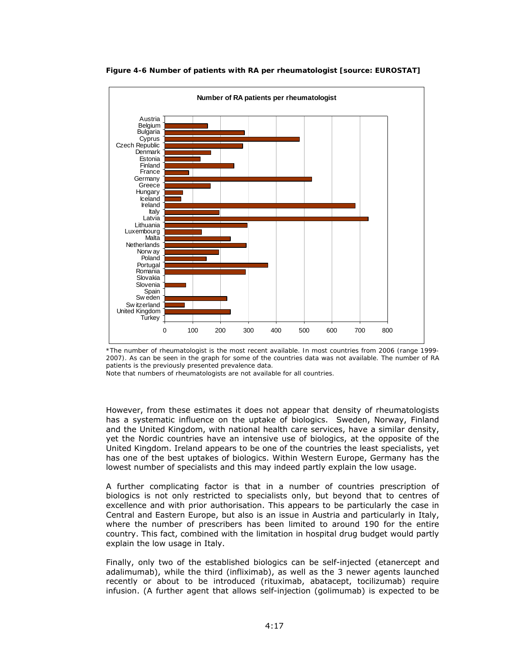

#### **Figure 4-6 Number of patients with RA per rheumatologist [source: EUROSTAT]**

*\*The number of rheumatologist is the most recent available. In most countries from 2006 (range 1999- 2007). As can be seen in the graph for some of the countries data was not available. The number of RA patients is the previously presented prevalence data.* 

*Note that numbers of rheumatologists are not available for all countries.* 

However, from these estimates it does not appear that density of rheumatologists has a systematic influence on the uptake of biologics. Sweden, Norway, Finland and the United Kingdom, with national health care services, have a similar density, yet the Nordic countries have an intensive use of biologics, at the opposite of the United Kingdom. Ireland appears to be one of the countries the least specialists, yet has one of the best uptakes of biologics. Within Western Europe, Germany has the lowest number of specialists and this may indeed partly explain the low usage.

A further complicating factor is that in a number of countries prescription of biologics is not only restricted to specialists only, but beyond that to centres of excellence and with prior authorisation. This appears to be particularly the case in Central and Eastern Europe, but also is an issue in Austria and particularly in Italy, where the number of prescribers has been limited to around 190 for the entire country. This fact, combined with the limitation in hospital drug budget would partly explain the low usage in Italy.

Finally, only two of the established biologics can be self-injected (etanercept and adalimumab), while the third (infliximab), as well as the 3 newer agents launched recently or about to be introduced (rituximab, abatacept, tocilizumab) require infusion. (A further agent that allows self-injection (golimumab) is expected to be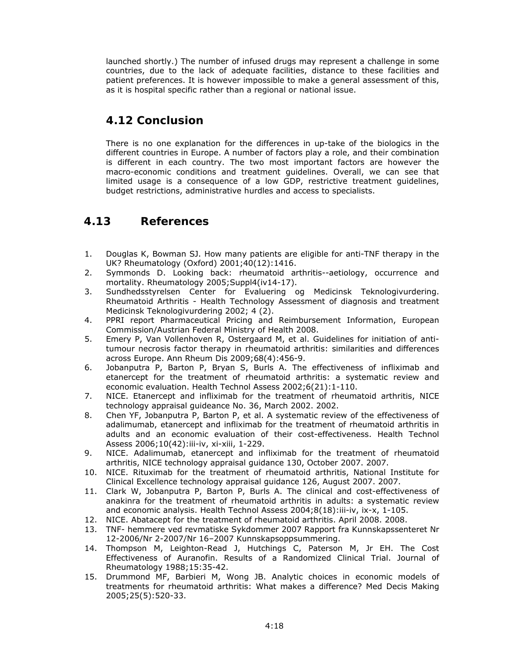launched shortly.) The number of infused drugs may represent a challenge in some countries, due to the lack of adequate facilities, distance to these facilities and patient preferences. It is however impossible to make a general assessment of this, as it is hospital specific rather than a regional or national issue.

## *4.12 Conclusion*

There is no one explanation for the differences in up-take of the biologics in the different countries in Europe. A number of factors play a role, and their combination is different in each country. The two most important factors are however the macro-economic conditions and treatment guidelines. Overall, we can see that limited usage is a consequence of a low GDP, restrictive treatment guidelines, budget restrictions, administrative hurdles and access to specialists.

## *4.13 References*

- 1. Douglas K, Bowman SJ. How many patients are eligible for anti-TNF therapy in the UK? Rheumatology (Oxford) 2001;40(12):1416.
- 2. Symmonds D. Looking back: rheumatoid arthritis--aetiology, occurrence and mortality. Rheumatology 2005;Suppl4(iv14-17).
- 3. Sundhedsstyrelsen Center for Evaluering og Medicinsk Teknologivurdering. Rheumatoid Arthritis - Health Technology Assessment of diagnosis and treatment Medicinsk Teknologivurdering 2002; 4 (2).
- 4. PPRI report Pharmaceutical Pricing and Reimbursement Information, European Commission/Austrian Federal Ministry of Health 2008.
- 5. Emery P, Van Vollenhoven R, Ostergaard M, et al. Guidelines for initiation of antitumour necrosis factor therapy in rheumatoid arthritis: similarities and differences across Europe. Ann Rheum Dis 2009;68(4):456-9.
- 6. Jobanputra P, Barton P, Bryan S, Burls A. The effectiveness of infliximab and etanercept for the treatment of rheumatoid arthritis: a systematic review and economic evaluation. Health Technol Assess 2002;6(21):1-110.
- 7. NICE. Etanercept and infliximab for the treatment of rheumatoid arthritis, NICE technology appraisal guideance No. 36, March 2002. 2002.
- 8. Chen YF, Jobanputra P, Barton P, et al. A systematic review of the effectiveness of adalimumab, etanercept and infliximab for the treatment of rheumatoid arthritis in adults and an economic evaluation of their cost-effectiveness. Health Technol Assess 2006;10(42):iii-iv, xi-xiii, 1-229.
- 9. NICE. Adalimumab, etanercept and infliximab for the treatment of rheumatoid arthritis, NICE technology appraisal guidance 130, October 2007. 2007.
- 10. NICE. Rituximab for the treatment of rheumatoid arthritis, National Institute for Clinical Excellence technology appraisal guidance 126, August 2007. 2007.
- 11. Clark W, Jobanputra P, Barton P, Burls A. The clinical and cost-effectiveness of anakinra for the treatment of rheumatoid arthritis in adults: a systematic review and economic analysis. Health Technol Assess 2004;8(18):iii-iv, ix-x, 1-105.
- 12. NICE. Abatacept for the treatment of rheumatoid arthritis. April 2008. 2008.
- 13. TNF- hemmere ved revmatiske Sykdommer 2007 Rapport fra Kunnskapssenteret Nr 12-2006/Nr 2-2007/Nr 16–2007 Kunnskapsoppsummering.
- 14. Thompson M, Leighton-Read J, Hutchings C, Paterson M, Jr EH. The Cost Effectiveness of Auranofin. Results of a Randomized Clinical Trial. Journal of Rheumatology 1988;15:35-42.
- 15. Drummond MF, Barbieri M, Wong JB. Analytic choices in economic models of treatments for rheumatoid arthritis: What makes a difference? Med Decis Making 2005;25(5):520-33.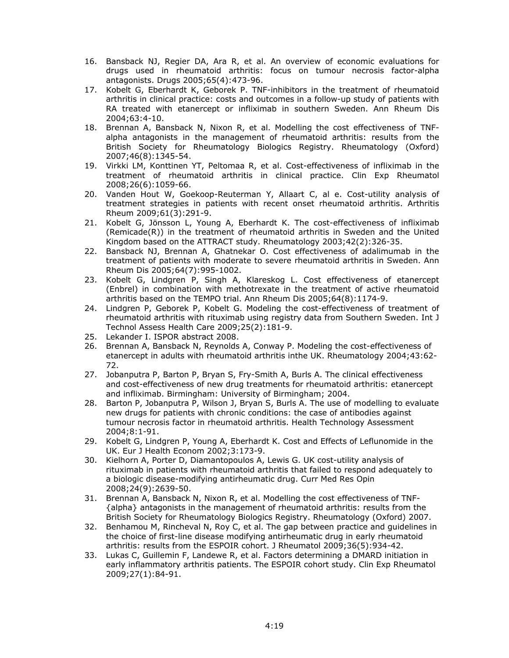- 16. Bansback NJ, Regier DA, Ara R, et al. An overview of economic evaluations for drugs used in rheumatoid arthritis: focus on tumour necrosis factor-alpha antagonists. Drugs 2005;65(4):473-96.
- 17. Kobelt G, Eberhardt K, Geborek P. TNF-inhibitors in the treatment of rheumatoid arthritis in clinical practice: costs and outcomes in a follow-up study of patients with RA treated with etanercept or infliximab in southern Sweden. Ann Rheum Dis 2004;63:4-10.
- 18. Brennan A, Bansback N, Nixon R, et al. Modelling the cost effectiveness of TNFalpha antagonists in the management of rheumatoid arthritis: results from the British Society for Rheumatology Biologics Registry. Rheumatology (Oxford) 2007;46(8):1345-54.
- 19. Virkki LM, Konttinen YT, Peltomaa R, et al. Cost-effectiveness of infliximab in the treatment of rheumatoid arthritis in clinical practice. Clin Exp Rheumatol 2008;26(6):1059-66.
- 20. Vanden Hout W, Goekoop-Reuterman Y, Allaart C, al e. Cost-utility analysis of treatment strategies in patients with recent onset rheumatoid arthritis. Arthritis Rheum 2009;61(3):291-9.
- 21. Kobelt G, Jönsson L, Young A, Eberhardt K. The cost-effectiveness of infliximab (Remicade(R)) in the treatment of rheumatoid arthritis in Sweden and the United Kingdom based on the ATTRACT study. Rheumatology 2003;42(2):326-35.
- 22. Bansback NJ, Brennan A, Ghatnekar O. Cost effectiveness of adalimumab in the treatment of patients with moderate to severe rheumatoid arthritis in Sweden. Ann Rheum Dis 2005;64(7):995-1002.
- 23. Kobelt G, Lindgren P, Singh A, Klareskog L. Cost effectiveness of etanercept (Enbrel) in combination with methotrexate in the treatment of active rheumatoid arthritis based on the TEMPO trial. Ann Rheum Dis 2005;64(8):1174-9.
- 24. Lindgren P, Geborek P, Kobelt G. Modeling the cost-effectiveness of treatment of rheumatoid arthritis with rituximab using registry data from Southern Sweden. Int J Technol Assess Health Care 2009;25(2):181-9.
- 25. Lekander I. ISPOR abstract 2008.
- 26. Brennan A, Bansback N, Reynolds A, Conway P. Modeling the cost-effectiveness of etanercept in adults with rheumatoid arthritis inthe UK. Rheumatology 2004;43:62- 72.
- 27. Jobanputra P, Barton P, Bryan S, Fry-Smith A, Burls A. The clinical effectiveness and cost-effectiveness of new drug treatments for rheumatoid arthritis: etanercept and infliximab. Birmingham: University of Birmingham; 2004.
- 28. Barton P, Jobanputra P, Wilson J, Bryan S, Burls A. The use of modelling to evaluate new drugs for patients with chronic conditions: the case of antibodies against tumour necrosis factor in rheumatoid arthritis. Health Technology Assessment 2004;8:1-91.
- 29. Kobelt G, Lindgren P, Young A, Eberhardt K. Cost and Effects of Leflunomide in the UK. Eur J Health Econom 2002;3:173-9.
- 30. Kielhorn A, Porter D, Diamantopoulos A, Lewis G. UK cost-utility analysis of rituximab in patients with rheumatoid arthritis that failed to respond adequately to a biologic disease-modifying antirheumatic drug. Curr Med Res Opin 2008;24(9):2639-50.
- 31. Brennan A, Bansback N, Nixon R, et al. Modelling the cost effectiveness of TNF- {alpha} antagonists in the management of rheumatoid arthritis: results from the British Society for Rheumatology Biologics Registry. Rheumatology (Oxford) 2007.
- 32. Benhamou M, Rincheval N, Roy C, et al. The gap between practice and guidelines in the choice of first-line disease modifying antirheumatic drug in early rheumatoid arthritis: results from the ESPOIR cohort. J Rheumatol 2009;36(5):934-42.
- 33. Lukas C, Guillemin F, Landewe R, et al. Factors determining a DMARD initiation in early inflammatory arthritis patients. The ESPOIR cohort study. Clin Exp Rheumatol 2009;27(1):84-91.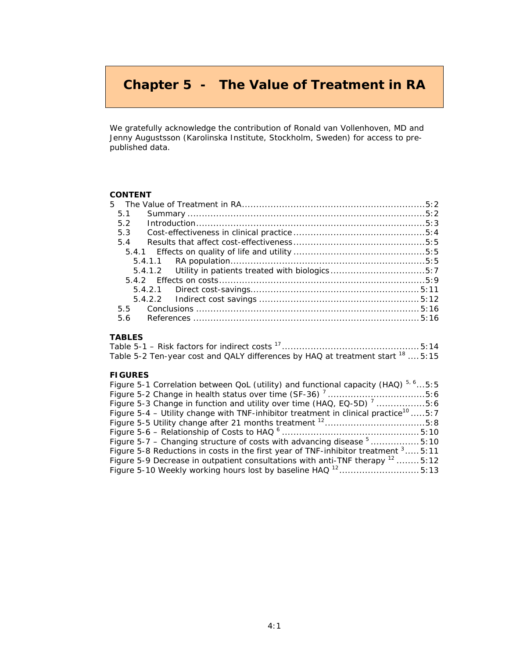# **Chapter 5 - The Value of Treatment in RA**

We gratefully acknowledge the contribution of Ronald van Vollenhoven, MD and Jenny Augustsson (Karolinska Institute, Stockholm, Sweden) for access to prepublished data.

#### **CONTENT**

| 5.1 |                                                       |  |
|-----|-------------------------------------------------------|--|
| 5.2 | $Introduction \dots 5:3$                              |  |
| 5.3 |                                                       |  |
| 5.4 |                                                       |  |
|     |                                                       |  |
|     |                                                       |  |
|     | 5.4.1.2 Utility in patients treated with biologics5:7 |  |
|     |                                                       |  |
|     |                                                       |  |
|     |                                                       |  |
|     |                                                       |  |
|     |                                                       |  |
|     |                                                       |  |

### **TABLES**

|  |  | Table 5-2 Ten-year cost and QALY differences by HAQ at treatment start $^{18}$ 5:15 |  |  |  |  |
|--|--|-------------------------------------------------------------------------------------|--|--|--|--|

#### **FIGURES**

| Figure 5-1 Correlation between QoL (utility) and functional capacity (HAQ) $5.65:5$             |  |
|-------------------------------------------------------------------------------------------------|--|
|                                                                                                 |  |
| Figure 5-3 Change in function and utility over time (HAQ, EQ-5D) 7 5:6                          |  |
| Figure 5-4 – Utility change with TNF-inhibitor treatment in clinical practice <sup>10</sup> 5:7 |  |
|                                                                                                 |  |
|                                                                                                 |  |
| Figure 5-7 – Changing structure of costs with advancing disease <sup>5</sup> 5:10               |  |
| Figure 5-8 Reductions in costs in the first year of TNF-inhibitor treatment $3\dots$ 5:11       |  |
| Figure 5-9 Decrease in outpatient consultations with anti-TNF therapy $12$ 5:12                 |  |
|                                                                                                 |  |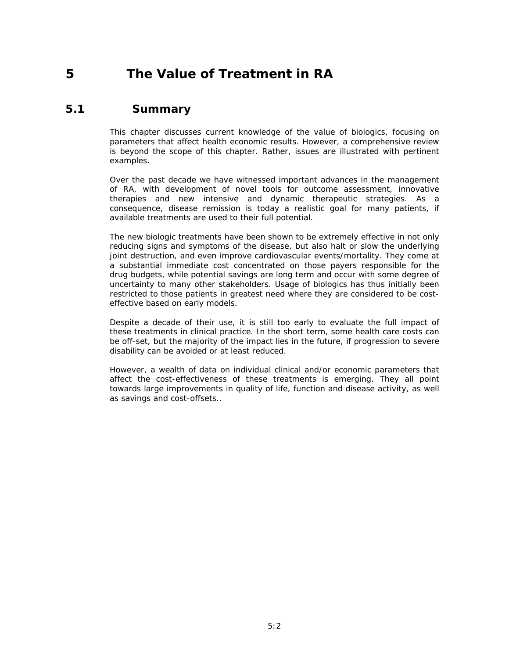# **5 The Value of Treatment in RA**

## *5.1 Summary*

*This chapter discusses current knowledge of the value of biologics, focusing on parameters that affect health economic results. However, a comprehensive review is beyond the scope of this chapter. Rather, issues are illustrated with pertinent examples.* 

*Over the past decade we have witnessed important advances in the management of RA, with development of novel tools for outcome assessment, innovative therapies and new intensive and dynamic therapeutic strategies. As a*  consequence, disease remission is today a realistic goal for many patients, if *available treatments are used to their full potential.* 

*The new biologic treatments have been shown to be extremely effective in not only reducing signs and symptoms of the disease, but also halt or slow the underlying joint destruction, and even improve cardiovascular events/mortality. They come at a substantial immediate cost concentrated on those payers responsible for the drug budgets, while potential savings are long term and occur with some degree of uncertainty to many other stakeholders. Usage of biologics has thus initially been restricted to those patients in greatest need where they are considered to be costeffective based on early models.* 

*Despite a decade of their use, it is still too early to evaluate the full impact of these treatments in clinical practice. In the short term, some health care costs can*  be off-set, but the majority of the impact lies in the future, if progression to severe *disability can be avoided or at least reduced.* 

*However, a wealth of data on individual clinical and/or economic parameters that affect the cost-effectiveness of these treatments is emerging. They all point towards large improvements in quality of life, function and disease activity, as well as savings and cost-offsets..*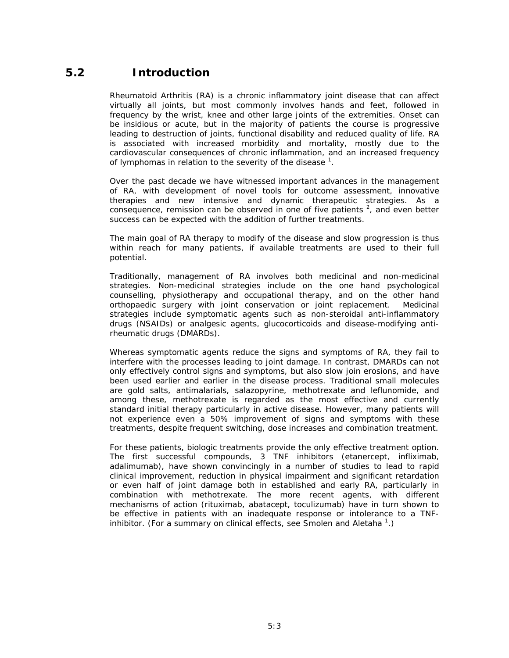## *5.2 Introduction*

Rheumatoid Arthritis (RA) is a chronic inflammatory joint disease that can affect virtually all joints, but most commonly involves hands and feet, followed in frequency by the wrist, knee and other large joints of the extremities. Onset can be insidious or acute, but in the majority of patients the course is progressive leading to destruction of joints, functional disability and reduced quality of life. RA is associated with increased morbidity and mortality, mostly due to the cardiovascular consequences of chronic inflammation, and an increased frequency of lymphomas in relation to the severity of the disease  $^1$ .

Over the past decade we have witnessed important advances in the management of RA, with development of novel tools for outcome assessment, innovative therapies and new intensive and dynamic therapeutic strategies. As a consequence, remission can be observed in one of five patients  $2$ , and even better success can be expected with the addition of further treatments.

The main goal of RA therapy to modify of the disease and slow progression is thus within reach for many patients, if available treatments are used to their full potential.

Traditionally, management of RA involves both medicinal and non-medicinal strategies. Non-medicinal strategies include on the one hand psychological counselling, physiotherapy and occupational therapy, and on the other hand orthopaedic surgery with joint conservation or joint replacement. Medicinal strategies include symptomatic agents such as non-steroidal anti-inflammatory drugs (NSAIDs) or analgesic agents, glucocorticoids and disease-modifying antirheumatic drugs (DMARDs).

Whereas symptomatic agents reduce the signs and symptoms of RA, they fail to interfere with the processes leading to joint damage. In contrast, DMARDs can not only effectively control signs and symptoms, but also slow join erosions, and have been used earlier and earlier in the disease process. Traditional small molecules are gold salts, antimalarials, salazopyrine, methotrexate and leflunomide, and among these, methotrexate is regarded as the most effective and currently standard initial therapy particularly in active disease. However, many patients will not experience even a 50% improvement of signs and symptoms with these treatments, despite frequent switching, dose increases and combination treatment.

For these patients, biologic treatments provide the only effective treatment option. The first successful compounds, 3 TNF inhibitors (etanercept, infliximab, adalimumab), have shown convincingly in a number of studies to lead to rapid clinical improvement, reduction in physical impairment and significant retardation or even half of joint damage both in established and early RA, particularly in combination with methotrexate. The more recent agents, with different mechanisms of action (rituximab, abatacept, toculizumab) have in turn shown to be effective in patients with an inadequate response or intolerance to a TNFinhibitor. (For a summary on clinical effects, see Smolen and Aletaha<sup>1</sup>.)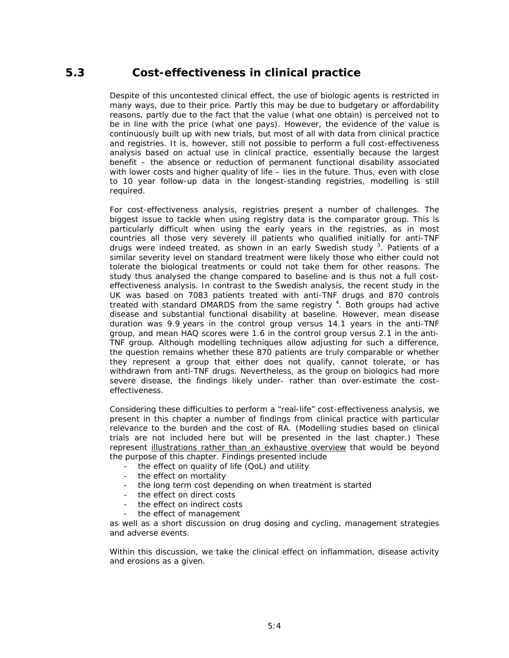## *5.3 Cost-effectiveness in clinical practice*

Despite of this uncontested clinical effect, the use of biologic agents is restricted in many ways, due to their price. Partly this may be due to budgetary or affordability reasons, partly due to the fact that the value (what one obtain) is perceived not to be in line with the price (what one pays). However, the evidence of the value is continuously built up with new trials, but most of all with data from clinical practice and registries. It is, however, still not possible to perform a full cost-effectiveness analysis based on actual use in clinical practice, essentially because the largest benefit – the absence or reduction of permanent functional disability associated with lower costs and higher quality of life – lies in the future. Thus, even with close to 10 year follow-up data in the longest-standing registries, modelling is still required.

For cost-effectiveness analysis, registries present a number of challenges. The biggest issue to tackle when using registry data is the comparator group. This is particularly difficult when using the early years in the registries, as in most countries all those very severely ill patients who qualified initially for anti-TNF drugs were indeed treated, as shown in an early Swedish study <sup>3</sup>. Patients of a similar severity level on standard treatment were likely those who either could not tolerate the biological treatments or could not take them for other reasons. The study thus analysed the change compared to baseline and is thus not a full costeffectiveness analysis. In contrast to the Swedish analysis, the recent study in the UK was based on 7083 patients treated with anti-TNF drugs and 870 controls treated with standard DMARDS from the same registry <sup>4</sup>. Both groups had active disease and substantial functional disability at baseline. However, mean disease duration was 9.9 years in the control group versus 14.1 years in the anti-TNF group, and mean HAQ scores were 1.6 in the control group versus 2.1 in the anti-TNF group. Although modelling techniques allow adjusting for such a difference, the question remains whether these 870 patients are truly comparable or whether they represent a group that either does not qualify, cannot tolerate, or has withdrawn from anti-TNF drugs. Nevertheless, as the group on biologics had more severe disease, the findings likely under- rather than over-estimate the costeffectiveness.

Considering these difficulties to perform a "real-life" cost-effectiveness analysis, we present in this chapter a number of findings from clinical practice with particular relevance to the burden and the cost of RA. (Modelling studies based on clinical trials are not included here but will be presented in the last chapter.) These represent illustrations rather than an exhaustive overview that would be beyond the purpose of this chapter. Findings presented include

- the effect on quality of life (QoL) and utility
- the effect on mortality
- the long term cost depending on when treatment is started
- the effect on direct costs
- the effect on indirect costs
- the effect of management

as well as a short discussion on drug dosing and cycling, management strategies and adverse events.

Within this discussion, we take the clinical effect on inflammation, disease activity and erosions as a given.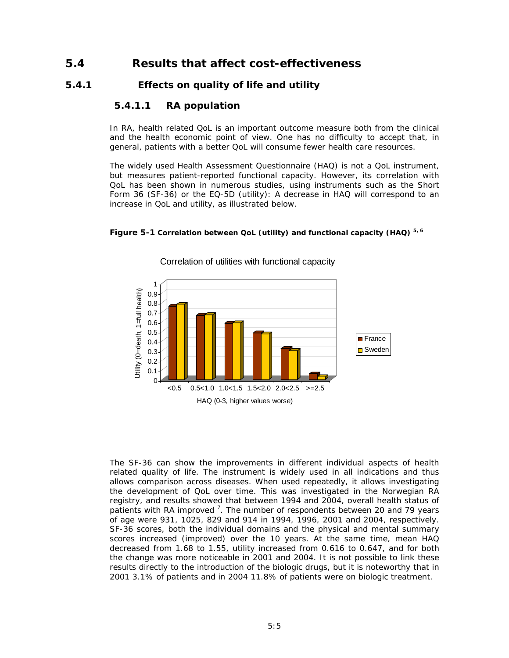## *5.4 Results that affect cost-effectiveness*

### **5.4.1 Effects on quality of life and utility**

### *5.4.1.1 RA population*

In RA, health related QoL is an important outcome measure both from the clinical and the health economic point of view. One has no difficulty to accept that, in general, patients with a better QoL will consume fewer health care resources.

The widely used Health Assessment Questionnaire (HAQ) is not a QoL instrument, but measures patient-reported functional capacity. However, its correlation with QoL has been shown in numerous studies, using instruments such as the Short Form 36 (SF-36) or the EQ-5D (utility): A decrease in HAQ will correspond to an increase in QoL and utility, as illustrated below.





Correlation of utilities with functional capacity

The SF-36 can show the improvements in different individual aspects of health related quality of life. The instrument is widely used in all indications and thus allows comparison across diseases. When used repeatedly, it allows investigating the development of QoL over time. This was investigated in the Norwegian RA registry, and results showed that between 1994 and 2004, overall health status of patients with RA improved  $^7$ . The number of respondents between 20 and 79 years of age were 931, 1025, 829 and 914 in 1994, 1996, 2001 and 2004, respectively. SF-36 scores, both the individual domains and the physical and mental summary scores increased (improved) over the 10 years. At the same time, mean HAQ decreased from 1.68 to 1.55, utility increased from 0.616 to 0.647, and for both the change was more noticeable in 2001 and 2004. It is not possible to link these results directly to the introduction of the biologic drugs, but it is noteworthy that in 2001 3.1% of patients and in 2004 11.8% of patients were on biologic treatment.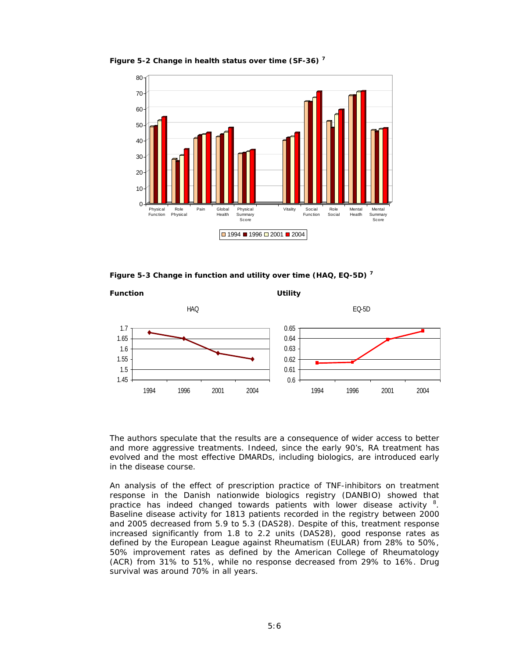

**Figure 5-2 Change in health status over time (SF-36) <sup>7</sup>**

**Figure 5-3 Change in function and utility over time (HAQ, EQ-5D) <sup>7</sup>**



The authors speculate that the results are a consequence of wider access to better and more aggressive treatments. Indeed, since the early 90's, RA treatment has evolved and the most effective DMARDs, including biologics, are introduced early in the disease course.

An analysis of the effect of prescription practice of TNF-inhibitors on treatment response in the Danish nationwide biologics registry (DANBIO) showed that practice has indeed changed towards patients with lower disease activity <sup>8</sup>. Baseline disease activity for 1813 patients recorded in the registry between 2000 and 2005 decreased from 5.9 to 5.3 (DAS28). Despite of this, treatment response increased significantly from 1.8 to 2.2 units (DAS28), good response rates as defined by the European League against Rheumatism (EULAR) from 28% to 50%, 50% improvement rates as defined by the American College of Rheumatology (ACR) from 31% to 51%, while no response decreased from 29% to 16%. Drug survival was around 70% in all years.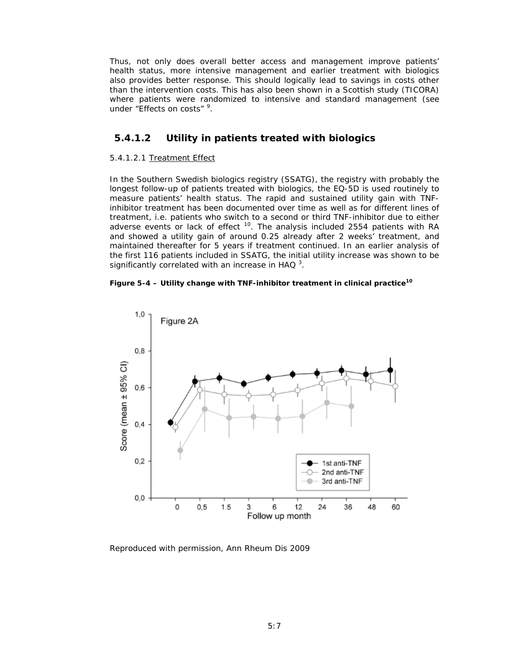Thus, not only does overall better access and management improve patients' health status, more intensive management and earlier treatment with biologics also provides better response. This should logically lead to savings in costs other than the intervention costs. This has also been shown in a Scottish study (TICORA) where patients were randomized to intensive and standard management (see under "Effects on costs" <sup>9</sup>.

### *5.4.1.2 Utility in patients treated with biologics*

#### 5.4.1.2.1 Treatment Effect

In the Southern Swedish biologics registry (SSATG), the registry with probably the longest follow-up of patients treated with biologics, the EQ-5D is used routinely to measure patients' health status. The rapid and sustained utility gain with TNFinhibitor treatment has been documented over time as well as for different lines of treatment, i.e. patients who switch to a second or third TNF-inhibitor due to either adverse events or lack of effect  $10$ . The analysis included 2554 patients with RA and showed a utility gain of around 0.25 already after 2 weeks' treatment, and maintained thereafter for 5 years if treatment continued. In an earlier analysis of the first 116 patients included in SSATG, the initial utility increase was shown to be significantly correlated with an increase in HAQ  $^3$ .

#### **Figure 5-4 – Utility change with TNF-inhibitor treatment in clinical practice<sup>10</sup>**



Reproduced with permission, Ann Rheum Dis 2009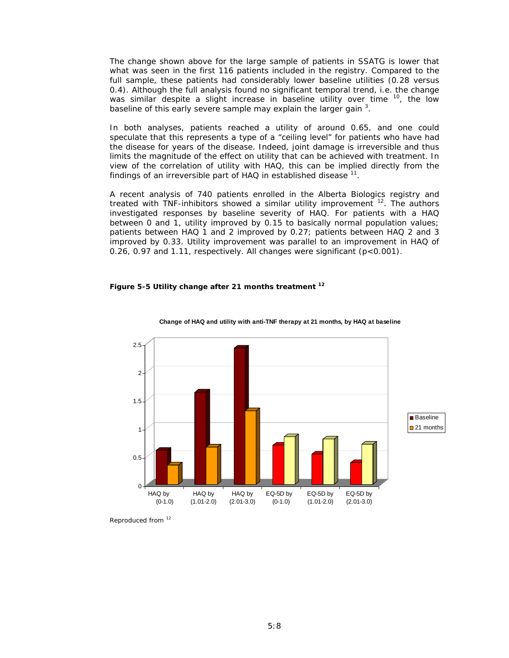The change shown above for the large sample of patients in SSATG is lower that what was seen in the first 116 patients included in the registry. Compared to the full sample, these patients had considerably lower baseline utilities (0.28 versus 0.4). Although the full analysis found no significant temporal trend, i.e. the change was similar despite a slight increase in baseline utility over time  $10$ , the low baseline of this early severe sample may explain the larger gain <sup>3</sup>.

In both analyses, patients reached a utility of around 0.65, and one could speculate that this represents a type of a "ceiling level" for patients who have had the disease for years of the disease. Indeed, joint damage is irreversible and thus limits the magnitude of the effect on utility that can be achieved with treatment. In view of the correlation of utility with HAQ, this can be implied directly from the findings of an irreversible part of HAQ in established disease  $11$ .

A recent analysis of 740 patients enrolled in the Alberta Biologics registry and treated with TNF-inhibitors showed a similar utility improvement <sup>12</sup>. The authors investigated responses by baseline severity of HAQ. For patients with a HAQ between 0 and 1, utility improved by 0.15 to basically normal population values; patients between HAQ 1 and 2 improved by 0.27; patients between HAQ 2 and 3 improved by 0.33. Utility improvement was parallel to an improvement in HAQ of 0.26, 0.97 and 1.11, respectively. All changes were significant (p<0.001).

#### **Figure 5-5 Utility change after 21 months treatment <sup>12</sup>**



#### **Change of HAQ and utility with anti-TNF therapy at 21 months, by HAQ at baseline**

Reproduced from <sup>12</sup>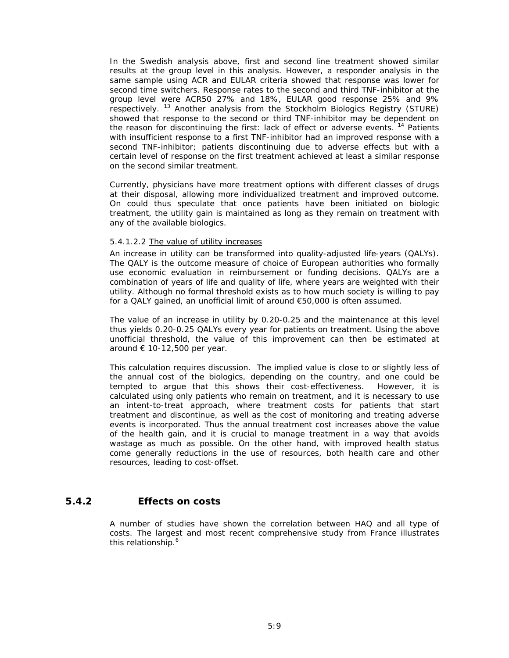In the Swedish analysis above, first and second line treatment showed similar results at the group level in this analysis. However, a responder analysis in the same sample using ACR and EULAR criteria showed that response was lower for second time switchers. Response rates to the second and third TNF-inhibitor at the group level were ACR50 27% and 18%, EULAR good response 25% and 9% respectively. 13 Another analysis from the Stockholm Biologics Registry (STURE) showed that response to the second or third TNF-inhibitor may be dependent on the reason for discontinuing the first: lack of effect or adverse events.<sup>14</sup> Patients with insufficient response to a first TNF-inhibitor had an improved response with a second TNF-inhibitor; patients discontinuing due to adverse effects but with a certain level of response on the first treatment achieved at least a similar response on the second similar treatment.

Currently, physicians have more treatment options with different classes of drugs at their disposal, allowing more individualized treatment and improved outcome. On could thus speculate that once patients have been initiated on biologic treatment, the utility gain is maintained as long as they remain on treatment with any of the available biologics.

#### 5.4.1.2.2 The value of utility increases

An increase in utility can be transformed into quality-adjusted life-years (QALYs). The QALY is the outcome measure of choice of European authorities who formally use economic evaluation in reimbursement or funding decisions. QALYs are a combination of years of life and quality of life, where years are weighted with their utility. Although no formal threshold exists as to how much society is willing to pay for a QALY gained, an unofficial limit of around €50,000 is often assumed.

The value of an increase in utility by 0.20-0.25 and the maintenance at this level thus yields 0.20-0.25 QALYs every year for patients on treatment. Using the above unofficial threshold, the value of this improvement can then be estimated at around  $\epsilon$  10-12,500 per year.

This calculation requires discussion. The implied value is close to or slightly less of the annual cost of the biologics, depending on the country, and one could be tempted to argue that this shows their cost-effectiveness. However, it is calculated using only patients who remain on treatment, and it is necessary to use an intent-to-treat approach, where treatment costs for patients that start treatment and discontinue, as well as the cost of monitoring and treating adverse events is incorporated. Thus the annual treatment cost increases above the value of the health gain, and it is crucial to manage treatment in a way that avoids wastage as much as possible. On the other hand, with improved health status come generally reductions in the use of resources, both health care and other resources, leading to cost-offset.

### **5.4.2 Effects on costs**

A number of studies have shown the correlation between HAQ and all type of costs. The largest and most recent comprehensive study from France illustrates this relationship.<sup>6</sup>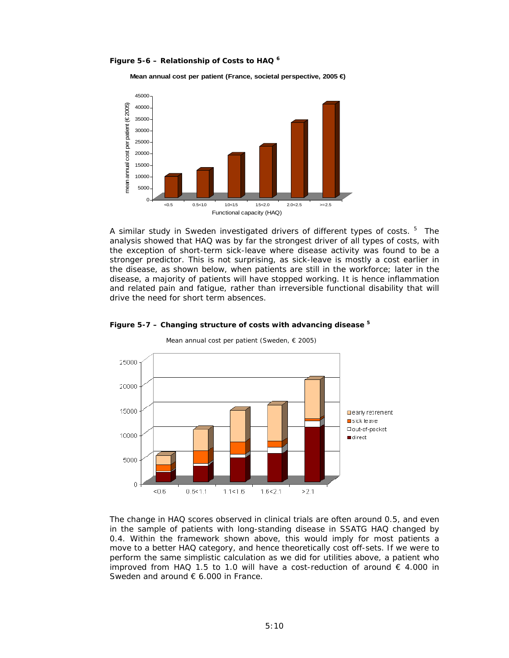**Figure 5-6 – Relationship of Costs to HAQ <sup>6</sup>**

**Mean annual cost per patient (France, societal perspective, 2005 €)**



A similar study in Sweden investigated drivers of different types of costs. <sup>5</sup> The analysis showed that HAQ was by far the strongest driver of all types of costs, with the exception of short-term sick-leave where disease activity was found to be a stronger predictor. This is not surprising, as sick-leave is mostly a cost earlier in the disease, as shown below, when patients are still in the workforce; later in the disease, a majority of patients will have stopped working. It is hence inflammation and related pain and fatigue, rather than irreversible functional disability that will drive the need for short term absences.



#### **Figure 5-7 – Changing structure of costs with advancing disease 5**

Mean annual cost per patient (Sweden, € 2005)

The change in HAQ scores observed in clinical trials are often around 0.5, and even in the sample of patients with long-standing disease in SSATG HAQ changed by 0.4. Within the framework shown above, this would imply for most patients a move to a better HAQ category, and hence theoretically cost off-sets. If we were to perform the same simplistic calculation as we did for utilities above, a patient who improved from HAQ 1.5 to 1.0 will have a cost-reduction of around  $\epsilon$  4.000 in Sweden and around € 6.000 in France.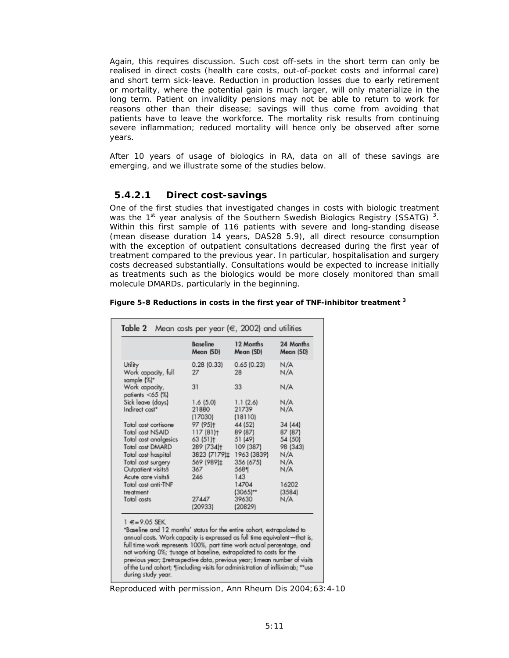Again, this requires discussion. Such cost off-sets in the short term can only be realised in direct costs (health care costs, out-of-pocket costs and informal care) and short term sick-leave. Reduction in production losses due to early retirement or mortality, where the potential gain is much larger, will only materialize in the long term. Patient on invalidity pensions may not be able to return to work for reasons other than their disease; savings will thus come from avoiding that patients have to leave the workforce. The mortality risk results from continuing severe inflammation; reduced mortality will hence only be observed after some years.

After 10 years of usage of biologics in RA, data on all of these savings are emerging, and we illustrate some of the studies below.

### *5.4.2.1 Direct cost-savings*

One of the first studies that investigated changes in costs with biologic treatment was the 1<sup>st</sup> year analysis of the Southern Swedish Biologics Registry (SSATG)<sup>3</sup>. Within this first sample of 116 patients with severe and long-standing disease (mean disease duration 14 years, DAS28 5.9), all direct resource consumption with the exception of outpatient consultations decreased during the first year of treatment compared to the previous year. In particular, hospitalisation and surgery costs decreased substantially. Consultations would be expected to increase initially as treatments such as the biologics would be more closely monitored than small molecule DMARDs, particularly in the beginning.

| Figure 5-8 Reductions in costs in the first year of TNF-inhibitor treatment 3 |  |  |
|-------------------------------------------------------------------------------|--|--|

|                                                                   | <b>Baseline</b><br>Mean (SD)    | 12 Months<br>Mean (SD)        | 24 Months<br>Mean (SD)        |
|-------------------------------------------------------------------|---------------------------------|-------------------------------|-------------------------------|
| Utility<br>Work capacity, full<br>sample (%)*                     | $0.28$ (0.33)<br>27             | 0.65(0.23)<br>28              | N/A<br>N/A                    |
| Work capacity,<br>patients $<$ 65 (%)                             | 31                              | 33                            | N/A                           |
| Sick leave (days)<br>Indirect cost*                               | 1.6(5.0)<br>21880<br>(17030)    | 1.1(2.6)<br>21739<br>(18110)  | N/A<br>N/A                    |
| Total cost cortisone<br>Total cost NSAID<br>Total cost analgesics | 97 (95)+<br>117(81)<br>63 (51)+ | 44 (52)<br>89 (87)<br>51 (49) | 34 (44)<br>87 (87)<br>54 (50) |
| Total cost DMARD<br>Total cost hospital                           | 289 (734)+<br>3823 (7179)±      | 109 (387)<br>1963 (3839)      | 98 (343)<br>N/A               |
| Total cost surgery<br>Outpatient visits§                          | 569 (989)±<br>367               | 356 (675)<br>5681             | N/A<br>N/A                    |
| Acute care visits§<br>Total cost anti-TNF<br>treatment            | 246                             | 143<br>14704<br>$(3065)**$    | 16202<br>(3584)               |
| Total costs                                                       | 27447<br>(20933)                | 39630<br>(20829)              | N/A                           |

annual costs. Work capacity is expressed as full time equivalent-that is, full time work represents 100%, part time work actual percentage, and not working 0%; tusage at baseline, extrapolated to costs for the previous year; ‡retrospective data, previous year; §mean number of visits of the Lund cohort; "[including visits for administration of infliximab; \*\*use during study year.

*Reproduced with permission, Ann Rheum Dis 2004;63:4-10*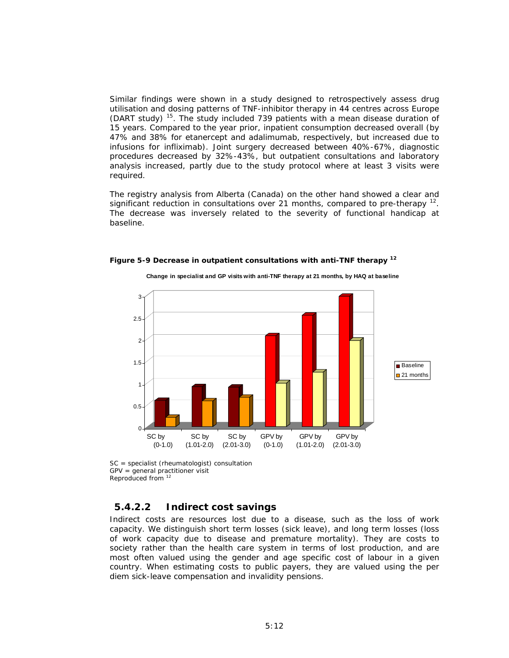Similar findings were shown in a study designed to retrospectively assess drug utilisation and dosing patterns of TNF-inhibitor therapy in 44 centres across Europe (DART study)  $15$ . The study included 739 patients with a mean disease duration of 15 years. Compared to the year prior, inpatient consumption decreased overall (by 47% and 38% for etanercept and adalimumab, respectively, but increased due to infusions for infliximab). Joint surgery decreased between 40%-67%, diagnostic procedures decreased by 32%-43%, but outpatient consultations and laboratory analysis increased, partly due to the study protocol where at least 3 visits were required.

The registry analysis from Alberta (Canada) on the other hand showed a clear and significant reduction in consultations over 21 months, compared to pre-therapy  $12$ . The decrease was inversely related to the severity of functional handicap at baseline.



**Figure 5-9 Decrease in outpatient consultations with anti-TNF therapy 12**

SC = specialist (rheumatologist) consultation GPV = general practitioner visit Reproduced from 12

### *5.4.2.2 Indirect cost savings*

Indirect costs are resources lost due to a disease, such as the loss of work capacity. We distinguish short term losses (sick leave), and long term losses (loss of work capacity due to disease and premature mortality). They are costs to society rather than the health care system in terms of lost production, and are most often valued using the gender and age specific cost of labour in a given country. When estimating costs to public payers, they are valued using the per diem sick-leave compensation and invalidity pensions.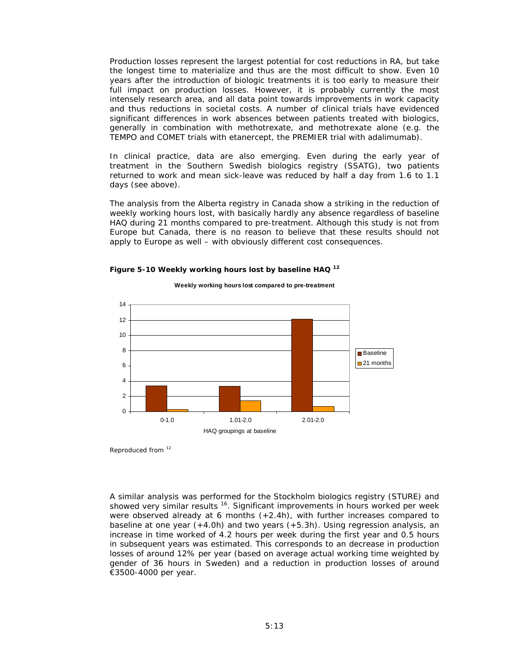Production losses represent the largest potential for cost reductions in RA, but take the longest time to materialize and thus are the most difficult to show. Even 10 years after the introduction of biologic treatments it is too early to measure their full impact on production losses. However, it is probably currently the most intensely research area, and all data point towards improvements in work capacity and thus reductions in societal costs. A number of clinical trials have evidenced significant differences in work absences between patients treated with biologics, generally in combination with methotrexate, and methotrexate alone (e.g. the TEMPO and COMET trials with etanercept, the PREMIER trial with adalimumab).

In clinical practice, data are also emerging. Even during the early year of treatment in the Southern Swedish biologics registry (SSATG), two patients returned to work and mean sick-leave was reduced by half a day from 1.6 to 1.1 days (see above).

The analysis from the Alberta registry in Canada show a striking in the reduction of weekly working hours lost, with basically hardly any absence regardless of baseline HAQ during 21 months compared to pre-treatment. Although this study is not from Europe but Canada, there is no reason to believe that these results should not apply to Europe as well – with obviously different cost consequences.



**Weekly working hours lost compared to pre-treatment** 

#### **Figure 5-10 Weekly working hours lost by baseline HAQ 12**

Reproduced from <sup>12</sup>

A similar analysis was performed for the Stockholm biologics registry (STURE) and showed very similar results<sup>16</sup>. Significant improvements in hours worked per week were observed already at 6 months (+2.4h), with further increases compared to baseline at one year (+4.0h) and two years (+5.3h). Using regression analysis, an increase in time worked of 4.2 hours per week during the first year and 0.5 hours in subsequent years was estimated. This corresponds to an decrease in production losses of around 12% per year (based on average actual working time weighted by gender of 36 hours in Sweden) and a reduction in production losses of around €3500-4000 per year.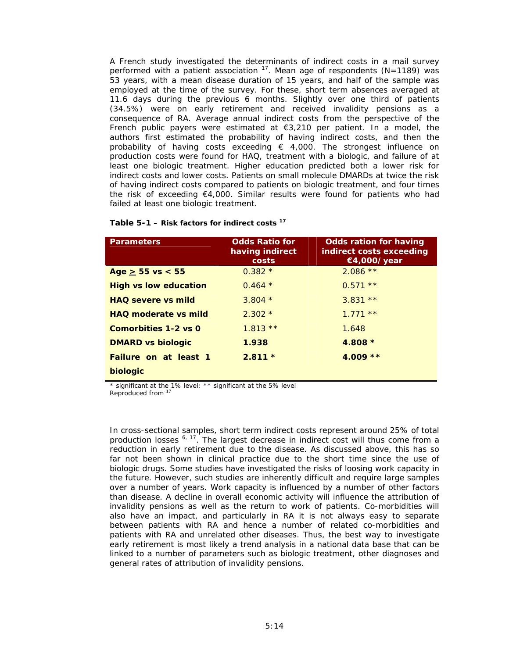A French study investigated the determinants of indirect costs in a mail survey performed with a patient association  $17$ . Mean age of respondents (N=1189) was 53 years, with a mean disease duration of 15 years, and half of the sample was employed at the time of the survey. For these, short term absences averaged at 11.6 days during the previous 6 months. Slightly over one third of patients (34.5%) were on early retirement and received invalidity pensions as a consequence of RA. Average annual indirect costs from the perspective of the French public payers were estimated at €3,210 per patient. In a model, the authors first estimated the probability of having indirect costs, and then the probability of having costs exceeding  $\epsilon$  4,000. The strongest influence on production costs were found for HAQ, treatment with a biologic, and failure of at least one biologic treatment. Higher education predicted both a lower risk for indirect costs and lower costs. Patients on small molecule DMARDs at twice the risk of having indirect costs compared to patients on biologic treatment, and four times the risk of exceeding €4,000. Similar results were found for patients who had failed at least one biologic treatment.

| <b>Parameters</b>            | <b>Odds Ratio for</b><br>having indirect<br>costs | <b>Odds ration for having</b><br>indirect costs exceeding<br>€4,000/year |
|------------------------------|---------------------------------------------------|--------------------------------------------------------------------------|
| $Age \ge 55$ vs < 55         | $0.382*$                                          | $2.086**$                                                                |
| <b>High vs low education</b> | $0.464*$                                          | $0.571**$                                                                |
| <b>HAO</b> severe ys mild    | $3.804*$                                          | $3.831**$                                                                |
| <b>HAO</b> moderate vs mild  | $2.302*$                                          | $1.771**$                                                                |
| Comorbities 1-2 vs 0         | $1.813**$                                         | 1.648                                                                    |
| <b>DMARD vs biologic</b>     | 1.938                                             | $4.808*$                                                                 |
| <b>Failure on at least 1</b> | $2.811*$                                          | $4.009**$                                                                |
| biologic                     |                                                   |                                                                          |

\* significant at the 1% level; \*\* significant at the 5% level Reproduced from 17

In cross-sectional samples, short term indirect costs represent around 25% of total production losses  $^{6, 17}$ . The largest decrease in indirect cost will thus come from a reduction in early retirement due to the disease. As discussed above, this has so far not been shown in clinical practice due to the short time since the use of biologic drugs. Some studies have investigated the risks of loosing work capacity in the future. However, such studies are inherently difficult and require large samples over a number of years. Work capacity is influenced by a number of other factors than disease. A decline in overall economic activity will influence the attribution of invalidity pensions as well as the return to work of patients. Co-morbidities will also have an impact, and particularly in RA it is not always easy to separate between patients with RA and hence a number of related co-morbidities and patients with RA and unrelated other diseases. Thus, the best way to investigate early retirement is most likely a trend analysis in a national data base that can be linked to a number of parameters such as biologic treatment, other diagnoses and general rates of attribution of invalidity pensions.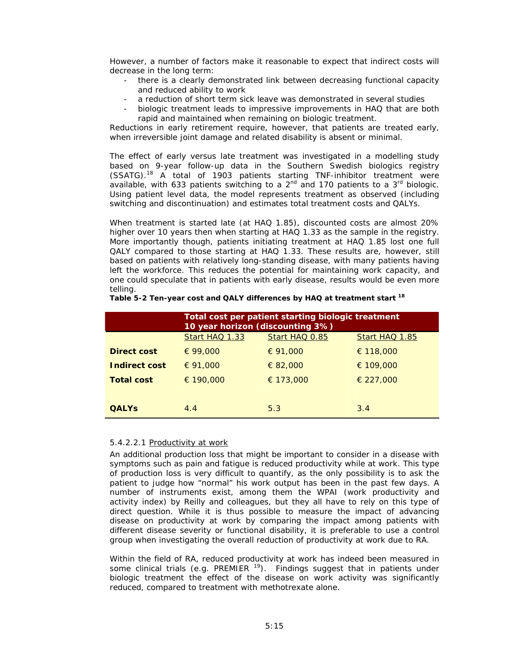However, a number of factors make it reasonable to expect that indirect costs will decrease in the long term:

- there is a clearly demonstrated link between decreasing functional capacity and reduced ability to work
- a reduction of short term sick leave was demonstrated in several studies
- biologic treatment leads to impressive improvements in HAQ that are both rapid and maintained when remaining on biologic treatment.

Reductions in early retirement require, however, that patients are treated early, when irreversible joint damage and related disability is absent or minimal.

The effect of early versus late treatment was investigated in a modelling study based on 9-year follow-up data in the Southern Swedish biologics registry (SSATG).18 A total of 1903 patients starting TNF-inhibitor treatment were available, with 633 patients switching to a  $2^{nd}$  and 170 patients to a  $3^{rd}$  biologic. Using patient level data, the model represents treatment as observed (including switching and discontinuation) and estimates total treatment costs and QALYs.

When treatment is started late (at HAQ 1.85), discounted costs are almost 20% higher over 10 years then when starting at HAQ 1.33 as the sample in the registry. More importantly though, patients initiating treatment at HAQ 1.85 lost one full QALY compared to those starting at HAQ 1.33. These results are, however, still based on patients with relatively long-standing disease, with many patients having left the workforce. This reduces the potential for maintaining work capacity, and one could speculate that in patients with early disease, results would be even more telling.

|                                                    | Total cost per patient starting biologic treatment<br>10 year horizon (discounting 3%) |           |           |  |  |
|----------------------------------------------------|----------------------------------------------------------------------------------------|-----------|-----------|--|--|
| Start HAQ 1.33<br>Start HAQ 0.85<br>Start HAQ 1.85 |                                                                                        |           |           |  |  |
| Direct cost                                        | € 99,000                                                                               | € 91,000  | € 118,000 |  |  |
| Indirect cost                                      | € 91,000                                                                               | € 82,000  | € 109,000 |  |  |
| <b>Total cost</b>                                  | € 190,000                                                                              | € 173,000 | € 227,000 |  |  |
|                                                    |                                                                                        |           |           |  |  |
| <b>OALYS</b>                                       | 4.4                                                                                    | 5.3       | 3.4       |  |  |

|  | Table 5-2 Ten-year cost and QALY differences by HAQ at treatment start <sup>18</sup> |
|--|--------------------------------------------------------------------------------------|

#### 5.4.2.2.1 Productivity at work

An additional production loss that might be important to consider in a disease with symptoms such as pain and fatigue is reduced productivity while at work. This type of production loss is very difficult to quantify, as the only possibility is to ask the patient to judge how "normal" his work output has been in the past few days. A number of instruments exist, among them the WPAI (work productivity and activity index) by Reilly and colleagues, but they all have to rely on this type of direct question. While it is thus possible to measure the impact of advancing disease on productivity at work by comparing the impact among patients with different disease severity or functional disability, it is preferable to use a control group when investigating the overall reduction of productivity at work due to RA.

Within the field of RA, reduced productivity at work has indeed been measured in some clinical trials (e.g. PREMIER  $19$ ). Findings suggest that in patients under biologic treatment the effect of the disease on work activity was significantly reduced, compared to treatment with methotrexate alone.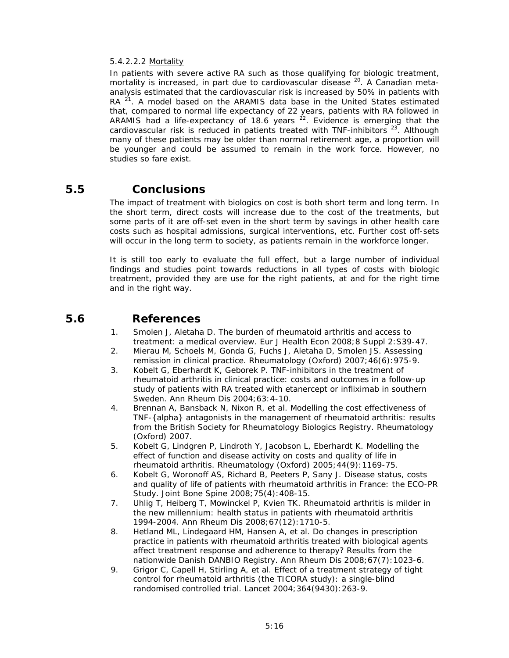#### 5.4.2.2.2 Mortality

In patients with severe active RA such as those qualifying for biologic treatment, mortality is increased, in part due to cardiovascular disease <sup>20</sup>. A Canadian metaanalysis estimated that the cardiovascular risk is increased by 50% in patients with RA  $^{21}$ . A model based on the ARAMIS data base in the United States estimated that, compared to normal life expectancy of 22 years, patients with RA followed in ARAMIS had a life-expectancy of 18.6 years  $^{22}$ . Evidence is emerging that the cardiovascular risk is reduced in patients treated with TNF-inhibitors  $^{23}$ . Although many of these patients may be older than normal retirement age, a proportion will be younger and could be assumed to remain in the work force. However, no studies so fare exist.

## *5.5 Conclusions*

The impact of treatment with biologics on cost is both short term and long term. In the short term, direct costs will increase due to the cost of the treatments, but some parts of it are off-set even in the short term by savings in other health care costs such as hospital admissions, surgical interventions, etc. Further cost off-sets will occur in the long term to society, as patients remain in the workforce longer.

It is still too early to evaluate the full effect, but a large number of individual findings and studies point towards reductions in all types of costs with biologic treatment, provided they are use for the right patients, at and for the right time and in the right way.

## *5.6 References*

- 1. Smolen J, Aletaha D. The burden of rheumatoid arthritis and access to treatment: a medical overview. Eur J Health Econ 2008;8 Suppl 2:S39-47.
- 2. Mierau M, Schoels M, Gonda G, Fuchs J, Aletaha D, Smolen JS. Assessing remission in clinical practice. Rheumatology (Oxford) 2007;46(6):975-9.
- 3. Kobelt G, Eberhardt K, Geborek P. TNF-inhibitors in the treatment of rheumatoid arthritis in clinical practice: costs and outcomes in a follow-up study of patients with RA treated with etanercept or infliximab in southern Sweden. Ann Rheum Dis 2004;63:4-10.
- 4. Brennan A, Bansback N, Nixon R, et al. Modelling the cost effectiveness of TNF-{alpha} antagonists in the management of rheumatoid arthritis: results from the British Society for Rheumatology Biologics Registry. Rheumatology (Oxford) 2007.
- 5. Kobelt G, Lindgren P, Lindroth Y, Jacobson L, Eberhardt K. Modelling the effect of function and disease activity on costs and quality of life in rheumatoid arthritis. Rheumatology (Oxford) 2005;44(9):1169-75.
- 6. Kobelt G, Woronoff AS, Richard B, Peeters P, Sany J. Disease status, costs and quality of life of patients with rheumatoid arthritis in France: the ECO-PR Study. Joint Bone Spine 2008;75(4):408-15.
- 7. Uhlig T, Heiberg T, Mowinckel P, Kvien TK. Rheumatoid arthritis is milder in the new millennium: health status in patients with rheumatoid arthritis 1994-2004. Ann Rheum Dis 2008;67(12):1710-5.
- 8. Hetland ML, Lindegaard HM, Hansen A, et al. Do changes in prescription practice in patients with rheumatoid arthritis treated with biological agents affect treatment response and adherence to therapy? Results from the nationwide Danish DANBIO Registry. Ann Rheum Dis 2008;67(7):1023-6.
- 9. Grigor C, Capell H, Stirling A, et al. Effect of a treatment strategy of tight control for rheumatoid arthritis (the TICORA study): a single-blind randomised controlled trial. Lancet 2004;364(9430):263-9.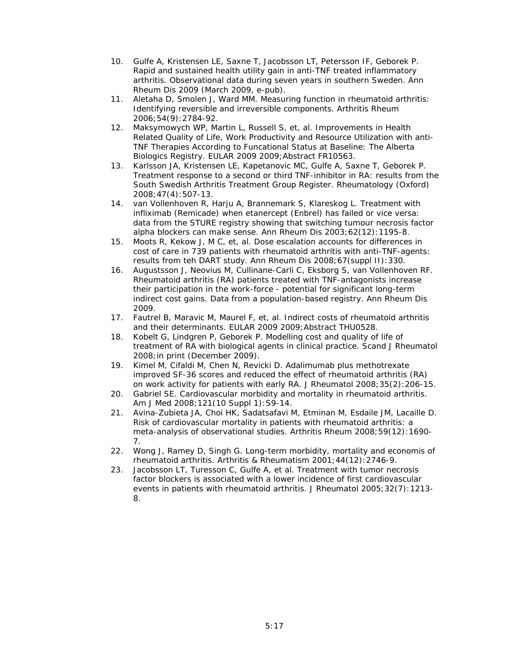- 10. Gulfe A, Kristensen LE, Saxne T, Jacobsson LT, Petersson IF, Geborek P. Rapid and sustained health utility gain in anti-TNF treated inflammatory arthritis. Observational data during seven years in southern Sweden. Ann Rheum Dis 2009 (March 2009, e-pub).
- 11. Aletaha D, Smolen J, Ward MM. Measuring function in rheumatoid arthritis: Identifying reversible and irreversible components. Arthritis Rheum 2006;54(9):2784-92.
- 12. Maksymowych WP, Martin L, Russell S, et, al. Improvements in Health Related Quality of Life, Work Productivity and Resource Utilization with anti-TNF Therapies According to Funcational Status at Baseline: The Alberta Biologics Registry. EULAR 2009 2009;Abstract FR10563.
- 13. Karlsson JA, Kristensen LE, Kapetanovic MC, Gulfe A, Saxne T, Geborek P. Treatment response to a second or third TNF-inhibitor in RA: results from the South Swedish Arthritis Treatment Group Register. Rheumatology (Oxford) 2008;47(4):507-13.
- 14. van Vollenhoven R, Harju A, Brannemark S, Klareskog L. Treatment with infliximab (Remicade) when etanercept (Enbrel) has failed or vice versa: data from the STURE registry showing that switching tumour necrosis factor alpha blockers can make sense. Ann Rheum Dis 2003;62(12):1195-8.
- 15. Moots R, Kekow J, M C, et, al. Dose escalation accounts for differences in cost of care in 739 patients with rheumatoid arthritis with anti-TNF-agents: results from teh DART study. Ann Rheum Dis 2008; 67(suppl II): 330.
- 16. Augustsson J, Neovius M, Cullinane-Carli C, Eksborg S, van Vollenhoven RF. Rheumatoid arthritis (RA) patients treated with TNF-antagonists increase their participation in the work-force - potential for significant long-term indirect cost gains. Data from a population-based registry. Ann Rheum Dis 2009.
- 17. Fautrel B, Maravic M, Maurel F, et, al. Indirect costs of rheumatoid arthritis and their determinants. EULAR 2009 2009;Abstract THU0528.
- 18. Kobelt G, Lindgren P, Geborek P. Modelling cost and quality of life of treatment of RA with biological agents in clinical practice. Scand J Rheumatol 2008;in print (December 2009).
- 19. Kimel M, Cifaldi M, Chen N, Revicki D. Adalimumab plus methotrexate improved SF-36 scores and reduced the effect of rheumatoid arthritis (RA) on work activity for patients with early RA. J Rheumatol 2008;35(2):206-15.
- 20. Gabriel SE. Cardiovascular morbidity and mortality in rheumatoid arthritis. Am J Med 2008;121(10 Suppl 1):S9-14.
- 21. Avina-Zubieta JA, Choi HK, Sadatsafavi M, Etminan M, Esdaile JM, Lacaille D. Risk of cardiovascular mortality in patients with rheumatoid arthritis: a meta-analysis of observational studies. Arthritis Rheum 2008;59(12):1690- 7.
- 22. Wong J, Ramey D, Singh G. Long-term morbidity, mortality and economis of rheumatoid arthritis. Arthritis & Rheumatism 2001;44(12):2746-9.
- 23. Jacobsson LT, Turesson C, Gulfe A, et al. Treatment with tumor necrosis factor blockers is associated with a lower incidence of first cardiovascular events in patients with rheumatoid arthritis. J Rheumatol 2005;32(7):1213- 8.